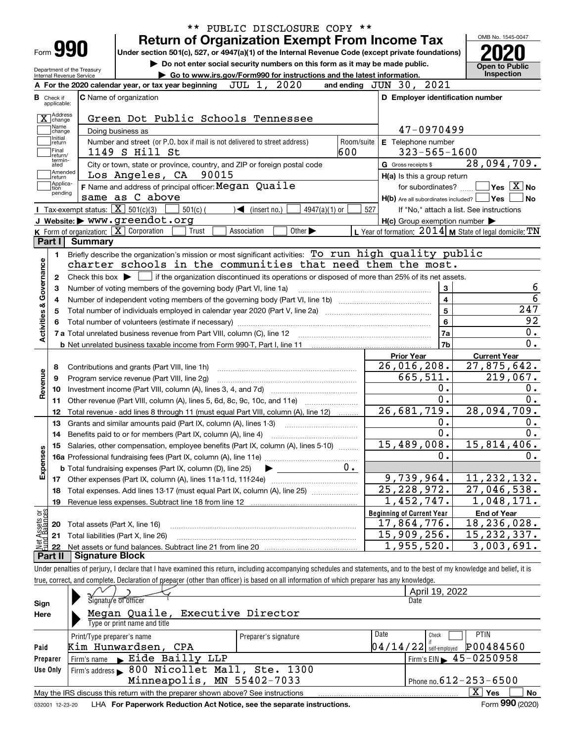|                            |                        | PUBLIC DISCLOSURE COPY **                                                                                                                                                  |                                                           |                                                      |
|----------------------------|------------------------|----------------------------------------------------------------------------------------------------------------------------------------------------------------------------|-----------------------------------------------------------|------------------------------------------------------|
|                            |                        | <b>Return of Organization Exempt From Income Tax</b>                                                                                                                       |                                                           | OMB No. 1545-0047                                    |
| Form 990                   |                        | Under section 501(c), 527, or 4947(a)(1) of the Internal Revenue Code (except private foundations)                                                                         |                                                           |                                                      |
| Department of the Treasury |                        | Do not enter social security numbers on this form as it may be made public.                                                                                                |                                                           | <b>Open to Public</b>                                |
| Internal Revenue Service   |                        | Go to www.irs.gov/Form990 for instructions and the latest information.                                                                                                     |                                                           | Inspection                                           |
|                            |                        | JUL 1, 2020<br>A For the 2020 calendar year, or tax year beginning                                                                                                         | and ending JUN 30, 2021                                   |                                                      |
| Check if<br>applicable:    |                        | C Name of organization                                                                                                                                                     | D Employer identification number                          |                                                      |
|                            |                        |                                                                                                                                                                            |                                                           |                                                      |
| X Address<br>Name          |                        | Green Dot Public Schools Tennessee                                                                                                                                         |                                                           |                                                      |
| change<br>Initial          |                        | Doing business as                                                                                                                                                          | 47-0970499                                                |                                                      |
| return<br>Final            |                        | Number and street (or P.O. box if mail is not delivered to street address)<br>Room/suite                                                                                   | E Telephone number                                        |                                                      |
| lreturn/<br>termin-        |                        | 600<br>1149 S Hill St                                                                                                                                                      | $323 - 565 - 1600$                                        |                                                      |
| ated<br>Amended            |                        | City or town, state or province, country, and ZIP or foreign postal code                                                                                                   | G Gross receipts \$                                       | 28,094,709.                                          |
| return<br>Applica-         |                        | Los Angeles, CA 90015                                                                                                                                                      | H(a) Is this a group return                               |                                                      |
| tion<br>pending            |                        | F Name and address of principal officer: Megan Quaile                                                                                                                      | for subordinates?                                         | $\overline{\mathsf{Yes}}$ $\overline{\mathsf{X}}$ No |
|                            |                        | same as C above<br>Tax-exempt status: $\overline{X}$ 501(c)(3)                                                                                                             | $H(b)$ Are all subordinates included? $\Box$ Yes          | No                                                   |
|                            |                        | $501(c)$ (<br>$4947(a)(1)$ or<br>$\mathcal{L}$ (insert no.)                                                                                                                | 527                                                       | If "No," attach a list. See instructions             |
|                            |                        | J Website: > www.greendot.org<br>K Form of organization: $\boxed{\mathbf{X}}$ Corporation<br>Trust<br>Other $\blacktriangleright$                                          | $H(c)$ Group exemption number $\blacktriangleright$       |                                                      |
| Part I                     | Summarv                | Association                                                                                                                                                                | L Year of formation: $2014$ M State of legal domicile: TN |                                                      |
|                            |                        |                                                                                                                                                                            |                                                           |                                                      |
| 1.                         |                        | Briefly describe the organization's mission or most significant activities: To run high quality public<br>charter schools in the communities that need them the most.      |                                                           |                                                      |
|                            |                        |                                                                                                                                                                            |                                                           |                                                      |
| 2                          |                        | Check this box $\blacktriangleright$ $\Box$ if the organization discontinued its operations or disposed of more than 25% of its net assets.                                |                                                           |                                                      |
| з                          |                        | Number of voting members of the governing body (Part VI, line 1a)                                                                                                          | 3<br>$\overline{4}$                                       |                                                      |
| 4                          |                        |                                                                                                                                                                            | $\overline{5}$                                            | 247                                                  |
|                            |                        | Total number of individuals employed in calendar year 2020 (Part V, line 2a) manufacture controller to intervent                                                           |                                                           |                                                      |
|                            |                        |                                                                                                                                                                            | $6\phantom{a}$                                            | 92                                                   |
| Activities & Governance    |                        |                                                                                                                                                                            | <b>7a</b>                                                 | $\overline{0}$ .<br>$\overline{0}$ .                 |
|                            |                        |                                                                                                                                                                            | 7b                                                        |                                                      |
|                            |                        |                                                                                                                                                                            | <b>Prior Year</b>                                         | <b>Current Year</b>                                  |
| 8                          |                        | Contributions and grants (Part VIII, line 1h)                                                                                                                              | 26,016,208.                                               | 27,875,642.                                          |
| 9                          |                        | Program service revenue (Part VIII, line 2g)                                                                                                                               | 665,511.                                                  | 219,067.                                             |
| Revenue<br>10              |                        |                                                                                                                                                                            | 0.                                                        | 0.<br>0.                                             |
| 11                         |                        | Other revenue (Part VIII, column (A), lines 5, 6d, 8c, 9c, 10c, and 11e)                                                                                                   | $\overline{0}$ .                                          |                                                      |
| 12                         |                        | Total revenue - add lines 8 through 11 (must equal Part VIII, column (A), line 12)                                                                                         | 26,681,719.                                               | 28,094,709.                                          |
| 13                         |                        | Grants and similar amounts paid (Part IX, column (A), lines 1-3)                                                                                                           | $0$ .                                                     | $0$ .                                                |
| 14                         |                        | Benefits paid to or for members (Part IX, column (A), line 4)                                                                                                              | $\overline{0}$ .                                          | $\overline{0}$ .                                     |
|                            |                        | 15 Salaries, other compensation, employee benefits (Part IX, column (A), lines 5-10)                                                                                       | 15,489,008.                                               | 15,814,406.                                          |
| Expenses                   |                        |                                                                                                                                                                            | 0.                                                        | $0$ .                                                |
|                            |                        | $0 \cdot$<br><b>b</b> Total fundraising expenses (Part IX, column (D), line 25)                                                                                            |                                                           |                                                      |
|                            |                        |                                                                                                                                                                            | 9,739,964.                                                | 11, 232, 132.                                        |
| 18                         |                        | Total expenses. Add lines 13-17 (must equal Part IX, column (A), line 25)                                                                                                  | 25, 228, 972.                                             | $\overline{27}$ , 046, 538.                          |
| 19                         |                        | Revenue less expenses. Subtract line 18 from line 12                                                                                                                       | 1,452,747.                                                | 1,048,171.                                           |
| Assets or<br>d Balances    |                        |                                                                                                                                                                            | <b>Beginning of Current Year</b>                          | <b>End of Year</b>                                   |
| 20                         |                        | Total assets (Part X, line 16)                                                                                                                                             | 17,864,776.                                               | 18,236,028.                                          |
| 21                         |                        | Total liabilities (Part X, line 26)                                                                                                                                        | 15,909,256.                                               | 15, 232, 337.                                        |
| 22                         |                        |                                                                                                                                                                            | 1,955,520.                                                | $\overline{3}$ , 003, 691.                           |
| Part II                    | <b>Signature Block</b> |                                                                                                                                                                            |                                                           |                                                      |
|                            |                        | Under penalties of perjury, I declare that I have examined this return, including accompanying schedules and statements, and to the best of my knowledge and belief, it is |                                                           |                                                      |
|                            |                        | true, correct, and complete. Declaration of preparer (other than officer) is based on all information of which preparer has any knowledge.                                 |                                                           |                                                      |
|                            |                        |                                                                                                                                                                            | April 19, 2022                                            |                                                      |
| Sian                       |                        | Signaty'e of officer                                                                                                                                                       | Date                                                      |                                                      |

| Sign                                                       | Signaty'e of officer                                                                                         |                      | Date                     |                                             |  |  |  |  |  |  |
|------------------------------------------------------------|--------------------------------------------------------------------------------------------------------------|----------------------|--------------------------|---------------------------------------------|--|--|--|--|--|--|
| Here                                                       | Megan Quaile, Executive Director                                                                             |                      |                          |                                             |  |  |  |  |  |  |
|                                                            | Type or print name and title                                                                                 |                      |                          |                                             |  |  |  |  |  |  |
|                                                            | Print/Type preparer's name                                                                                   | Preparer's signature | Date                     | PTIN<br>Check                               |  |  |  |  |  |  |
| Paid                                                       | Kim Hunwardsen, CPA                                                                                          |                      | $04/14/22$ self-employed | P00484560                                   |  |  |  |  |  |  |
| Preparer                                                   | $Firm's name \rightarrow Eide Bailly LLP$                                                                    |                      |                          | Firm's EIN $\blacktriangleright$ 45-0250958 |  |  |  |  |  |  |
| Use Only                                                   | Firm's address > 800 Nicollet Mall, Ste. 1300                                                                |                      |                          |                                             |  |  |  |  |  |  |
| Minneapolis, MN 55402-7033<br>Phone no. $612 - 253 - 6500$ |                                                                                                              |                      |                          |                                             |  |  |  |  |  |  |
|                                                            | ΧI<br>No<br>May the IRS discuss this return with the preparer shown above? See instructions<br>Yes           |                      |                          |                                             |  |  |  |  |  |  |
|                                                            | Form 990 (2020)<br>LHA For Paperwork Reduction Act Notice, see the separate instructions.<br>032001 12-23-20 |                      |                          |                                             |  |  |  |  |  |  |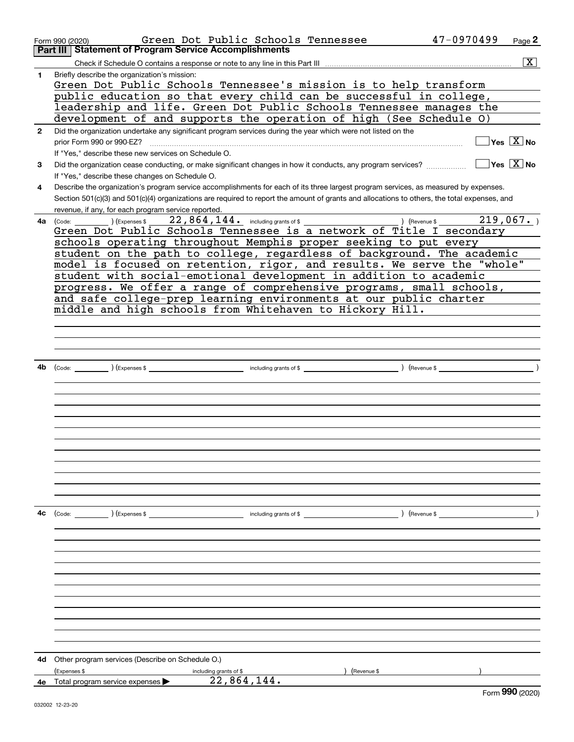|              | Green Dot Public Schools Tennessee<br>Form 990 (2020)<br>Part III Statement of Program Service Accomplishments                               | 47-0970499                             | Page 2                                  |
|--------------|----------------------------------------------------------------------------------------------------------------------------------------------|----------------------------------------|-----------------------------------------|
|              |                                                                                                                                              |                                        |                                         |
|              |                                                                                                                                              |                                        | $\overline{\mathbf{X}}$                 |
| 1            | Briefly describe the organization's mission:<br>Green Dot Public Schools Tennessee's mission is to help transform                            |                                        |                                         |
|              | public education so that every child can be successful in college,                                                                           |                                        |                                         |
|              | leadership and life. Green Dot Public Schools Tennessee manages the                                                                          |                                        |                                         |
|              | development of and supports the operation of high (See Schedule O)                                                                           |                                        |                                         |
|              | Did the organization undertake any significant program services during the year which were not listed on the                                 |                                        |                                         |
| $\mathbf{2}$ | prior Form 990 or 990-EZ?                                                                                                                    |                                        | $\Box$ Yes $[\overline{\mathrm{X}}]$ No |
|              | If "Yes," describe these new services on Schedule O.                                                                                         |                                        |                                         |
|              | Did the organization cease conducting, or make significant changes in how it conducts, any program services?                                 | $\sqrt{}$ Yes $\sqrt{}$ X $\sqrt{}$ No |                                         |
| 3            |                                                                                                                                              |                                        |                                         |
|              | If "Yes," describe these changes on Schedule O.                                                                                              |                                        |                                         |
| 4            | Describe the organization's program service accomplishments for each of its three largest program services, as measured by expenses.         |                                        |                                         |
|              | Section 501(c)(3) and 501(c)(4) organizations are required to report the amount of grants and allocations to others, the total expenses, and |                                        |                                         |
|              | revenue, if any, for each program service reported.                                                                                          |                                        | 219,067.                                |
| 4a           | Green Dot Public Schools Tennessee is a network of Title I secondary                                                                         |                                        |                                         |
|              | schools operating throughout Memphis proper seeking to put every                                                                             |                                        |                                         |
|              | student on the path to college, regardless of background. The academic                                                                       |                                        |                                         |
|              | model is focused on retention, rigor, and results. We serve the "whole"                                                                      |                                        |                                         |
|              | student with social-emotional development in addition to academic                                                                            |                                        |                                         |
|              | progress. We offer a range of comprehensive programs, small schools,                                                                         |                                        |                                         |
|              | and safe college-prep learning environments at our public charter                                                                            |                                        |                                         |
|              | middle and high schools from Whitehaven to Hickory Hill.                                                                                     |                                        |                                         |
|              |                                                                                                                                              |                                        |                                         |
|              |                                                                                                                                              |                                        |                                         |
|              |                                                                                                                                              |                                        |                                         |
|              |                                                                                                                                              |                                        |                                         |
| 4b           |                                                                                                                                              |                                        |                                         |
|              |                                                                                                                                              |                                        |                                         |
|              |                                                                                                                                              |                                        |                                         |
|              |                                                                                                                                              |                                        |                                         |
|              |                                                                                                                                              |                                        |                                         |
|              |                                                                                                                                              |                                        |                                         |
|              |                                                                                                                                              |                                        |                                         |
|              |                                                                                                                                              |                                        |                                         |
|              |                                                                                                                                              |                                        |                                         |
|              |                                                                                                                                              |                                        |                                         |
|              |                                                                                                                                              |                                        |                                         |
|              |                                                                                                                                              |                                        |                                         |
|              |                                                                                                                                              |                                        |                                         |
| 4с           | ) (Revenue \$                                                                                                                                |                                        |                                         |
|              |                                                                                                                                              |                                        |                                         |
|              |                                                                                                                                              |                                        |                                         |
|              |                                                                                                                                              |                                        |                                         |
|              |                                                                                                                                              |                                        |                                         |
|              |                                                                                                                                              |                                        |                                         |
|              |                                                                                                                                              |                                        |                                         |
|              |                                                                                                                                              |                                        |                                         |
|              |                                                                                                                                              |                                        |                                         |
|              |                                                                                                                                              |                                        |                                         |
|              |                                                                                                                                              |                                        |                                         |
|              |                                                                                                                                              |                                        |                                         |
|              |                                                                                                                                              |                                        |                                         |
| 4d           | Other program services (Describe on Schedule O.)                                                                                             |                                        |                                         |
|              | (Expenses \$<br>(Revenue \$<br>including grants of \$                                                                                        |                                        |                                         |
|              | 22,864,144.<br>4e Total program service expenses                                                                                             |                                        |                                         |
|              |                                                                                                                                              |                                        | $F_{\text{Orm}}$ 990 (2020)             |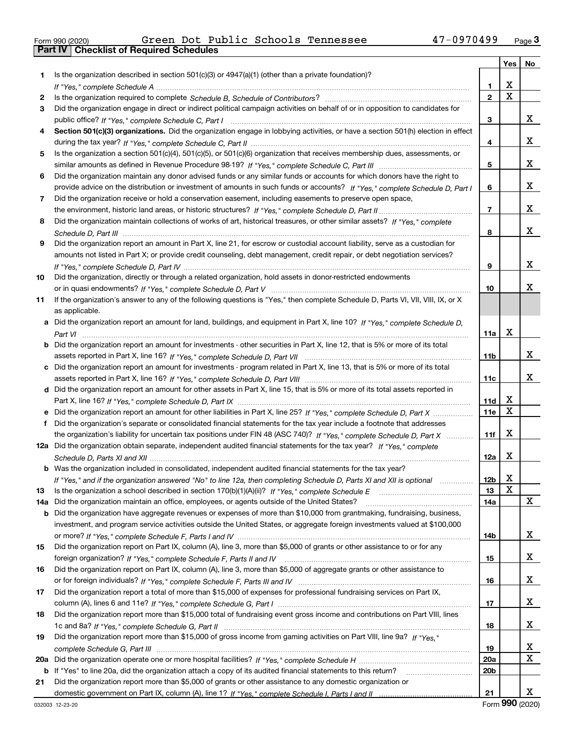|  | Form 990 (2020) |  |
|--|-----------------|--|

| 1.<br>X<br>1<br>$\overline{\mathtt{x}}$<br>$\overline{2}$<br>2<br>Did the organization engage in direct or indirect political campaign activities on behalf of or in opposition to candidates for<br>3<br>x<br>3<br>Section 501(c)(3) organizations. Did the organization engage in lobbying activities, or have a section 501(h) election in effect<br>4<br>х<br>4<br>Is the organization a section 501(c)(4), 501(c)(5), or 501(c)(6) organization that receives membership dues, assessments, or<br>5<br>х<br>5<br>Did the organization maintain any donor advised funds or any similar funds or accounts for which donors have the right to<br>6<br>х<br>provide advice on the distribution or investment of amounts in such funds or accounts? If "Yes," complete Schedule D, Part I<br>6<br>Did the organization receive or hold a conservation easement, including easements to preserve open space,<br>7<br>х<br>7<br>Did the organization maintain collections of works of art, historical treasures, or other similar assets? If "Yes," complete<br>8<br>x<br>8<br>Did the organization report an amount in Part X, line 21, for escrow or custodial account liability, serve as a custodian for<br>9<br>amounts not listed in Part X; or provide credit counseling, debt management, credit repair, or debt negotiation services?<br>х<br>9<br>Did the organization, directly or through a related organization, hold assets in donor-restricted endowments<br>10<br>х<br>10<br>If the organization's answer to any of the following questions is "Yes," then complete Schedule D, Parts VI, VIII, VIII, IX, or X<br>11<br>as applicable.<br>a Did the organization report an amount for land, buildings, and equipment in Part X, line 10? If "Yes," complete Schedule D,<br>X<br>11a<br><b>b</b> Did the organization report an amount for investments - other securities in Part X, line 12, that is 5% or more of its total<br>x<br>11b<br>c Did the organization report an amount for investments - program related in Part X, line 13, that is 5% or more of its total<br>х<br>11c<br>d Did the organization report an amount for other assets in Part X, line 15, that is 5% or more of its total assets reported in<br>х<br>11d<br>X<br><b>11e</b><br>Did the organization's separate or consolidated financial statements for the tax year include a footnote that addresses<br>f<br>X<br>the organization's liability for uncertain tax positions under FIN 48 (ASC 740)? If "Yes," complete Schedule D, Part X<br>11f<br>12a Did the organization obtain separate, independent audited financial statements for the tax year? If "Yes," complete<br>X<br>12a<br><b>b</b> Was the organization included in consolidated, independent audited financial statements for the tax year?<br>X<br>12 <sub>b</sub><br>If "Yes," and if the organization answered "No" to line 12a, then completing Schedule D, Parts XI and XII is optional metalliming<br>X<br>Is the organization a school described in section $170(b)(1)(A)(ii)?$ If "Yes," complete Schedule E<br>13<br>13<br>x<br>Did the organization maintain an office, employees, or agents outside of the United States?<br>14a<br>14a<br><b>b</b> Did the organization have aggregate revenues or expenses of more than \$10,000 from grantmaking, fundraising, business,<br>investment, and program service activities outside the United States, or aggregate foreign investments valued at \$100,000<br>x<br>14b<br>Did the organization report on Part IX, column (A), line 3, more than \$5,000 of grants or other assistance to or for any<br>15<br>x<br>15<br>Did the organization report on Part IX, column (A), line 3, more than \$5,000 of aggregate grants or other assistance to<br>16<br>x<br>16<br>Did the organization report a total of more than \$15,000 of expenses for professional fundraising services on Part IX,<br>17<br>x<br>17<br>Did the organization report more than \$15,000 total of fundraising event gross income and contributions on Part VIII, lines<br>18<br>x<br>18<br>Did the organization report more than \$15,000 of gross income from gaming activities on Part VIII, line 9a? If "Yes."<br>19<br>x<br>19<br>20a<br>b If "Yes" to line 20a, did the organization attach a copy of its audited financial statements to this return?<br>20b<br>Did the organization report more than \$5,000 of grants or other assistance to any domestic organization or |                                                                                                         | Yes $ $ | No          |
|---------------------------------------------------------------------------------------------------------------------------------------------------------------------------------------------------------------------------------------------------------------------------------------------------------------------------------------------------------------------------------------------------------------------------------------------------------------------------------------------------------------------------------------------------------------------------------------------------------------------------------------------------------------------------------------------------------------------------------------------------------------------------------------------------------------------------------------------------------------------------------------------------------------------------------------------------------------------------------------------------------------------------------------------------------------------------------------------------------------------------------------------------------------------------------------------------------------------------------------------------------------------------------------------------------------------------------------------------------------------------------------------------------------------------------------------------------------------------------------------------------------------------------------------------------------------------------------------------------------------------------------------------------------------------------------------------------------------------------------------------------------------------------------------------------------------------------------------------------------------------------------------------------------------------------------------------------------------------------------------------------------------------------------------------------------------------------------------------------------------------------------------------------------------------------------------------------------------------------------------------------------------------------------------------------------------------------------------------------------------------------------------------------------------------------------------------------------------------------------------------------------------------------------------------------------------------------------------------------------------------------------------------------------------------------------------------------------------------------------------------------------------------------------------------------------------------------------------------------------------------------------------------------------------------------------------------------------------------------------------------------------------------------------------------------------------------------------------------------------------------------------------------------------------------------------------------------------------------------------------------------------------------------------------------------------------------------------------------------------------------------------------------------------------------------------------------------------------------------------------------------------------------------------------------------------------------------------------------------------------------------------------------------------------------------------------------------------------------------------------------------------------------------------------------------------------------------------------------------------------------------------------------------------------------------------------------------------------------------------------------------------------------------------------------------------------------------------------------------------------------------------------------------------------------------------------------------------------------------------------------------------------------------------------------------------------------------------------------------------------------------------------------------------------------------------------------------------------------------|---------------------------------------------------------------------------------------------------------|---------|-------------|
|                                                                                                                                                                                                                                                                                                                                                                                                                                                                                                                                                                                                                                                                                                                                                                                                                                                                                                                                                                                                                                                                                                                                                                                                                                                                                                                                                                                                                                                                                                                                                                                                                                                                                                                                                                                                                                                                                                                                                                                                                                                                                                                                                                                                                                                                                                                                                                                                                                                                                                                                                                                                                                                                                                                                                                                                                                                                                                                                                                                                                                                                                                                                                                                                                                                                                                                                                                                                                                                                                                                                                                                                                                                                                                                                                                                                                                                                                                                                                                                                                                                                                                                                                                                                                                                                                                                                                                                                                                                                                 | Is the organization described in section $501(c)(3)$ or $4947(a)(1)$ (other than a private foundation)? |         |             |
|                                                                                                                                                                                                                                                                                                                                                                                                                                                                                                                                                                                                                                                                                                                                                                                                                                                                                                                                                                                                                                                                                                                                                                                                                                                                                                                                                                                                                                                                                                                                                                                                                                                                                                                                                                                                                                                                                                                                                                                                                                                                                                                                                                                                                                                                                                                                                                                                                                                                                                                                                                                                                                                                                                                                                                                                                                                                                                                                                                                                                                                                                                                                                                                                                                                                                                                                                                                                                                                                                                                                                                                                                                                                                                                                                                                                                                                                                                                                                                                                                                                                                                                                                                                                                                                                                                                                                                                                                                                                                 |                                                                                                         |         |             |
|                                                                                                                                                                                                                                                                                                                                                                                                                                                                                                                                                                                                                                                                                                                                                                                                                                                                                                                                                                                                                                                                                                                                                                                                                                                                                                                                                                                                                                                                                                                                                                                                                                                                                                                                                                                                                                                                                                                                                                                                                                                                                                                                                                                                                                                                                                                                                                                                                                                                                                                                                                                                                                                                                                                                                                                                                                                                                                                                                                                                                                                                                                                                                                                                                                                                                                                                                                                                                                                                                                                                                                                                                                                                                                                                                                                                                                                                                                                                                                                                                                                                                                                                                                                                                                                                                                                                                                                                                                                                                 |                                                                                                         |         |             |
| 20a<br>21                                                                                                                                                                                                                                                                                                                                                                                                                                                                                                                                                                                                                                                                                                                                                                                                                                                                                                                                                                                                                                                                                                                                                                                                                                                                                                                                                                                                                                                                                                                                                                                                                                                                                                                                                                                                                                                                                                                                                                                                                                                                                                                                                                                                                                                                                                                                                                                                                                                                                                                                                                                                                                                                                                                                                                                                                                                                                                                                                                                                                                                                                                                                                                                                                                                                                                                                                                                                                                                                                                                                                                                                                                                                                                                                                                                                                                                                                                                                                                                                                                                                                                                                                                                                                                                                                                                                                                                                                                                                       |                                                                                                         |         |             |
|                                                                                                                                                                                                                                                                                                                                                                                                                                                                                                                                                                                                                                                                                                                                                                                                                                                                                                                                                                                                                                                                                                                                                                                                                                                                                                                                                                                                                                                                                                                                                                                                                                                                                                                                                                                                                                                                                                                                                                                                                                                                                                                                                                                                                                                                                                                                                                                                                                                                                                                                                                                                                                                                                                                                                                                                                                                                                                                                                                                                                                                                                                                                                                                                                                                                                                                                                                                                                                                                                                                                                                                                                                                                                                                                                                                                                                                                                                                                                                                                                                                                                                                                                                                                                                                                                                                                                                                                                                                                                 |                                                                                                         |         |             |
|                                                                                                                                                                                                                                                                                                                                                                                                                                                                                                                                                                                                                                                                                                                                                                                                                                                                                                                                                                                                                                                                                                                                                                                                                                                                                                                                                                                                                                                                                                                                                                                                                                                                                                                                                                                                                                                                                                                                                                                                                                                                                                                                                                                                                                                                                                                                                                                                                                                                                                                                                                                                                                                                                                                                                                                                                                                                                                                                                                                                                                                                                                                                                                                                                                                                                                                                                                                                                                                                                                                                                                                                                                                                                                                                                                                                                                                                                                                                                                                                                                                                                                                                                                                                                                                                                                                                                                                                                                                                                 |                                                                                                         |         |             |
|                                                                                                                                                                                                                                                                                                                                                                                                                                                                                                                                                                                                                                                                                                                                                                                                                                                                                                                                                                                                                                                                                                                                                                                                                                                                                                                                                                                                                                                                                                                                                                                                                                                                                                                                                                                                                                                                                                                                                                                                                                                                                                                                                                                                                                                                                                                                                                                                                                                                                                                                                                                                                                                                                                                                                                                                                                                                                                                                                                                                                                                                                                                                                                                                                                                                                                                                                                                                                                                                                                                                                                                                                                                                                                                                                                                                                                                                                                                                                                                                                                                                                                                                                                                                                                                                                                                                                                                                                                                                                 |                                                                                                         |         |             |
|                                                                                                                                                                                                                                                                                                                                                                                                                                                                                                                                                                                                                                                                                                                                                                                                                                                                                                                                                                                                                                                                                                                                                                                                                                                                                                                                                                                                                                                                                                                                                                                                                                                                                                                                                                                                                                                                                                                                                                                                                                                                                                                                                                                                                                                                                                                                                                                                                                                                                                                                                                                                                                                                                                                                                                                                                                                                                                                                                                                                                                                                                                                                                                                                                                                                                                                                                                                                                                                                                                                                                                                                                                                                                                                                                                                                                                                                                                                                                                                                                                                                                                                                                                                                                                                                                                                                                                                                                                                                                 |                                                                                                         |         |             |
|                                                                                                                                                                                                                                                                                                                                                                                                                                                                                                                                                                                                                                                                                                                                                                                                                                                                                                                                                                                                                                                                                                                                                                                                                                                                                                                                                                                                                                                                                                                                                                                                                                                                                                                                                                                                                                                                                                                                                                                                                                                                                                                                                                                                                                                                                                                                                                                                                                                                                                                                                                                                                                                                                                                                                                                                                                                                                                                                                                                                                                                                                                                                                                                                                                                                                                                                                                                                                                                                                                                                                                                                                                                                                                                                                                                                                                                                                                                                                                                                                                                                                                                                                                                                                                                                                                                                                                                                                                                                                 |                                                                                                         |         |             |
|                                                                                                                                                                                                                                                                                                                                                                                                                                                                                                                                                                                                                                                                                                                                                                                                                                                                                                                                                                                                                                                                                                                                                                                                                                                                                                                                                                                                                                                                                                                                                                                                                                                                                                                                                                                                                                                                                                                                                                                                                                                                                                                                                                                                                                                                                                                                                                                                                                                                                                                                                                                                                                                                                                                                                                                                                                                                                                                                                                                                                                                                                                                                                                                                                                                                                                                                                                                                                                                                                                                                                                                                                                                                                                                                                                                                                                                                                                                                                                                                                                                                                                                                                                                                                                                                                                                                                                                                                                                                                 |                                                                                                         |         |             |
|                                                                                                                                                                                                                                                                                                                                                                                                                                                                                                                                                                                                                                                                                                                                                                                                                                                                                                                                                                                                                                                                                                                                                                                                                                                                                                                                                                                                                                                                                                                                                                                                                                                                                                                                                                                                                                                                                                                                                                                                                                                                                                                                                                                                                                                                                                                                                                                                                                                                                                                                                                                                                                                                                                                                                                                                                                                                                                                                                                                                                                                                                                                                                                                                                                                                                                                                                                                                                                                                                                                                                                                                                                                                                                                                                                                                                                                                                                                                                                                                                                                                                                                                                                                                                                                                                                                                                                                                                                                                                 |                                                                                                         |         |             |
|                                                                                                                                                                                                                                                                                                                                                                                                                                                                                                                                                                                                                                                                                                                                                                                                                                                                                                                                                                                                                                                                                                                                                                                                                                                                                                                                                                                                                                                                                                                                                                                                                                                                                                                                                                                                                                                                                                                                                                                                                                                                                                                                                                                                                                                                                                                                                                                                                                                                                                                                                                                                                                                                                                                                                                                                                                                                                                                                                                                                                                                                                                                                                                                                                                                                                                                                                                                                                                                                                                                                                                                                                                                                                                                                                                                                                                                                                                                                                                                                                                                                                                                                                                                                                                                                                                                                                                                                                                                                                 |                                                                                                         |         |             |
|                                                                                                                                                                                                                                                                                                                                                                                                                                                                                                                                                                                                                                                                                                                                                                                                                                                                                                                                                                                                                                                                                                                                                                                                                                                                                                                                                                                                                                                                                                                                                                                                                                                                                                                                                                                                                                                                                                                                                                                                                                                                                                                                                                                                                                                                                                                                                                                                                                                                                                                                                                                                                                                                                                                                                                                                                                                                                                                                                                                                                                                                                                                                                                                                                                                                                                                                                                                                                                                                                                                                                                                                                                                                                                                                                                                                                                                                                                                                                                                                                                                                                                                                                                                                                                                                                                                                                                                                                                                                                 |                                                                                                         |         |             |
|                                                                                                                                                                                                                                                                                                                                                                                                                                                                                                                                                                                                                                                                                                                                                                                                                                                                                                                                                                                                                                                                                                                                                                                                                                                                                                                                                                                                                                                                                                                                                                                                                                                                                                                                                                                                                                                                                                                                                                                                                                                                                                                                                                                                                                                                                                                                                                                                                                                                                                                                                                                                                                                                                                                                                                                                                                                                                                                                                                                                                                                                                                                                                                                                                                                                                                                                                                                                                                                                                                                                                                                                                                                                                                                                                                                                                                                                                                                                                                                                                                                                                                                                                                                                                                                                                                                                                                                                                                                                                 |                                                                                                         |         |             |
|                                                                                                                                                                                                                                                                                                                                                                                                                                                                                                                                                                                                                                                                                                                                                                                                                                                                                                                                                                                                                                                                                                                                                                                                                                                                                                                                                                                                                                                                                                                                                                                                                                                                                                                                                                                                                                                                                                                                                                                                                                                                                                                                                                                                                                                                                                                                                                                                                                                                                                                                                                                                                                                                                                                                                                                                                                                                                                                                                                                                                                                                                                                                                                                                                                                                                                                                                                                                                                                                                                                                                                                                                                                                                                                                                                                                                                                                                                                                                                                                                                                                                                                                                                                                                                                                                                                                                                                                                                                                                 |                                                                                                         |         |             |
|                                                                                                                                                                                                                                                                                                                                                                                                                                                                                                                                                                                                                                                                                                                                                                                                                                                                                                                                                                                                                                                                                                                                                                                                                                                                                                                                                                                                                                                                                                                                                                                                                                                                                                                                                                                                                                                                                                                                                                                                                                                                                                                                                                                                                                                                                                                                                                                                                                                                                                                                                                                                                                                                                                                                                                                                                                                                                                                                                                                                                                                                                                                                                                                                                                                                                                                                                                                                                                                                                                                                                                                                                                                                                                                                                                                                                                                                                                                                                                                                                                                                                                                                                                                                                                                                                                                                                                                                                                                                                 |                                                                                                         |         |             |
|                                                                                                                                                                                                                                                                                                                                                                                                                                                                                                                                                                                                                                                                                                                                                                                                                                                                                                                                                                                                                                                                                                                                                                                                                                                                                                                                                                                                                                                                                                                                                                                                                                                                                                                                                                                                                                                                                                                                                                                                                                                                                                                                                                                                                                                                                                                                                                                                                                                                                                                                                                                                                                                                                                                                                                                                                                                                                                                                                                                                                                                                                                                                                                                                                                                                                                                                                                                                                                                                                                                                                                                                                                                                                                                                                                                                                                                                                                                                                                                                                                                                                                                                                                                                                                                                                                                                                                                                                                                                                 |                                                                                                         |         |             |
|                                                                                                                                                                                                                                                                                                                                                                                                                                                                                                                                                                                                                                                                                                                                                                                                                                                                                                                                                                                                                                                                                                                                                                                                                                                                                                                                                                                                                                                                                                                                                                                                                                                                                                                                                                                                                                                                                                                                                                                                                                                                                                                                                                                                                                                                                                                                                                                                                                                                                                                                                                                                                                                                                                                                                                                                                                                                                                                                                                                                                                                                                                                                                                                                                                                                                                                                                                                                                                                                                                                                                                                                                                                                                                                                                                                                                                                                                                                                                                                                                                                                                                                                                                                                                                                                                                                                                                                                                                                                                 |                                                                                                         |         |             |
|                                                                                                                                                                                                                                                                                                                                                                                                                                                                                                                                                                                                                                                                                                                                                                                                                                                                                                                                                                                                                                                                                                                                                                                                                                                                                                                                                                                                                                                                                                                                                                                                                                                                                                                                                                                                                                                                                                                                                                                                                                                                                                                                                                                                                                                                                                                                                                                                                                                                                                                                                                                                                                                                                                                                                                                                                                                                                                                                                                                                                                                                                                                                                                                                                                                                                                                                                                                                                                                                                                                                                                                                                                                                                                                                                                                                                                                                                                                                                                                                                                                                                                                                                                                                                                                                                                                                                                                                                                                                                 |                                                                                                         |         |             |
|                                                                                                                                                                                                                                                                                                                                                                                                                                                                                                                                                                                                                                                                                                                                                                                                                                                                                                                                                                                                                                                                                                                                                                                                                                                                                                                                                                                                                                                                                                                                                                                                                                                                                                                                                                                                                                                                                                                                                                                                                                                                                                                                                                                                                                                                                                                                                                                                                                                                                                                                                                                                                                                                                                                                                                                                                                                                                                                                                                                                                                                                                                                                                                                                                                                                                                                                                                                                                                                                                                                                                                                                                                                                                                                                                                                                                                                                                                                                                                                                                                                                                                                                                                                                                                                                                                                                                                                                                                                                                 |                                                                                                         |         |             |
|                                                                                                                                                                                                                                                                                                                                                                                                                                                                                                                                                                                                                                                                                                                                                                                                                                                                                                                                                                                                                                                                                                                                                                                                                                                                                                                                                                                                                                                                                                                                                                                                                                                                                                                                                                                                                                                                                                                                                                                                                                                                                                                                                                                                                                                                                                                                                                                                                                                                                                                                                                                                                                                                                                                                                                                                                                                                                                                                                                                                                                                                                                                                                                                                                                                                                                                                                                                                                                                                                                                                                                                                                                                                                                                                                                                                                                                                                                                                                                                                                                                                                                                                                                                                                                                                                                                                                                                                                                                                                 |                                                                                                         |         |             |
|                                                                                                                                                                                                                                                                                                                                                                                                                                                                                                                                                                                                                                                                                                                                                                                                                                                                                                                                                                                                                                                                                                                                                                                                                                                                                                                                                                                                                                                                                                                                                                                                                                                                                                                                                                                                                                                                                                                                                                                                                                                                                                                                                                                                                                                                                                                                                                                                                                                                                                                                                                                                                                                                                                                                                                                                                                                                                                                                                                                                                                                                                                                                                                                                                                                                                                                                                                                                                                                                                                                                                                                                                                                                                                                                                                                                                                                                                                                                                                                                                                                                                                                                                                                                                                                                                                                                                                                                                                                                                 |                                                                                                         |         |             |
|                                                                                                                                                                                                                                                                                                                                                                                                                                                                                                                                                                                                                                                                                                                                                                                                                                                                                                                                                                                                                                                                                                                                                                                                                                                                                                                                                                                                                                                                                                                                                                                                                                                                                                                                                                                                                                                                                                                                                                                                                                                                                                                                                                                                                                                                                                                                                                                                                                                                                                                                                                                                                                                                                                                                                                                                                                                                                                                                                                                                                                                                                                                                                                                                                                                                                                                                                                                                                                                                                                                                                                                                                                                                                                                                                                                                                                                                                                                                                                                                                                                                                                                                                                                                                                                                                                                                                                                                                                                                                 |                                                                                                         |         |             |
|                                                                                                                                                                                                                                                                                                                                                                                                                                                                                                                                                                                                                                                                                                                                                                                                                                                                                                                                                                                                                                                                                                                                                                                                                                                                                                                                                                                                                                                                                                                                                                                                                                                                                                                                                                                                                                                                                                                                                                                                                                                                                                                                                                                                                                                                                                                                                                                                                                                                                                                                                                                                                                                                                                                                                                                                                                                                                                                                                                                                                                                                                                                                                                                                                                                                                                                                                                                                                                                                                                                                                                                                                                                                                                                                                                                                                                                                                                                                                                                                                                                                                                                                                                                                                                                                                                                                                                                                                                                                                 |                                                                                                         |         |             |
|                                                                                                                                                                                                                                                                                                                                                                                                                                                                                                                                                                                                                                                                                                                                                                                                                                                                                                                                                                                                                                                                                                                                                                                                                                                                                                                                                                                                                                                                                                                                                                                                                                                                                                                                                                                                                                                                                                                                                                                                                                                                                                                                                                                                                                                                                                                                                                                                                                                                                                                                                                                                                                                                                                                                                                                                                                                                                                                                                                                                                                                                                                                                                                                                                                                                                                                                                                                                                                                                                                                                                                                                                                                                                                                                                                                                                                                                                                                                                                                                                                                                                                                                                                                                                                                                                                                                                                                                                                                                                 |                                                                                                         |         |             |
|                                                                                                                                                                                                                                                                                                                                                                                                                                                                                                                                                                                                                                                                                                                                                                                                                                                                                                                                                                                                                                                                                                                                                                                                                                                                                                                                                                                                                                                                                                                                                                                                                                                                                                                                                                                                                                                                                                                                                                                                                                                                                                                                                                                                                                                                                                                                                                                                                                                                                                                                                                                                                                                                                                                                                                                                                                                                                                                                                                                                                                                                                                                                                                                                                                                                                                                                                                                                                                                                                                                                                                                                                                                                                                                                                                                                                                                                                                                                                                                                                                                                                                                                                                                                                                                                                                                                                                                                                                                                                 |                                                                                                         |         |             |
|                                                                                                                                                                                                                                                                                                                                                                                                                                                                                                                                                                                                                                                                                                                                                                                                                                                                                                                                                                                                                                                                                                                                                                                                                                                                                                                                                                                                                                                                                                                                                                                                                                                                                                                                                                                                                                                                                                                                                                                                                                                                                                                                                                                                                                                                                                                                                                                                                                                                                                                                                                                                                                                                                                                                                                                                                                                                                                                                                                                                                                                                                                                                                                                                                                                                                                                                                                                                                                                                                                                                                                                                                                                                                                                                                                                                                                                                                                                                                                                                                                                                                                                                                                                                                                                                                                                                                                                                                                                                                 |                                                                                                         |         |             |
|                                                                                                                                                                                                                                                                                                                                                                                                                                                                                                                                                                                                                                                                                                                                                                                                                                                                                                                                                                                                                                                                                                                                                                                                                                                                                                                                                                                                                                                                                                                                                                                                                                                                                                                                                                                                                                                                                                                                                                                                                                                                                                                                                                                                                                                                                                                                                                                                                                                                                                                                                                                                                                                                                                                                                                                                                                                                                                                                                                                                                                                                                                                                                                                                                                                                                                                                                                                                                                                                                                                                                                                                                                                                                                                                                                                                                                                                                                                                                                                                                                                                                                                                                                                                                                                                                                                                                                                                                                                                                 |                                                                                                         |         |             |
|                                                                                                                                                                                                                                                                                                                                                                                                                                                                                                                                                                                                                                                                                                                                                                                                                                                                                                                                                                                                                                                                                                                                                                                                                                                                                                                                                                                                                                                                                                                                                                                                                                                                                                                                                                                                                                                                                                                                                                                                                                                                                                                                                                                                                                                                                                                                                                                                                                                                                                                                                                                                                                                                                                                                                                                                                                                                                                                                                                                                                                                                                                                                                                                                                                                                                                                                                                                                                                                                                                                                                                                                                                                                                                                                                                                                                                                                                                                                                                                                                                                                                                                                                                                                                                                                                                                                                                                                                                                                                 |                                                                                                         |         |             |
|                                                                                                                                                                                                                                                                                                                                                                                                                                                                                                                                                                                                                                                                                                                                                                                                                                                                                                                                                                                                                                                                                                                                                                                                                                                                                                                                                                                                                                                                                                                                                                                                                                                                                                                                                                                                                                                                                                                                                                                                                                                                                                                                                                                                                                                                                                                                                                                                                                                                                                                                                                                                                                                                                                                                                                                                                                                                                                                                                                                                                                                                                                                                                                                                                                                                                                                                                                                                                                                                                                                                                                                                                                                                                                                                                                                                                                                                                                                                                                                                                                                                                                                                                                                                                                                                                                                                                                                                                                                                                 |                                                                                                         |         |             |
|                                                                                                                                                                                                                                                                                                                                                                                                                                                                                                                                                                                                                                                                                                                                                                                                                                                                                                                                                                                                                                                                                                                                                                                                                                                                                                                                                                                                                                                                                                                                                                                                                                                                                                                                                                                                                                                                                                                                                                                                                                                                                                                                                                                                                                                                                                                                                                                                                                                                                                                                                                                                                                                                                                                                                                                                                                                                                                                                                                                                                                                                                                                                                                                                                                                                                                                                                                                                                                                                                                                                                                                                                                                                                                                                                                                                                                                                                                                                                                                                                                                                                                                                                                                                                                                                                                                                                                                                                                                                                 |                                                                                                         |         |             |
|                                                                                                                                                                                                                                                                                                                                                                                                                                                                                                                                                                                                                                                                                                                                                                                                                                                                                                                                                                                                                                                                                                                                                                                                                                                                                                                                                                                                                                                                                                                                                                                                                                                                                                                                                                                                                                                                                                                                                                                                                                                                                                                                                                                                                                                                                                                                                                                                                                                                                                                                                                                                                                                                                                                                                                                                                                                                                                                                                                                                                                                                                                                                                                                                                                                                                                                                                                                                                                                                                                                                                                                                                                                                                                                                                                                                                                                                                                                                                                                                                                                                                                                                                                                                                                                                                                                                                                                                                                                                                 |                                                                                                         |         |             |
|                                                                                                                                                                                                                                                                                                                                                                                                                                                                                                                                                                                                                                                                                                                                                                                                                                                                                                                                                                                                                                                                                                                                                                                                                                                                                                                                                                                                                                                                                                                                                                                                                                                                                                                                                                                                                                                                                                                                                                                                                                                                                                                                                                                                                                                                                                                                                                                                                                                                                                                                                                                                                                                                                                                                                                                                                                                                                                                                                                                                                                                                                                                                                                                                                                                                                                                                                                                                                                                                                                                                                                                                                                                                                                                                                                                                                                                                                                                                                                                                                                                                                                                                                                                                                                                                                                                                                                                                                                                                                 |                                                                                                         |         |             |
|                                                                                                                                                                                                                                                                                                                                                                                                                                                                                                                                                                                                                                                                                                                                                                                                                                                                                                                                                                                                                                                                                                                                                                                                                                                                                                                                                                                                                                                                                                                                                                                                                                                                                                                                                                                                                                                                                                                                                                                                                                                                                                                                                                                                                                                                                                                                                                                                                                                                                                                                                                                                                                                                                                                                                                                                                                                                                                                                                                                                                                                                                                                                                                                                                                                                                                                                                                                                                                                                                                                                                                                                                                                                                                                                                                                                                                                                                                                                                                                                                                                                                                                                                                                                                                                                                                                                                                                                                                                                                 |                                                                                                         |         |             |
|                                                                                                                                                                                                                                                                                                                                                                                                                                                                                                                                                                                                                                                                                                                                                                                                                                                                                                                                                                                                                                                                                                                                                                                                                                                                                                                                                                                                                                                                                                                                                                                                                                                                                                                                                                                                                                                                                                                                                                                                                                                                                                                                                                                                                                                                                                                                                                                                                                                                                                                                                                                                                                                                                                                                                                                                                                                                                                                                                                                                                                                                                                                                                                                                                                                                                                                                                                                                                                                                                                                                                                                                                                                                                                                                                                                                                                                                                                                                                                                                                                                                                                                                                                                                                                                                                                                                                                                                                                                                                 |                                                                                                         |         |             |
|                                                                                                                                                                                                                                                                                                                                                                                                                                                                                                                                                                                                                                                                                                                                                                                                                                                                                                                                                                                                                                                                                                                                                                                                                                                                                                                                                                                                                                                                                                                                                                                                                                                                                                                                                                                                                                                                                                                                                                                                                                                                                                                                                                                                                                                                                                                                                                                                                                                                                                                                                                                                                                                                                                                                                                                                                                                                                                                                                                                                                                                                                                                                                                                                                                                                                                                                                                                                                                                                                                                                                                                                                                                                                                                                                                                                                                                                                                                                                                                                                                                                                                                                                                                                                                                                                                                                                                                                                                                                                 |                                                                                                         |         |             |
|                                                                                                                                                                                                                                                                                                                                                                                                                                                                                                                                                                                                                                                                                                                                                                                                                                                                                                                                                                                                                                                                                                                                                                                                                                                                                                                                                                                                                                                                                                                                                                                                                                                                                                                                                                                                                                                                                                                                                                                                                                                                                                                                                                                                                                                                                                                                                                                                                                                                                                                                                                                                                                                                                                                                                                                                                                                                                                                                                                                                                                                                                                                                                                                                                                                                                                                                                                                                                                                                                                                                                                                                                                                                                                                                                                                                                                                                                                                                                                                                                                                                                                                                                                                                                                                                                                                                                                                                                                                                                 |                                                                                                         |         |             |
|                                                                                                                                                                                                                                                                                                                                                                                                                                                                                                                                                                                                                                                                                                                                                                                                                                                                                                                                                                                                                                                                                                                                                                                                                                                                                                                                                                                                                                                                                                                                                                                                                                                                                                                                                                                                                                                                                                                                                                                                                                                                                                                                                                                                                                                                                                                                                                                                                                                                                                                                                                                                                                                                                                                                                                                                                                                                                                                                                                                                                                                                                                                                                                                                                                                                                                                                                                                                                                                                                                                                                                                                                                                                                                                                                                                                                                                                                                                                                                                                                                                                                                                                                                                                                                                                                                                                                                                                                                                                                 |                                                                                                         |         |             |
|                                                                                                                                                                                                                                                                                                                                                                                                                                                                                                                                                                                                                                                                                                                                                                                                                                                                                                                                                                                                                                                                                                                                                                                                                                                                                                                                                                                                                                                                                                                                                                                                                                                                                                                                                                                                                                                                                                                                                                                                                                                                                                                                                                                                                                                                                                                                                                                                                                                                                                                                                                                                                                                                                                                                                                                                                                                                                                                                                                                                                                                                                                                                                                                                                                                                                                                                                                                                                                                                                                                                                                                                                                                                                                                                                                                                                                                                                                                                                                                                                                                                                                                                                                                                                                                                                                                                                                                                                                                                                 |                                                                                                         |         |             |
|                                                                                                                                                                                                                                                                                                                                                                                                                                                                                                                                                                                                                                                                                                                                                                                                                                                                                                                                                                                                                                                                                                                                                                                                                                                                                                                                                                                                                                                                                                                                                                                                                                                                                                                                                                                                                                                                                                                                                                                                                                                                                                                                                                                                                                                                                                                                                                                                                                                                                                                                                                                                                                                                                                                                                                                                                                                                                                                                                                                                                                                                                                                                                                                                                                                                                                                                                                                                                                                                                                                                                                                                                                                                                                                                                                                                                                                                                                                                                                                                                                                                                                                                                                                                                                                                                                                                                                                                                                                                                 |                                                                                                         |         |             |
|                                                                                                                                                                                                                                                                                                                                                                                                                                                                                                                                                                                                                                                                                                                                                                                                                                                                                                                                                                                                                                                                                                                                                                                                                                                                                                                                                                                                                                                                                                                                                                                                                                                                                                                                                                                                                                                                                                                                                                                                                                                                                                                                                                                                                                                                                                                                                                                                                                                                                                                                                                                                                                                                                                                                                                                                                                                                                                                                                                                                                                                                                                                                                                                                                                                                                                                                                                                                                                                                                                                                                                                                                                                                                                                                                                                                                                                                                                                                                                                                                                                                                                                                                                                                                                                                                                                                                                                                                                                                                 |                                                                                                         |         |             |
|                                                                                                                                                                                                                                                                                                                                                                                                                                                                                                                                                                                                                                                                                                                                                                                                                                                                                                                                                                                                                                                                                                                                                                                                                                                                                                                                                                                                                                                                                                                                                                                                                                                                                                                                                                                                                                                                                                                                                                                                                                                                                                                                                                                                                                                                                                                                                                                                                                                                                                                                                                                                                                                                                                                                                                                                                                                                                                                                                                                                                                                                                                                                                                                                                                                                                                                                                                                                                                                                                                                                                                                                                                                                                                                                                                                                                                                                                                                                                                                                                                                                                                                                                                                                                                                                                                                                                                                                                                                                                 |                                                                                                         |         |             |
|                                                                                                                                                                                                                                                                                                                                                                                                                                                                                                                                                                                                                                                                                                                                                                                                                                                                                                                                                                                                                                                                                                                                                                                                                                                                                                                                                                                                                                                                                                                                                                                                                                                                                                                                                                                                                                                                                                                                                                                                                                                                                                                                                                                                                                                                                                                                                                                                                                                                                                                                                                                                                                                                                                                                                                                                                                                                                                                                                                                                                                                                                                                                                                                                                                                                                                                                                                                                                                                                                                                                                                                                                                                                                                                                                                                                                                                                                                                                                                                                                                                                                                                                                                                                                                                                                                                                                                                                                                                                                 |                                                                                                         |         |             |
|                                                                                                                                                                                                                                                                                                                                                                                                                                                                                                                                                                                                                                                                                                                                                                                                                                                                                                                                                                                                                                                                                                                                                                                                                                                                                                                                                                                                                                                                                                                                                                                                                                                                                                                                                                                                                                                                                                                                                                                                                                                                                                                                                                                                                                                                                                                                                                                                                                                                                                                                                                                                                                                                                                                                                                                                                                                                                                                                                                                                                                                                                                                                                                                                                                                                                                                                                                                                                                                                                                                                                                                                                                                                                                                                                                                                                                                                                                                                                                                                                                                                                                                                                                                                                                                                                                                                                                                                                                                                                 |                                                                                                         |         |             |
|                                                                                                                                                                                                                                                                                                                                                                                                                                                                                                                                                                                                                                                                                                                                                                                                                                                                                                                                                                                                                                                                                                                                                                                                                                                                                                                                                                                                                                                                                                                                                                                                                                                                                                                                                                                                                                                                                                                                                                                                                                                                                                                                                                                                                                                                                                                                                                                                                                                                                                                                                                                                                                                                                                                                                                                                                                                                                                                                                                                                                                                                                                                                                                                                                                                                                                                                                                                                                                                                                                                                                                                                                                                                                                                                                                                                                                                                                                                                                                                                                                                                                                                                                                                                                                                                                                                                                                                                                                                                                 |                                                                                                         |         |             |
|                                                                                                                                                                                                                                                                                                                                                                                                                                                                                                                                                                                                                                                                                                                                                                                                                                                                                                                                                                                                                                                                                                                                                                                                                                                                                                                                                                                                                                                                                                                                                                                                                                                                                                                                                                                                                                                                                                                                                                                                                                                                                                                                                                                                                                                                                                                                                                                                                                                                                                                                                                                                                                                                                                                                                                                                                                                                                                                                                                                                                                                                                                                                                                                                                                                                                                                                                                                                                                                                                                                                                                                                                                                                                                                                                                                                                                                                                                                                                                                                                                                                                                                                                                                                                                                                                                                                                                                                                                                                                 |                                                                                                         |         |             |
|                                                                                                                                                                                                                                                                                                                                                                                                                                                                                                                                                                                                                                                                                                                                                                                                                                                                                                                                                                                                                                                                                                                                                                                                                                                                                                                                                                                                                                                                                                                                                                                                                                                                                                                                                                                                                                                                                                                                                                                                                                                                                                                                                                                                                                                                                                                                                                                                                                                                                                                                                                                                                                                                                                                                                                                                                                                                                                                                                                                                                                                                                                                                                                                                                                                                                                                                                                                                                                                                                                                                                                                                                                                                                                                                                                                                                                                                                                                                                                                                                                                                                                                                                                                                                                                                                                                                                                                                                                                                                 |                                                                                                         |         |             |
|                                                                                                                                                                                                                                                                                                                                                                                                                                                                                                                                                                                                                                                                                                                                                                                                                                                                                                                                                                                                                                                                                                                                                                                                                                                                                                                                                                                                                                                                                                                                                                                                                                                                                                                                                                                                                                                                                                                                                                                                                                                                                                                                                                                                                                                                                                                                                                                                                                                                                                                                                                                                                                                                                                                                                                                                                                                                                                                                                                                                                                                                                                                                                                                                                                                                                                                                                                                                                                                                                                                                                                                                                                                                                                                                                                                                                                                                                                                                                                                                                                                                                                                                                                                                                                                                                                                                                                                                                                                                                 |                                                                                                         |         |             |
|                                                                                                                                                                                                                                                                                                                                                                                                                                                                                                                                                                                                                                                                                                                                                                                                                                                                                                                                                                                                                                                                                                                                                                                                                                                                                                                                                                                                                                                                                                                                                                                                                                                                                                                                                                                                                                                                                                                                                                                                                                                                                                                                                                                                                                                                                                                                                                                                                                                                                                                                                                                                                                                                                                                                                                                                                                                                                                                                                                                                                                                                                                                                                                                                                                                                                                                                                                                                                                                                                                                                                                                                                                                                                                                                                                                                                                                                                                                                                                                                                                                                                                                                                                                                                                                                                                                                                                                                                                                                                 |                                                                                                         |         |             |
|                                                                                                                                                                                                                                                                                                                                                                                                                                                                                                                                                                                                                                                                                                                                                                                                                                                                                                                                                                                                                                                                                                                                                                                                                                                                                                                                                                                                                                                                                                                                                                                                                                                                                                                                                                                                                                                                                                                                                                                                                                                                                                                                                                                                                                                                                                                                                                                                                                                                                                                                                                                                                                                                                                                                                                                                                                                                                                                                                                                                                                                                                                                                                                                                                                                                                                                                                                                                                                                                                                                                                                                                                                                                                                                                                                                                                                                                                                                                                                                                                                                                                                                                                                                                                                                                                                                                                                                                                                                                                 |                                                                                                         |         |             |
|                                                                                                                                                                                                                                                                                                                                                                                                                                                                                                                                                                                                                                                                                                                                                                                                                                                                                                                                                                                                                                                                                                                                                                                                                                                                                                                                                                                                                                                                                                                                                                                                                                                                                                                                                                                                                                                                                                                                                                                                                                                                                                                                                                                                                                                                                                                                                                                                                                                                                                                                                                                                                                                                                                                                                                                                                                                                                                                                                                                                                                                                                                                                                                                                                                                                                                                                                                                                                                                                                                                                                                                                                                                                                                                                                                                                                                                                                                                                                                                                                                                                                                                                                                                                                                                                                                                                                                                                                                                                                 |                                                                                                         |         |             |
|                                                                                                                                                                                                                                                                                                                                                                                                                                                                                                                                                                                                                                                                                                                                                                                                                                                                                                                                                                                                                                                                                                                                                                                                                                                                                                                                                                                                                                                                                                                                                                                                                                                                                                                                                                                                                                                                                                                                                                                                                                                                                                                                                                                                                                                                                                                                                                                                                                                                                                                                                                                                                                                                                                                                                                                                                                                                                                                                                                                                                                                                                                                                                                                                                                                                                                                                                                                                                                                                                                                                                                                                                                                                                                                                                                                                                                                                                                                                                                                                                                                                                                                                                                                                                                                                                                                                                                                                                                                                                 |                                                                                                         |         | $\mathbf X$ |
|                                                                                                                                                                                                                                                                                                                                                                                                                                                                                                                                                                                                                                                                                                                                                                                                                                                                                                                                                                                                                                                                                                                                                                                                                                                                                                                                                                                                                                                                                                                                                                                                                                                                                                                                                                                                                                                                                                                                                                                                                                                                                                                                                                                                                                                                                                                                                                                                                                                                                                                                                                                                                                                                                                                                                                                                                                                                                                                                                                                                                                                                                                                                                                                                                                                                                                                                                                                                                                                                                                                                                                                                                                                                                                                                                                                                                                                                                                                                                                                                                                                                                                                                                                                                                                                                                                                                                                                                                                                                                 |                                                                                                         |         |             |
|                                                                                                                                                                                                                                                                                                                                                                                                                                                                                                                                                                                                                                                                                                                                                                                                                                                                                                                                                                                                                                                                                                                                                                                                                                                                                                                                                                                                                                                                                                                                                                                                                                                                                                                                                                                                                                                                                                                                                                                                                                                                                                                                                                                                                                                                                                                                                                                                                                                                                                                                                                                                                                                                                                                                                                                                                                                                                                                                                                                                                                                                                                                                                                                                                                                                                                                                                                                                                                                                                                                                                                                                                                                                                                                                                                                                                                                                                                                                                                                                                                                                                                                                                                                                                                                                                                                                                                                                                                                                                 |                                                                                                         |         |             |
| 21                                                                                                                                                                                                                                                                                                                                                                                                                                                                                                                                                                                                                                                                                                                                                                                                                                                                                                                                                                                                                                                                                                                                                                                                                                                                                                                                                                                                                                                                                                                                                                                                                                                                                                                                                                                                                                                                                                                                                                                                                                                                                                                                                                                                                                                                                                                                                                                                                                                                                                                                                                                                                                                                                                                                                                                                                                                                                                                                                                                                                                                                                                                                                                                                                                                                                                                                                                                                                                                                                                                                                                                                                                                                                                                                                                                                                                                                                                                                                                                                                                                                                                                                                                                                                                                                                                                                                                                                                                                                              |                                                                                                         |         | X           |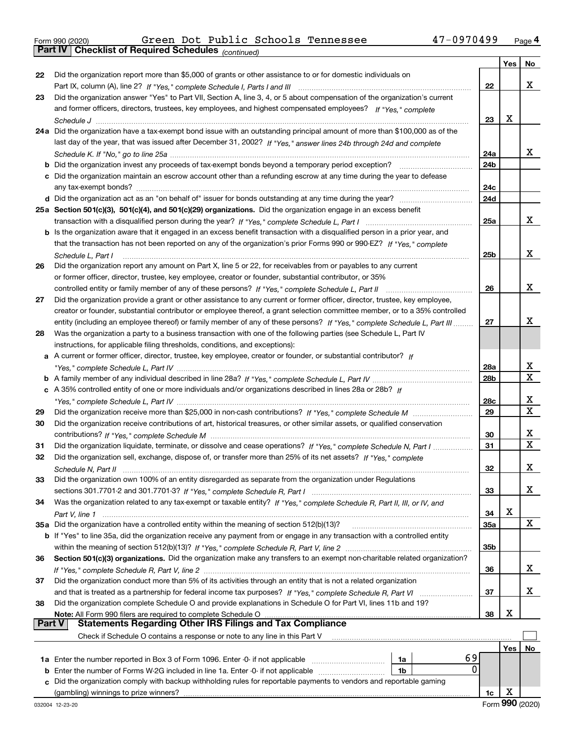|  | Form 990 (2020) |
|--|-----------------|
|  |                 |

*(continued)*

|               |                                                                                                                                                                                                                                        |                 | Yes | No                           |
|---------------|----------------------------------------------------------------------------------------------------------------------------------------------------------------------------------------------------------------------------------------|-----------------|-----|------------------------------|
| 22            | Did the organization report more than \$5,000 of grants or other assistance to or for domestic individuals on                                                                                                                          |                 |     |                              |
|               |                                                                                                                                                                                                                                        | 22              |     | X                            |
| 23            | Did the organization answer "Yes" to Part VII, Section A, line 3, 4, or 5 about compensation of the organization's current                                                                                                             |                 |     |                              |
|               | and former officers, directors, trustees, key employees, and highest compensated employees? If "Yes," complete                                                                                                                         |                 |     |                              |
|               |                                                                                                                                                                                                                                        | 23              | x   |                              |
|               | 24a Did the organization have a tax-exempt bond issue with an outstanding principal amount of more than \$100,000 as of the                                                                                                            |                 |     |                              |
|               | last day of the year, that was issued after December 31, 2002? If "Yes," answer lines 24b through 24d and complete                                                                                                                     |                 |     |                              |
|               |                                                                                                                                                                                                                                        | 24a             |     | x                            |
|               | <b>b</b> Did the organization invest any proceeds of tax-exempt bonds beyond a temporary period exception?                                                                                                                             | 24b             |     |                              |
|               | c Did the organization maintain an escrow account other than a refunding escrow at any time during the year to defease                                                                                                                 |                 |     |                              |
|               |                                                                                                                                                                                                                                        | 24c             |     |                              |
|               |                                                                                                                                                                                                                                        | 24d             |     |                              |
|               | 25a Section 501(c)(3), 501(c)(4), and 501(c)(29) organizations. Did the organization engage in an excess benefit                                                                                                                       |                 |     |                              |
|               |                                                                                                                                                                                                                                        | 25a             |     | X                            |
|               | b Is the organization aware that it engaged in an excess benefit transaction with a disqualified person in a prior year, and                                                                                                           |                 |     |                              |
|               | that the transaction has not been reported on any of the organization's prior Forms 990 or 990-EZ? If "Yes," complete                                                                                                                  |                 |     |                              |
|               | Schedule L, Part I                                                                                                                                                                                                                     | 25 <sub>b</sub> |     | x                            |
| 26            | Did the organization report any amount on Part X, line 5 or 22, for receivables from or payables to any current                                                                                                                        |                 |     |                              |
|               | or former officer, director, trustee, key employee, creator or founder, substantial contributor, or 35%                                                                                                                                |                 |     |                              |
|               | controlled entity or family member of any of these persons? If "Yes," complete Schedule L, Part II                                                                                                                                     | 26              |     | x                            |
| 27            | Did the organization provide a grant or other assistance to any current or former officer, director, trustee, key employee,                                                                                                            |                 |     |                              |
|               | creator or founder, substantial contributor or employee thereof, a grant selection committee member, or to a 35% controlled                                                                                                            |                 |     |                              |
|               | entity (including an employee thereof) or family member of any of these persons? If "Yes," complete Schedule L, Part III                                                                                                               | 27              |     | х                            |
| 28            | Was the organization a party to a business transaction with one of the following parties (see Schedule L, Part IV                                                                                                                      |                 |     |                              |
|               | instructions, for applicable filing thresholds, conditions, and exceptions):                                                                                                                                                           |                 |     |                              |
|               | A current or former officer, director, trustee, key employee, creator or founder, or substantial contributor? If                                                                                                                       |                 |     |                              |
|               |                                                                                                                                                                                                                                        | 28a             |     | х                            |
|               |                                                                                                                                                                                                                                        | 28b             |     | $\mathbf X$                  |
|               | c A 35% controlled entity of one or more individuals and/or organizations described in lines 28a or 28b? If                                                                                                                            |                 |     |                              |
|               |                                                                                                                                                                                                                                        | 28c             |     | х<br>$\overline{\mathbf{x}}$ |
| 29            |                                                                                                                                                                                                                                        | 29              |     |                              |
| 30            | Did the organization receive contributions of art, historical treasures, or other similar assets, or qualified conservation                                                                                                            |                 |     | х                            |
|               |                                                                                                                                                                                                                                        | 30              |     | $\mathbf X$                  |
| 31            | Did the organization liquidate, terminate, or dissolve and cease operations? If "Yes," complete Schedule N, Part I<br>Did the organization sell, exchange, dispose of, or transfer more than 25% of its net assets? If "Yes," complete | 31              |     |                              |
| 32            |                                                                                                                                                                                                                                        | 32              |     | х                            |
| 33            | Did the organization own 100% of an entity disregarded as separate from the organization under Regulations                                                                                                                             |                 |     |                              |
|               |                                                                                                                                                                                                                                        | 33              |     | x                            |
| 34            | Was the organization related to any tax-exempt or taxable entity? If "Yes," complete Schedule R, Part II, III, or IV, and                                                                                                              |                 |     |                              |
|               |                                                                                                                                                                                                                                        | 34              | х   |                              |
|               | 35a Did the organization have a controlled entity within the meaning of section 512(b)(13)?                                                                                                                                            | 35a             |     | x                            |
|               | b If "Yes" to line 35a, did the organization receive any payment from or engage in any transaction with a controlled entity                                                                                                            |                 |     |                              |
|               |                                                                                                                                                                                                                                        | 35b             |     |                              |
| 36            | Section 501(c)(3) organizations. Did the organization make any transfers to an exempt non-charitable related organization?                                                                                                             |                 |     |                              |
|               |                                                                                                                                                                                                                                        | 36              |     | x                            |
| 37            | Did the organization conduct more than 5% of its activities through an entity that is not a related organization                                                                                                                       |                 |     |                              |
|               |                                                                                                                                                                                                                                        | 37              |     | x                            |
| 38            | Did the organization complete Schedule O and provide explanations in Schedule O for Part VI, lines 11b and 19?                                                                                                                         |                 |     |                              |
|               | Note: All Form 990 filers are required to complete Schedule O                                                                                                                                                                          | 38              | х   |                              |
| <b>Part V</b> | <b>Statements Regarding Other IRS Filings and Tax Compliance</b>                                                                                                                                                                       |                 |     |                              |
|               | Check if Schedule O contains a response or note to any line in this Part V                                                                                                                                                             |                 |     |                              |
|               |                                                                                                                                                                                                                                        |                 | Yes | No                           |
|               | 69<br>1a Enter the number reported in Box 3 of Form 1096. Enter -0- if not applicable<br>1a                                                                                                                                            |                 |     |                              |
| b             | 0<br>Enter the number of Forms W-2G included in line 1a. Enter -0- if not applicable<br>1b                                                                                                                                             |                 |     |                              |
| c             | Did the organization comply with backup withholding rules for reportable payments to vendors and reportable gaming                                                                                                                     |                 | х   |                              |
|               | (gambling) winnings to prize winners?                                                                                                                                                                                                  | 1c              |     |                              |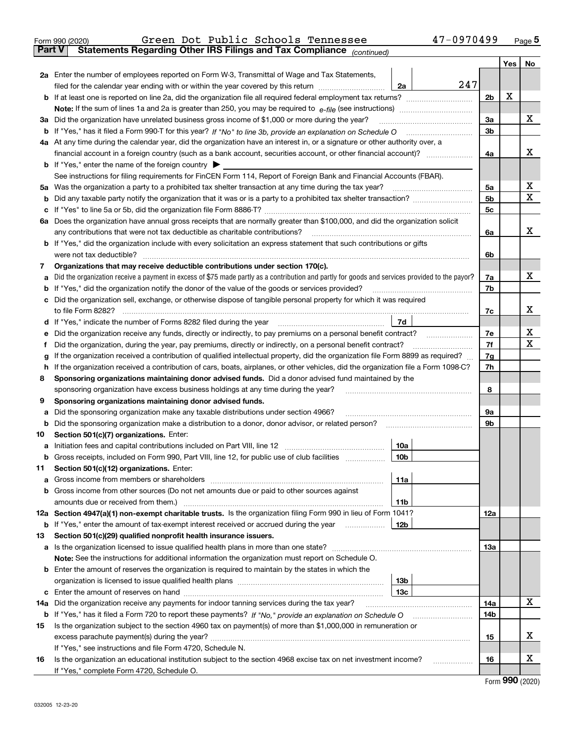|               | 47-0970499<br>Green Dot Public Schools Tennessee<br>Form 990 (2020)                                                                                                                                                                                        |                |     | Page $5$                    |
|---------------|------------------------------------------------------------------------------------------------------------------------------------------------------------------------------------------------------------------------------------------------------------|----------------|-----|-----------------------------|
| <b>Part V</b> | Statements Regarding Other IRS Filings and Tax Compliance (continued)                                                                                                                                                                                      |                |     |                             |
|               |                                                                                                                                                                                                                                                            |                | Yes | No                          |
|               | 2a Enter the number of employees reported on Form W-3, Transmittal of Wage and Tax Statements,                                                                                                                                                             |                |     |                             |
|               | 247<br>filed for the calendar year ending with or within the year covered by this return<br>2a                                                                                                                                                             |                |     |                             |
|               |                                                                                                                                                                                                                                                            | 2b             | X   |                             |
|               |                                                                                                                                                                                                                                                            |                |     |                             |
|               | 3a Did the organization have unrelated business gross income of \$1,000 or more during the year?                                                                                                                                                           | 3a             |     | x                           |
|               |                                                                                                                                                                                                                                                            | 3b             |     |                             |
|               | 4a At any time during the calendar year, did the organization have an interest in, or a signature or other authority over, a                                                                                                                               |                |     |                             |
|               |                                                                                                                                                                                                                                                            | 4a             |     | x                           |
|               | <b>b</b> If "Yes," enter the name of the foreign country $\triangleright$                                                                                                                                                                                  |                |     |                             |
|               | See instructions for filing requirements for FinCEN Form 114, Report of Foreign Bank and Financial Accounts (FBAR).                                                                                                                                        |                |     |                             |
|               |                                                                                                                                                                                                                                                            | 5a             |     | X                           |
| b             |                                                                                                                                                                                                                                                            | 5 <sub>b</sub> |     | х                           |
| c             |                                                                                                                                                                                                                                                            | 5c             |     |                             |
|               | 6a Does the organization have annual gross receipts that are normally greater than \$100,000, and did the organization solicit                                                                                                                             |                |     |                             |
|               |                                                                                                                                                                                                                                                            | 6a             |     | x                           |
|               | <b>b</b> If "Yes," did the organization include with every solicitation an express statement that such contributions or gifts                                                                                                                              |                |     |                             |
|               | were not tax deductible?                                                                                                                                                                                                                                   | 6b             |     |                             |
| 7             | Organizations that may receive deductible contributions under section 170(c).                                                                                                                                                                              |                |     |                             |
| а             | Did the organization receive a payment in excess of \$75 made partly as a contribution and partly for goods and services provided to the payor?                                                                                                            | 7a             |     | x                           |
| b             | If "Yes," did the organization notify the donor of the value of the goods or services provided?                                                                                                                                                            | 7b             |     |                             |
|               | c Did the organization sell, exchange, or otherwise dispose of tangible personal property for which it was required                                                                                                                                        |                |     |                             |
|               |                                                                                                                                                                                                                                                            | 7c             |     | х                           |
|               |                                                                                                                                                                                                                                                            |                |     |                             |
| е             | Did the organization receive any funds, directly or indirectly, to pay premiums on a personal benefit contract?                                                                                                                                            | 7e             |     | X                           |
| f             | Did the organization, during the year, pay premiums, directly or indirectly, on a personal benefit contract?                                                                                                                                               | 7f             |     | х                           |
| g             | If the organization received a contribution of qualified intellectual property, did the organization file Form 8899 as required?                                                                                                                           | 7g             |     |                             |
| h             | If the organization received a contribution of cars, boats, airplanes, or other vehicles, did the organization file a Form 1098-C?                                                                                                                         | 7h             |     |                             |
| 8             | Sponsoring organizations maintaining donor advised funds. Did a donor advised fund maintained by the                                                                                                                                                       |                |     |                             |
|               | sponsoring organization have excess business holdings at any time during the year?                                                                                                                                                                         | 8              |     |                             |
| 9             | Sponsoring organizations maintaining donor advised funds.                                                                                                                                                                                                  |                |     |                             |
| а             | Did the sponsoring organization make any taxable distributions under section 4966?                                                                                                                                                                         | 9а             |     |                             |
| b             |                                                                                                                                                                                                                                                            | 9b             |     |                             |
| 10            | Section 501(c)(7) organizations. Enter:                                                                                                                                                                                                                    |                |     |                             |
|               | 10a                                                                                                                                                                                                                                                        |                |     |                             |
|               | 10b <br>Gross receipts, included on Form 990, Part VIII, line 12, for public use of club facilities                                                                                                                                                        |                |     |                             |
| 11            | Section 501(c)(12) organizations. Enter:                                                                                                                                                                                                                   |                |     |                             |
|               | 11a                                                                                                                                                                                                                                                        |                |     |                             |
|               | b Gross income from other sources (Do not net amounts due or paid to other sources against                                                                                                                                                                 |                |     |                             |
|               | <b>11b</b>                                                                                                                                                                                                                                                 |                |     |                             |
|               | 12a Section 4947(a)(1) non-exempt charitable trusts. Is the organization filing Form 990 in lieu of Form 1041?                                                                                                                                             | 12a            |     |                             |
|               | 12 <sub>b</sub><br><b>b</b> If "Yes," enter the amount of tax-exempt interest received or accrued during the year <i>manument</i> of the set of the set of the set of the set of the set of the set of the set of the set of the set of the set of the set |                |     |                             |
| 13            | Section 501(c)(29) qualified nonprofit health insurance issuers.                                                                                                                                                                                           |                |     |                             |
|               | a Is the organization licensed to issue qualified health plans in more than one state?                                                                                                                                                                     | 13a            |     |                             |
|               | Note: See the instructions for additional information the organization must report on Schedule O.                                                                                                                                                          |                |     |                             |
|               | <b>b</b> Enter the amount of reserves the organization is required to maintain by the states in which the                                                                                                                                                  |                |     |                             |
|               | 13b                                                                                                                                                                                                                                                        |                |     |                             |
|               | 13с                                                                                                                                                                                                                                                        |                |     |                             |
| 14a           | Did the organization receive any payments for indoor tanning services during the tax year?                                                                                                                                                                 | 14a            |     | X                           |
|               | <b>b</b> If "Yes," has it filed a Form 720 to report these payments? If "No," provide an explanation on Schedule O                                                                                                                                         | 14b            |     |                             |
| 15            | Is the organization subject to the section 4960 tax on payment(s) of more than \$1,000,000 in remuneration or                                                                                                                                              |                |     |                             |
|               |                                                                                                                                                                                                                                                            | 15             |     | х                           |
|               | If "Yes," see instructions and file Form 4720, Schedule N.                                                                                                                                                                                                 |                |     |                             |
| 16            | Is the organization an educational institution subject to the section 4968 excise tax on net investment income?                                                                                                                                            | 16             |     | х                           |
|               | If "Yes," complete Form 4720, Schedule O.                                                                                                                                                                                                                  |                |     |                             |
|               |                                                                                                                                                                                                                                                            |                |     | $F_{\text{orm}}$ 990 (2020) |

Form (2020) **990**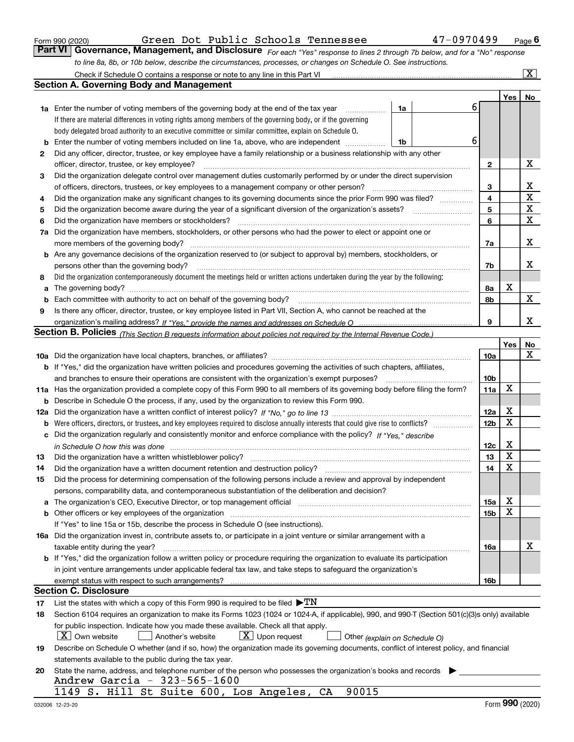|  | Form 990 (2020) |
|--|-----------------|
|  |                 |

|  |  |  |  | Green Dot Public Schools Tennessee |
|--|--|--|--|------------------------------------|
|--|--|--|--|------------------------------------|

*For each "Yes" response to lines 2 through 7b below, and for a "No" response to line 8a, 8b, or 10b below, describe the circumstances, processes, or changes on Schedule O. See instructions.* Form 990 (2020) **Chart Contempo Citem Boot Public Schools Tennessee 47-0970499** Page **6**<br>**Part VI Governance, Management, and Disclosure** For each "Yes" response to lines 2 through 7b below, and for a "No" response

|    | Check if Schedule O contains a response or note to any line in this Part VI                                                                                                                                                    |                         |     | $\overline{\text{X}}$ |
|----|--------------------------------------------------------------------------------------------------------------------------------------------------------------------------------------------------------------------------------|-------------------------|-----|-----------------------|
|    | Section A. Governing Body and Management                                                                                                                                                                                       |                         |     |                       |
|    |                                                                                                                                                                                                                                |                         | Yes | No                    |
|    | 1a<br><b>1a</b> Enter the number of voting members of the governing body at the end of the tax year                                                                                                                            | 6                       |     |                       |
|    | If there are material differences in voting rights among members of the governing body, or if the governing                                                                                                                    |                         |     |                       |
|    | body delegated broad authority to an executive committee or similar committee, explain on Schedule O.                                                                                                                          |                         |     |                       |
| b  | Enter the number of voting members included on line 1a, above, who are independent<br>1b                                                                                                                                       | 6                       |     |                       |
| 2  | Did any officer, director, trustee, or key employee have a family relationship or a business relationship with any other                                                                                                       |                         |     |                       |
|    | officer, director, trustee, or key employee?                                                                                                                                                                                   | 2                       |     | х                     |
| 3  | Did the organization delegate control over management duties customarily performed by or under the direct supervision                                                                                                          |                         |     |                       |
|    | of officers, directors, trustees, or key employees to a management company or other person?                                                                                                                                    | 3                       |     | x                     |
| 4  | Did the organization make any significant changes to its governing documents since the prior Form 990 was filed?                                                                                                               | $\overline{\mathbf{4}}$ |     | $\mathbf X$           |
| 5  | Did the organization become aware during the year of a significant diversion of the organization's assets?                                                                                                                     | 5                       |     | $\mathbf X$           |
| 6  | Did the organization have members or stockholders?                                                                                                                                                                             | 6                       |     | $\mathbf X$           |
| 7a | Did the organization have members, stockholders, or other persons who had the power to elect or appoint one or                                                                                                                 |                         |     |                       |
|    | more members of the governing body?                                                                                                                                                                                            | 7a                      |     | х                     |
|    | <b>b</b> Are any governance decisions of the organization reserved to (or subject to approval by) members, stockholders, or                                                                                                    |                         |     |                       |
|    | persons other than the governing body?                                                                                                                                                                                         | 7b                      |     | х                     |
| 8  | Did the organization contemporaneously document the meetings held or written actions undertaken during the year by the following:                                                                                              |                         |     |                       |
| a  | The governing body?                                                                                                                                                                                                            | 8а                      | х   |                       |
| b  | Each committee with authority to act on behalf of the governing body?                                                                                                                                                          | 8b                      |     | X                     |
| 9  | Is there any officer, director, trustee, or key employee listed in Part VII, Section A, who cannot be reached at the                                                                                                           |                         |     |                       |
|    |                                                                                                                                                                                                                                | 9                       |     | х                     |
|    | Section B. Policies <sub>(This Section B requests information about policies not required by the Internal Revenue Code.)</sub>                                                                                                 |                         |     |                       |
|    |                                                                                                                                                                                                                                |                         | Yes | No                    |
|    |                                                                                                                                                                                                                                | 10a                     |     | х                     |
|    | <b>b</b> If "Yes," did the organization have written policies and procedures governing the activities of such chapters, affiliates,                                                                                            |                         |     |                       |
|    | and branches to ensure their operations are consistent with the organization's exempt purposes?                                                                                                                                | 10 <sub>b</sub>         |     |                       |
|    | 11a Has the organization provided a complete copy of this Form 990 to all members of its governing body before filing the form?                                                                                                | 11a                     | X   |                       |
|    | <b>b</b> Describe in Schedule O the process, if any, used by the organization to review this Form 990.                                                                                                                         |                         |     |                       |
|    |                                                                                                                                                                                                                                | 12a                     | х   |                       |
|    |                                                                                                                                                                                                                                | 12 <sub>b</sub>         | Х   |                       |
|    | c Did the organization regularly and consistently monitor and enforce compliance with the policy? If "Yes," describe                                                                                                           |                         |     |                       |
|    | in Schedule O how this was done <i>manually contained as a contained to be set a</i> contained and the set of the set o                                                                                                        | 12c                     | х   |                       |
| 13 | Did the organization have a written whistleblower policy?                                                                                                                                                                      | 13                      | X   |                       |
| 14 | Did the organization have a written document retention and destruction policy?                                                                                                                                                 | 14                      | X   |                       |
| 15 | Did the process for determining compensation of the following persons include a review and approval by independent                                                                                                             |                         |     |                       |
|    | persons, comparability data, and contemporaneous substantiation of the deliberation and decision?                                                                                                                              |                         |     |                       |
|    | a The organization's CEO, Executive Director, or top management official manufactured content content of the organization's CEO, Executive Director, or top management official manufactured content of the state of the state | 15a                     | х   |                       |
|    | b Other officers or key employees of the organization manufactured content to the organization manufactured content of the organization manufactured content of the organization manufactured content of the organization manu | 15 <sub>b</sub>         | Х   |                       |
|    | If "Yes" to line 15a or 15b, describe the process in Schedule O (see instructions).                                                                                                                                            |                         |     |                       |
|    | 16a Did the organization invest in, contribute assets to, or participate in a joint venture or similar arrangement with a                                                                                                      |                         |     |                       |
|    | taxable entity during the year?                                                                                                                                                                                                | 16a                     |     | х                     |
|    | b If "Yes," did the organization follow a written policy or procedure requiring the organization to evaluate its participation                                                                                                 |                         |     |                       |
|    | in joint venture arrangements under applicable federal tax law, and take steps to safeguard the organization's                                                                                                                 |                         |     |                       |
|    |                                                                                                                                                                                                                                | 16b                     |     |                       |
|    | <b>Section C. Disclosure</b>                                                                                                                                                                                                   |                         |     |                       |
| 17 | List the states with which a copy of this Form 990 is required to be filed $\blacktriangleright TN$                                                                                                                            |                         |     |                       |
| 18 | Section 6104 requires an organization to make its Forms 1023 (1024 or 1024-A, if applicable), 990, and 990-T (Section 501(c)(3)s only) available                                                                               |                         |     |                       |
|    | for public inspection. Indicate how you made these available. Check all that apply.                                                                                                                                            |                         |     |                       |
|    | X   Own website<br>$\lfloor x \rfloor$ Upon request<br>Another's website<br>Other (explain on Schedule O)                                                                                                                      |                         |     |                       |
| 19 | Describe on Schedule O whether (and if so, how) the organization made its governing documents, conflict of interest policy, and financial                                                                                      |                         |     |                       |
|    | statements available to the public during the tax year.                                                                                                                                                                        |                         |     |                       |
| 20 | State the name, address, and telephone number of the person who possesses the organization's books and records                                                                                                                 |                         |     |                       |
|    | Andrew Garcia - 323-565-1600                                                                                                                                                                                                   |                         |     |                       |
|    | 90015<br>1149 S. Hill St Suite 600, Los Angeles,<br>CA                                                                                                                                                                         |                         |     |                       |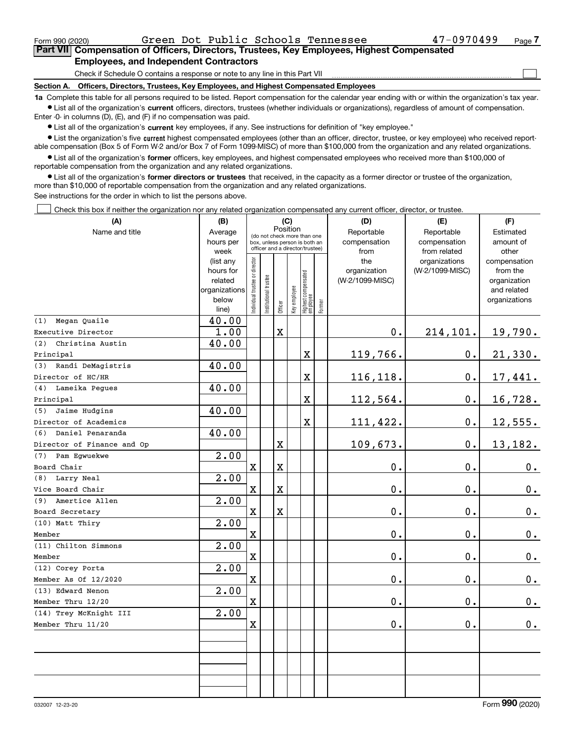$\mathcal{L}^{\text{max}}$ 

**7Part VII Compensation of Officers, Directors, Trustees, Key Employees, Highest Compensated Employees, and Independent Contractors**

Check if Schedule O contains a response or note to any line in this Part VII

**Section A. Officers, Directors, Trustees, Key Employees, and Highest Compensated Employees**

**1a**  Complete this table for all persons required to be listed. Report compensation for the calendar year ending with or within the organization's tax year. **•** List all of the organization's current officers, directors, trustees (whether individuals or organizations), regardless of amount of compensation.

Enter -0- in columns (D), (E), and (F) if no compensation was paid.

 $\bullet$  List all of the organization's  $\,$ current key employees, if any. See instructions for definition of "key employee."

**•** List the organization's five current highest compensated employees (other than an officer, director, trustee, or key employee) who received reportable compensation (Box 5 of Form W-2 and/or Box 7 of Form 1099-MISC) of more than \$100,000 from the organization and any related organizations.

**•** List all of the organization's former officers, key employees, and highest compensated employees who received more than \$100,000 of reportable compensation from the organization and any related organizations.

**former directors or trustees**  ¥ List all of the organization's that received, in the capacity as a former director or trustee of the organization, more than \$10,000 of reportable compensation from the organization and any related organizations.

See instructions for the order in which to list the persons above.

Check this box if neither the organization nor any related organization compensated any current officer, director, or trustee.  $\mathcal{L}^{\text{max}}$ 

| (A)                        | (B)               |                                |                             | (C)                                                              |              |                                   |        | (D)             | (E)                           | (F)                   |
|----------------------------|-------------------|--------------------------------|-----------------------------|------------------------------------------------------------------|--------------|-----------------------------------|--------|-----------------|-------------------------------|-----------------------|
| Name and title             | Average           |                                | (do not check more than one | Position                                                         |              |                                   |        | Reportable      | Reportable                    | Estimated             |
|                            | hours per         |                                |                             | box, unless person is both an<br>officer and a director/trustee) |              |                                   |        | compensation    | compensation                  | amount of             |
|                            | week<br>(list any |                                |                             |                                                                  |              |                                   |        | from<br>the     | from related<br>organizations | other<br>compensation |
|                            | hours for         |                                |                             |                                                                  |              |                                   |        | organization    | (W-2/1099-MISC)               | from the              |
|                            | related           |                                |                             |                                                                  |              |                                   |        | (W-2/1099-MISC) |                               | organization          |
|                            | organizations     |                                |                             |                                                                  |              |                                   |        |                 |                               | and related           |
|                            | below             | Individual trustee or director | Institutional trustee       |                                                                  | Key employee | Highest compensated<br>  employee | Former |                 |                               | organizations         |
|                            | line)             |                                |                             | Officer                                                          |              |                                   |        |                 |                               |                       |
| Megan Quaile<br>(1)        | 40.00             |                                |                             |                                                                  |              |                                   |        |                 |                               |                       |
| Executive Director         | 1.00              |                                |                             | $\mathbf X$                                                      |              |                                   |        | 0.              | 214,101.                      | 19,790.               |
| Christina Austin<br>(2)    | 40.00             |                                |                             |                                                                  |              |                                   |        |                 |                               |                       |
| Principal                  |                   |                                |                             |                                                                  |              | $\overline{\textbf{X}}$           |        | 119,766.        | 0.                            | 21,330.               |
| Randi DeMagistris<br>(3)   | 40.00             |                                |                             |                                                                  |              |                                   |        |                 |                               |                       |
| Director of HC/HR          |                   |                                |                             |                                                                  |              | X                                 |        | 116, 118.       | 0.                            | 17,441.               |
| Lameika Pegues<br>(4)      | 40.00             |                                |                             |                                                                  |              |                                   |        |                 |                               |                       |
| Principal                  |                   |                                |                             |                                                                  |              | $\overline{\textbf{X}}$           |        | 112,564.        | 0.                            | 16,728.               |
| Jaime Hudgins<br>(5)       | 40.00             |                                |                             |                                                                  |              |                                   |        |                 |                               |                       |
| Director of Academics      |                   |                                |                             |                                                                  |              | $\mathbf X$                       |        | 111,422.        | 0.                            | 12,555.               |
| Daniel Penaranda<br>(6)    | 40.00             |                                |                             |                                                                  |              |                                   |        |                 |                               |                       |
| Director of Finance and Op |                   |                                |                             | X                                                                |              |                                   |        | 109,673.        | 0.                            | 13,182.               |
| Pam Eqwuekwe<br>(7)        | 2.00              |                                |                             |                                                                  |              |                                   |        |                 |                               |                       |
| Board Chair                |                   | $\mathbf X$                    |                             | X                                                                |              |                                   |        | 0.              | $\mathbf 0$ .                 | $0_{.}$               |
| Larry Neal<br>(8)          | 2.00              |                                |                             |                                                                  |              |                                   |        |                 |                               |                       |
| Vice Board Chair           |                   | $\mathbf X$                    |                             | X                                                                |              |                                   |        | $0$ .           | 0.                            | $\mathbf 0$ .         |
| Amertice Allen<br>(9)      | $\overline{2.00}$ |                                |                             |                                                                  |              |                                   |        |                 |                               |                       |
| Board Secretary            |                   | $\mathbf X$                    |                             | $\mathbf X$                                                      |              |                                   |        | $\mathbf 0$ .   | 0.                            | 0.                    |
| (10) Matt Thiry            | 2.00              |                                |                             |                                                                  |              |                                   |        |                 |                               |                       |
| Member                     |                   | $\mathbf X$                    |                             |                                                                  |              |                                   |        | $\mathbf 0$ .   | 0.                            | $\mathbf 0$ .         |
| (11) Chilton Simmons       | 2.00              |                                |                             |                                                                  |              |                                   |        |                 |                               |                       |
| Member                     |                   | $\mathbf X$                    |                             |                                                                  |              |                                   |        | $\mathbf 0$ .   | $\mathbf 0$ .                 | $\mathbf 0$ .         |
| (12) Corey Porta           | 2.00              |                                |                             |                                                                  |              |                                   |        |                 |                               |                       |
| Member As Of 12/2020       |                   | $\mathbf X$                    |                             |                                                                  |              |                                   |        | 0.              | $\mathbf 0$ .                 | 0.                    |
| (13) Edward Nenon          | 2.00              |                                |                             |                                                                  |              |                                   |        |                 |                               |                       |
| Member Thru 12/20          |                   | $\mathbf x$                    |                             |                                                                  |              |                                   |        | $\mathbf 0$ .   | $\mathbf 0$ .                 | $\mathbf 0$ .         |
| (14) Trey McKnight III     | 2.00              |                                |                             |                                                                  |              |                                   |        |                 |                               |                       |
| Member Thru 11/20          |                   | $\mathbf X$                    |                             |                                                                  |              |                                   |        | $\mathbf 0$ .   | 0.                            | $0$ .                 |
|                            |                   |                                |                             |                                                                  |              |                                   |        |                 |                               |                       |
|                            |                   |                                |                             |                                                                  |              |                                   |        |                 |                               |                       |
|                            |                   |                                |                             |                                                                  |              |                                   |        |                 |                               |                       |
|                            |                   |                                |                             |                                                                  |              |                                   |        |                 |                               |                       |
|                            |                   |                                |                             |                                                                  |              |                                   |        |                 |                               |                       |
|                            |                   |                                |                             |                                                                  |              |                                   |        |                 |                               |                       |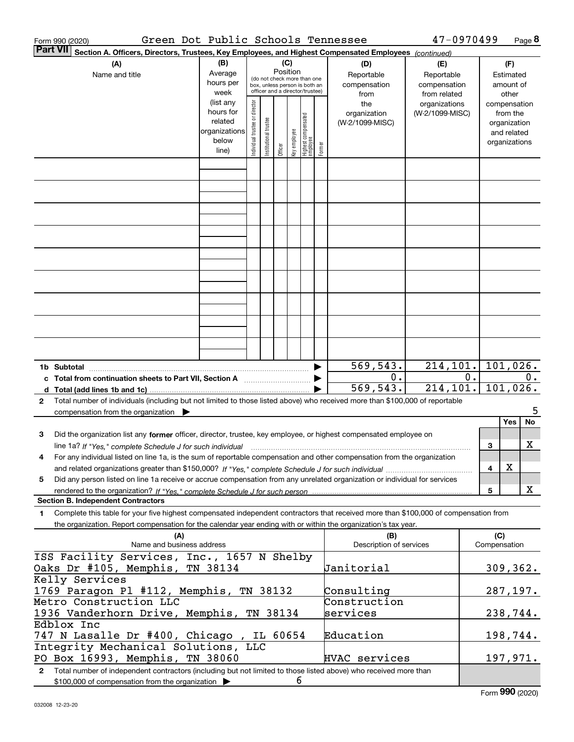| Green Dot Public Schools Tennessee<br>Form 990 (2020)                                                                                                                                                                                                                              |                                                                                                        |                                |                       |                 |              |                                                                  |        |                                | 47-0970499                   |          |                     | Page 8        |
|------------------------------------------------------------------------------------------------------------------------------------------------------------------------------------------------------------------------------------------------------------------------------------|--------------------------------------------------------------------------------------------------------|--------------------------------|-----------------------|-----------------|--------------|------------------------------------------------------------------|--------|--------------------------------|------------------------------|----------|---------------------|---------------|
| <b>Part VII</b>                                                                                                                                                                                                                                                                    | Section A. Officers, Directors, Trustees, Key Employees, and Highest Compensated Employees (continued) |                                |                       |                 |              |                                                                  |        |                                |                              |          |                     |               |
| (A)                                                                                                                                                                                                                                                                                | (B)                                                                                                    |                                |                       | (C)<br>Position |              |                                                                  |        | (D)                            | (E)                          |          | (F)                 |               |
| Name and title                                                                                                                                                                                                                                                                     | Average<br>hours per                                                                                   |                                |                       |                 |              | (do not check more than one                                      |        | Reportable                     | Reportable                   |          | Estimated           | amount of     |
|                                                                                                                                                                                                                                                                                    | week                                                                                                   |                                |                       |                 |              | box, unless person is both an<br>officer and a director/trustee) |        | compensation<br>from           | compensation<br>from related |          |                     | other         |
|                                                                                                                                                                                                                                                                                    | (list any                                                                                              |                                |                       |                 |              |                                                                  |        | the                            | organizations                |          |                     | compensation  |
|                                                                                                                                                                                                                                                                                    | hours for                                                                                              |                                |                       |                 |              |                                                                  |        | organization                   | (W-2/1099-MISC)              |          |                     | from the      |
|                                                                                                                                                                                                                                                                                    | related                                                                                                |                                |                       |                 |              |                                                                  |        | (W-2/1099-MISC)                |                              |          |                     | organization  |
|                                                                                                                                                                                                                                                                                    | organizations<br>below                                                                                 |                                |                       |                 |              |                                                                  |        |                                |                              |          | and related         | organizations |
|                                                                                                                                                                                                                                                                                    | line)                                                                                                  | Individual trustee or director | Institutional trustee | Officer         | Key employee | Highest compensated<br>employee                                  | Former |                                |                              |          |                     |               |
|                                                                                                                                                                                                                                                                                    |                                                                                                        |                                |                       |                 |              |                                                                  |        |                                |                              |          |                     |               |
|                                                                                                                                                                                                                                                                                    |                                                                                                        |                                |                       |                 |              |                                                                  |        |                                |                              |          |                     |               |
|                                                                                                                                                                                                                                                                                    |                                                                                                        |                                |                       |                 |              |                                                                  |        |                                |                              |          |                     |               |
|                                                                                                                                                                                                                                                                                    |                                                                                                        |                                |                       |                 |              |                                                                  |        |                                |                              |          |                     |               |
|                                                                                                                                                                                                                                                                                    |                                                                                                        |                                |                       |                 |              |                                                                  |        |                                |                              |          |                     |               |
|                                                                                                                                                                                                                                                                                    |                                                                                                        |                                |                       |                 |              |                                                                  |        |                                |                              |          |                     |               |
|                                                                                                                                                                                                                                                                                    |                                                                                                        |                                |                       |                 |              |                                                                  |        |                                |                              |          |                     |               |
|                                                                                                                                                                                                                                                                                    |                                                                                                        |                                |                       |                 |              |                                                                  |        |                                |                              |          |                     |               |
|                                                                                                                                                                                                                                                                                    |                                                                                                        |                                |                       |                 |              |                                                                  |        |                                |                              |          |                     |               |
|                                                                                                                                                                                                                                                                                    |                                                                                                        |                                |                       |                 |              |                                                                  |        |                                |                              |          |                     |               |
|                                                                                                                                                                                                                                                                                    |                                                                                                        |                                |                       |                 |              |                                                                  |        |                                |                              |          |                     |               |
|                                                                                                                                                                                                                                                                                    |                                                                                                        |                                |                       |                 |              |                                                                  |        |                                |                              |          |                     |               |
|                                                                                                                                                                                                                                                                                    |                                                                                                        |                                |                       |                 |              |                                                                  |        |                                |                              |          |                     |               |
|                                                                                                                                                                                                                                                                                    |                                                                                                        |                                |                       |                 |              |                                                                  |        |                                |                              |          |                     |               |
|                                                                                                                                                                                                                                                                                    |                                                                                                        |                                |                       |                 |              |                                                                  |        |                                |                              |          |                     |               |
|                                                                                                                                                                                                                                                                                    |                                                                                                        |                                |                       |                 |              |                                                                  |        |                                |                              |          |                     |               |
| 569,543.<br>214, 101.<br>1b Subtotal                                                                                                                                                                                                                                               |                                                                                                        |                                |                       |                 |              |                                                                  |        |                                |                              | 101,026. |                     |               |
| c Total from continuation sheets to Part VII, Section A [11] [12] [20] [20]                                                                                                                                                                                                        |                                                                                                        |                                |                       |                 |              |                                                                  |        | 0.                             |                              | 0.       |                     | $0$ .         |
|                                                                                                                                                                                                                                                                                    |                                                                                                        |                                |                       |                 |              |                                                                  |        | 569, 543.                      | 214, 101.                    |          |                     | 101,026.      |
| Total number of individuals (including but not limited to those listed above) who received more than \$100,000 of reportable<br>$\mathbf{2}$                                                                                                                                       |                                                                                                        |                                |                       |                 |              |                                                                  |        |                                |                              |          |                     |               |
| compensation from the organization $\blacktriangleright$                                                                                                                                                                                                                           |                                                                                                        |                                |                       |                 |              |                                                                  |        |                                |                              |          |                     | 5             |
|                                                                                                                                                                                                                                                                                    |                                                                                                        |                                |                       |                 |              |                                                                  |        |                                |                              |          | Yes                 | No            |
| Did the organization list any former officer, director, trustee, key employee, or highest compensated employee on<br>З                                                                                                                                                             |                                                                                                        |                                |                       |                 |              |                                                                  |        |                                |                              |          | 3                   | х             |
| line 1a? If "Yes," complete Schedule J for such individual material content content to the content of the complete Schedule J for such individual<br>For any individual listed on line 1a, is the sum of reportable compensation and other compensation from the organization<br>4 |                                                                                                        |                                |                       |                 |              |                                                                  |        |                                |                              |          |                     |               |
|                                                                                                                                                                                                                                                                                    |                                                                                                        |                                |                       |                 |              |                                                                  |        |                                |                              |          | X<br>4              |               |
| Did any person listed on line 1a receive or accrue compensation from any unrelated organization or individual for services<br>5                                                                                                                                                    |                                                                                                        |                                |                       |                 |              |                                                                  |        |                                |                              |          |                     |               |
| rendered to the organization? If "Yes." complete Schedule J for such person                                                                                                                                                                                                        |                                                                                                        |                                |                       |                 |              |                                                                  |        |                                |                              |          | 5                   | x             |
| <b>Section B. Independent Contractors</b>                                                                                                                                                                                                                                          |                                                                                                        |                                |                       |                 |              |                                                                  |        |                                |                              |          |                     |               |
| Complete this table for your five highest compensated independent contractors that received more than \$100,000 of compensation from<br>1                                                                                                                                          |                                                                                                        |                                |                       |                 |              |                                                                  |        |                                |                              |          |                     |               |
| the organization. Report compensation for the calendar year ending with or within the organization's tax year.                                                                                                                                                                     |                                                                                                        |                                |                       |                 |              |                                                                  |        |                                |                              |          |                     |               |
| (A)<br>Name and business address                                                                                                                                                                                                                                                   |                                                                                                        |                                |                       |                 |              |                                                                  |        | (B)<br>Description of services |                              |          | (C)<br>Compensation |               |
| ISS Facility Services, Inc., 1657 N Shelby                                                                                                                                                                                                                                         |                                                                                                        |                                |                       |                 |              |                                                                  |        |                                |                              |          |                     |               |
| Oaks Dr #105, Memphis, TN 38134                                                                                                                                                                                                                                                    |                                                                                                        |                                |                       |                 |              |                                                                  |        | <b>Janitorial</b>              |                              |          |                     | 309, 362.     |
| Kelly Services                                                                                                                                                                                                                                                                     |                                                                                                        |                                |                       |                 |              |                                                                  |        |                                |                              |          |                     |               |
| 1769 Paragon Pl #112, Memphis, TN 38132                                                                                                                                                                                                                                            |                                                                                                        |                                |                       |                 |              |                                                                  |        | Consulting                     |                              |          |                     | 287,197.      |
| Metro Construction LLC                                                                                                                                                                                                                                                             |                                                                                                        |                                |                       |                 |              |                                                                  |        | Construction                   |                              |          |                     |               |
| 1936 Vanderhorn Drive, Memphis, TN 38134                                                                                                                                                                                                                                           |                                                                                                        |                                |                       |                 |              |                                                                  |        | services                       |                              |          |                     | 238,744.      |
| Edblox Inc                                                                                                                                                                                                                                                                         |                                                                                                        |                                |                       |                 |              |                                                                  |        |                                |                              |          |                     |               |
| 747 N Lasalle Dr #400, Chicago, IL 60654<br>Integrity Mechanical Solutions, LLC                                                                                                                                                                                                    |                                                                                                        |                                |                       |                 |              |                                                                  |        | Education                      |                              |          |                     | 198,744.      |
| PO Box 16993, Memphis, TN 38060                                                                                                                                                                                                                                                    |                                                                                                        |                                |                       |                 |              |                                                                  |        | HVAC services                  |                              |          |                     | 197,971.      |
| Total number of independent contractors (including but not limited to those listed above) who received more than<br>$\mathbf{2}$                                                                                                                                                   |                                                                                                        |                                |                       |                 |              |                                                                  |        |                                |                              |          |                     |               |
| \$100,000 of compensation from the organization >                                                                                                                                                                                                                                  |                                                                                                        |                                |                       |                 | 6            |                                                                  |        |                                |                              |          |                     |               |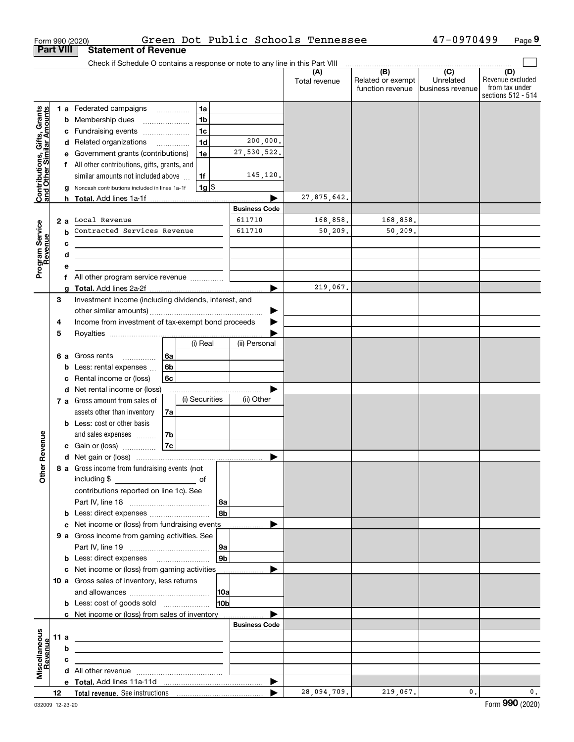|                                                           |                  | Form 990 (2020)                                                                                                      |                                      |                |                      | Green Dot Public Schools Tennessee |                                              | 47-0970499                                       | Page 9                                                          |
|-----------------------------------------------------------|------------------|----------------------------------------------------------------------------------------------------------------------|--------------------------------------|----------------|----------------------|------------------------------------|----------------------------------------------|--------------------------------------------------|-----------------------------------------------------------------|
|                                                           | <b>Part VIII</b> | <b>Statement of Revenue</b>                                                                                          |                                      |                |                      |                                    |                                              |                                                  |                                                                 |
|                                                           |                  | Check if Schedule O contains a response or note to any line in this Part VIII                                        |                                      |                |                      |                                    |                                              |                                                  |                                                                 |
|                                                           |                  |                                                                                                                      |                                      |                |                      | (A)<br>Total revenue               | (B)<br>Related or exempt<br>function revenue | $\overline{C}$<br>Unrelated<br>lbusiness revenue | (D)<br>Revenue excluded<br>from tax under<br>sections 512 - 514 |
|                                                           |                  | 1 a Federated campaigns                                                                                              |                                      | 1a             |                      |                                    |                                              |                                                  |                                                                 |
|                                                           |                  | <b>b</b> Membership dues                                                                                             | $\ldots \ldots \ldots \ldots \ldots$ | 1 <sub>b</sub> |                      |                                    |                                              |                                                  |                                                                 |
| Contributions, Gifts, Grants<br>and Other Similar Amounts |                  | c Fundraising events                                                                                                 |                                      | 1 <sub>c</sub> |                      |                                    |                                              |                                                  |                                                                 |
|                                                           |                  | d Related organizations                                                                                              |                                      | 1 <sub>d</sub> | 200,000.             |                                    |                                              |                                                  |                                                                 |
|                                                           | е                | Government grants (contributions)                                                                                    |                                      | 1e             | 27,530,522.          |                                    |                                              |                                                  |                                                                 |
|                                                           |                  | f All other contributions, gifts, grants, and                                                                        |                                      |                |                      |                                    |                                              |                                                  |                                                                 |
|                                                           |                  | similar amounts not included above                                                                                   |                                      | 1f             | 145,120.             |                                    |                                              |                                                  |                                                                 |
|                                                           | g                | Noncash contributions included in lines 1a-1f                                                                        |                                      | $1g$ \$        |                      |                                    |                                              |                                                  |                                                                 |
|                                                           |                  |                                                                                                                      |                                      |                |                      | 27,875,642.                        |                                              |                                                  |                                                                 |
|                                                           |                  |                                                                                                                      |                                      |                | <b>Business Code</b> |                                    |                                              |                                                  |                                                                 |
| Program Service<br>Revenue                                |                  | 2 a Local Revenue                                                                                                    |                                      |                | 611710               | 168,858.                           | 168,858.                                     |                                                  |                                                                 |
|                                                           | b                | Contracted Services Revenue                                                                                          |                                      |                | 611710               | 50,209.                            | 50,209.                                      |                                                  |                                                                 |
|                                                           | с                | the control of the control of the control of the control of the control of                                           |                                      |                |                      |                                    |                                              |                                                  |                                                                 |
|                                                           | d                | <u> 1989 - Johann Barn, amerikansk politiker (d. 1989)</u>                                                           |                                      |                |                      |                                    |                                              |                                                  |                                                                 |
|                                                           | е<br>f           | All other program service revenue                                                                                    |                                      |                |                      |                                    |                                              |                                                  |                                                                 |
|                                                           |                  |                                                                                                                      |                                      |                |                      | 219,067.                           |                                              |                                                  |                                                                 |
|                                                           | 3                | Investment income (including dividends, interest, and                                                                |                                      |                |                      |                                    |                                              |                                                  |                                                                 |
|                                                           |                  |                                                                                                                      |                                      |                |                      |                                    |                                              |                                                  |                                                                 |
|                                                           | 4                | Income from investment of tax-exempt bond proceeds                                                                   |                                      |                |                      |                                    |                                              |                                                  |                                                                 |
|                                                           | 5                |                                                                                                                      |                                      |                |                      |                                    |                                              |                                                  |                                                                 |
|                                                           |                  |                                                                                                                      |                                      | (i) Real       | (ii) Personal        |                                    |                                              |                                                  |                                                                 |
|                                                           |                  | <b>6 a</b> Gross rents                                                                                               | 6a                                   |                |                      |                                    |                                              |                                                  |                                                                 |
|                                                           | b                | Less: rental expenses                                                                                                | 6 <sub>b</sub>                       |                |                      |                                    |                                              |                                                  |                                                                 |
|                                                           | с                | Rental income or (loss)                                                                                              | 6c                                   |                |                      |                                    |                                              |                                                  |                                                                 |
|                                                           |                  | d Net rental income or (loss)                                                                                        |                                      |                |                      |                                    |                                              |                                                  |                                                                 |
|                                                           |                  | 7 a Gross amount from sales of                                                                                       |                                      | (i) Securities | (ii) Other           |                                    |                                              |                                                  |                                                                 |
|                                                           |                  | assets other than inventory                                                                                          | 7a                                   |                |                      |                                    |                                              |                                                  |                                                                 |
|                                                           |                  | <b>b</b> Less: cost or other basis                                                                                   |                                      |                |                      |                                    |                                              |                                                  |                                                                 |
|                                                           |                  | and sales expenses                                                                                                   | 7b                                   |                |                      |                                    |                                              |                                                  |                                                                 |
|                                                           |                  | c Gain or (loss)                                                                                                     | 7c                                   |                |                      |                                    |                                              |                                                  |                                                                 |
|                                                           |                  |                                                                                                                      |                                      |                |                      |                                    |                                              |                                                  |                                                                 |
|                                                           |                  | 8 a Gross income from fundraising events (not                                                                        |                                      |                |                      |                                    |                                              |                                                  |                                                                 |
|                                                           |                  |                                                                                                                      |                                      |                |                      |                                    |                                              |                                                  |                                                                 |
|                                                           |                  | contributions reported on line 1c). See                                                                              |                                      |                |                      |                                    |                                              |                                                  |                                                                 |
|                                                           |                  |                                                                                                                      |                                      | 8a<br>8b       |                      |                                    |                                              |                                                  |                                                                 |
|                                                           |                  | c Net income or (loss) from fundraising events                                                                       |                                      |                |                      |                                    |                                              |                                                  |                                                                 |
|                                                           |                  | 9 a Gross income from gaming activities. See                                                                         |                                      |                |                      |                                    |                                              |                                                  |                                                                 |
|                                                           |                  |                                                                                                                      |                                      | 9a             |                      |                                    |                                              |                                                  |                                                                 |
|                                                           |                  | <b>b</b> Less: direct expenses <b>manually</b>                                                                       |                                      | 9 <sub>b</sub> |                      |                                    |                                              |                                                  |                                                                 |
|                                                           |                  | c Net income or (loss) from gaming activities _______________                                                        |                                      |                |                      |                                    |                                              |                                                  |                                                                 |
|                                                           |                  | 10 a Gross sales of inventory, less returns                                                                          |                                      |                |                      |                                    |                                              |                                                  |                                                                 |
|                                                           |                  |                                                                                                                      |                                      |                |                      |                                    |                                              |                                                  |                                                                 |
|                                                           |                  |                                                                                                                      |                                      | 10b            |                      |                                    |                                              |                                                  |                                                                 |
|                                                           |                  | c Net income or (loss) from sales of inventory                                                                       |                                      |                |                      |                                    |                                              |                                                  |                                                                 |
|                                                           |                  |                                                                                                                      |                                      |                | <b>Business Code</b> |                                    |                                              |                                                  |                                                                 |
|                                                           | 11 a             | <u> 2008 - John Stone, Amerikaans en Stone († 18</u>                                                                 |                                      |                |                      |                                    |                                              |                                                  |                                                                 |
|                                                           | b                | <u> 1989 - Johann John Stone, markin fan it ferstjer fan de ferstjer fan it ferstjer fan de ferstjer fan it fers</u> |                                      |                |                      |                                    |                                              |                                                  |                                                                 |
| Revenue                                                   | c                | the control of the control of the control of the control of the control of                                           |                                      |                |                      |                                    |                                              |                                                  |                                                                 |
|                                                           |                  |                                                                                                                      |                                      |                |                      |                                    |                                              |                                                  |                                                                 |
|                                                           |                  |                                                                                                                      |                                      |                |                      |                                    |                                              |                                                  |                                                                 |
|                                                           | 12 <sup>12</sup> |                                                                                                                      |                                      |                |                      | 28,094,709.                        | 219,067.                                     | 0.                                               | 0.                                                              |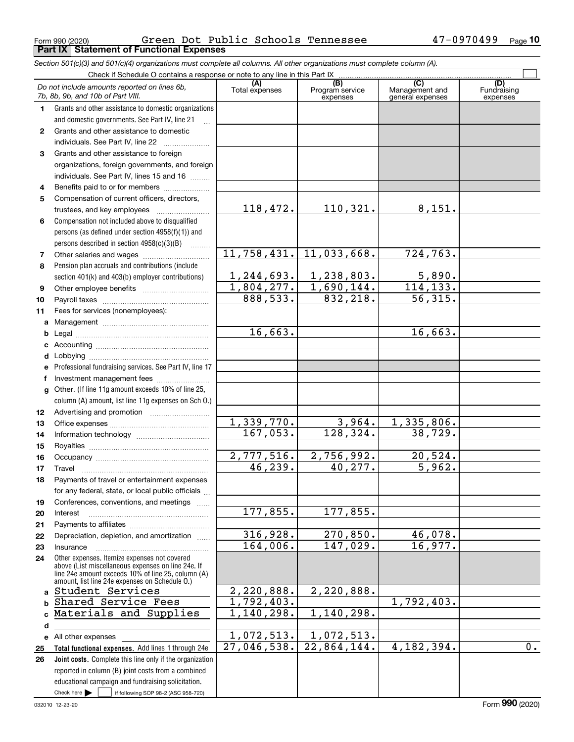Form 990 (2020) Page **Part IX Statement of Functional Expenses** Green Dot Public Schools Tennessee 47-0970499

*Section 501(c)(3) and 501(c)(4) organizations must complete all columns. All other organizations must complete column (A).*

|              | Do not include amounts reported on lines 6b,<br>7b, 8b, 9b, and 10b of Part VIII.                  | (A)<br>Total expenses | (B)<br>Program service<br>expenses | $\overline{C}$<br>Management and<br>general expenses | (D)<br>Fundraising<br>expenses |
|--------------|----------------------------------------------------------------------------------------------------|-----------------------|------------------------------------|------------------------------------------------------|--------------------------------|
| 1            | Grants and other assistance to domestic organizations                                              |                       |                                    |                                                      |                                |
|              | and domestic governments. See Part IV, line 21                                                     |                       |                                    |                                                      |                                |
| $\mathbf{2}$ | Grants and other assistance to domestic                                                            |                       |                                    |                                                      |                                |
|              | individuals. See Part IV, line 22                                                                  |                       |                                    |                                                      |                                |
| 3            | Grants and other assistance to foreign                                                             |                       |                                    |                                                      |                                |
|              | organizations, foreign governments, and foreign                                                    |                       |                                    |                                                      |                                |
|              | individuals. See Part IV, lines 15 and 16                                                          |                       |                                    |                                                      |                                |
| 4            | Benefits paid to or for members                                                                    |                       |                                    |                                                      |                                |
| 5            | Compensation of current officers, directors,                                                       |                       |                                    |                                                      |                                |
|              | trustees, and key employees                                                                        | 118,472.              | 110,321.                           | 8,151.                                               |                                |
| 6            | Compensation not included above to disqualified                                                    |                       |                                    |                                                      |                                |
|              | persons (as defined under section 4958(f)(1)) and                                                  |                       |                                    |                                                      |                                |
|              | persons described in section $4958(c)(3)(B)$                                                       |                       |                                    |                                                      |                                |
| 7            |                                                                                                    | 11,758,431.           | 11,033,668.                        | 724,763.                                             |                                |
| 8            | Pension plan accruals and contributions (include                                                   |                       |                                    |                                                      |                                |
|              | section 401(k) and 403(b) employer contributions)                                                  | 1, 244, 693.          | 1,238,803.                         | 5,890.                                               |                                |
| 9            |                                                                                                    | 1,804,277.            | 1,690,144.                         | 114, 133.                                            |                                |
| 10           |                                                                                                    | 888,533.              | 832,218.                           | $\overline{56, 315}$ .                               |                                |
| 11           | Fees for services (nonemployees):                                                                  |                       |                                    |                                                      |                                |
| а            |                                                                                                    |                       |                                    |                                                      |                                |
| b            |                                                                                                    | 16,663.               |                                    | 16,663.                                              |                                |
| c            |                                                                                                    |                       |                                    |                                                      |                                |
| d            |                                                                                                    |                       |                                    |                                                      |                                |
|              | Professional fundraising services. See Part IV, line 17                                            |                       |                                    |                                                      |                                |
| f            | Investment management fees                                                                         |                       |                                    |                                                      |                                |
| g            | Other. (If line 11g amount exceeds 10% of line 25,                                                 |                       |                                    |                                                      |                                |
|              | column (A) amount, list line 11g expenses on Sch 0.)                                               |                       |                                    |                                                      |                                |
| 12           |                                                                                                    |                       |                                    |                                                      |                                |
| 13           |                                                                                                    | 1,339,770.            | 3,964.                             | 1,335,806.                                           |                                |
| 14           |                                                                                                    | 167,053.              | 128, 324.                          | 38,729.                                              |                                |
| 15           |                                                                                                    |                       |                                    |                                                      |                                |
| 16           |                                                                                                    | 2,777,516.            | 2,756,992.                         | 20,524.                                              |                                |
| 17           | Travel                                                                                             | 46, 239.              | 40, 277.                           | 5,962.                                               |                                |
| 18           | Payments of travel or entertainment expenses                                                       |                       |                                    |                                                      |                                |
|              | for any federal, state, or local public officials                                                  |                       |                                    |                                                      |                                |
| 19           | Conferences, conventions, and meetings                                                             |                       |                                    |                                                      |                                |
| 20           | Interest                                                                                           | 177,855.              | 177, 855.                          |                                                      |                                |
| 21           |                                                                                                    |                       |                                    |                                                      |                                |
| 22           | Depreciation, depletion, and amortization                                                          | 316,928.              | 270,850.                           | 46,078.<br>16,977.                                   |                                |
| 23           | Insurance                                                                                          | 164,006.              | 147,029.                           |                                                      |                                |
| 24           | Other expenses. Itemize expenses not covered<br>above (List miscellaneous expenses on line 24e. If |                       |                                    |                                                      |                                |
|              | line 24e amount exceeds 10% of line 25, column (A)                                                 |                       |                                    |                                                      |                                |
|              | amount, list line 24e expenses on Schedule O.)<br>Student Services                                 | 2,220,888.            | 2,220,888.                         |                                                      |                                |
| a            | Shared Service Fees                                                                                | 1,792,403.            |                                    | 1,792,403.                                           |                                |
| b            | Materials and Supplies                                                                             | 1,140,298.            | 1, 140, 298.                       |                                                      |                                |
| C.           |                                                                                                    |                       |                                    |                                                      |                                |
| d            |                                                                                                    | 1,072,513.            | 1,072,513.                         |                                                      |                                |
|              | e All other expenses<br>Total functional expenses. Add lines 1 through 24e                         | 27,046,538.           | $\overline{22,864,144}$ .          | 4, 182, 394.                                         | 0.                             |
| 25<br>26     | Joint costs. Complete this line only if the organization                                           |                       |                                    |                                                      |                                |
|              | reported in column (B) joint costs from a combined                                                 |                       |                                    |                                                      |                                |
|              | educational campaign and fundraising solicitation.                                                 |                       |                                    |                                                      |                                |
|              | Check here $\blacktriangleright$<br>if following SOP 98-2 (ASC 958-720)                            |                       |                                    |                                                      |                                |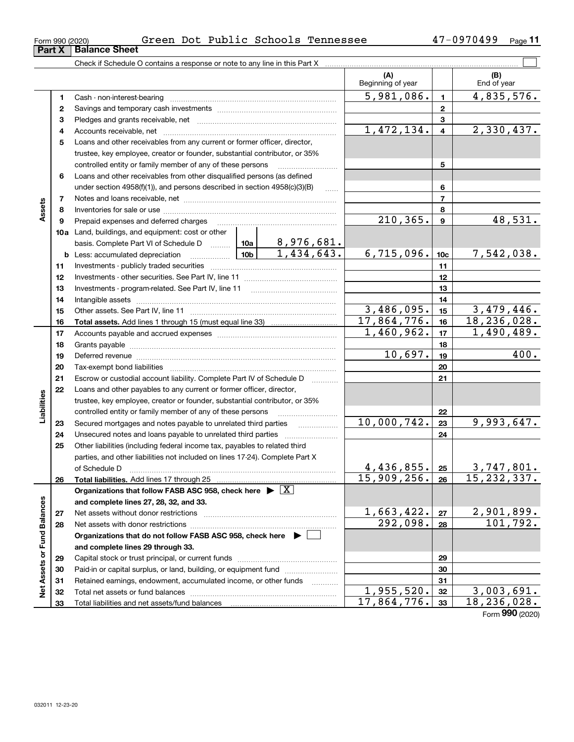| OLIII AAN (SASA)       |  |  |
|------------------------|--|--|
| Part X   Balance Sheet |  |  |

### Form 990 (2020) Green Dot Public Schools Tennessee 47-0970499 <sub>Page</sub> 11

|                             | Part X | <b>Balance Sheet</b>                                                                                                                                                                                                           |                                                                           |                         |                               |                  |                           |
|-----------------------------|--------|--------------------------------------------------------------------------------------------------------------------------------------------------------------------------------------------------------------------------------|---------------------------------------------------------------------------|-------------------------|-------------------------------|------------------|---------------------------|
|                             |        | Check if Schedule O contains a response or note to any line in this Part X                                                                                                                                                     |                                                                           |                         |                               |                  |                           |
|                             |        |                                                                                                                                                                                                                                |                                                                           |                         | (A)<br>Beginning of year      |                  | (B)<br>End of year        |
|                             | 1      |                                                                                                                                                                                                                                |                                                                           |                         | 5,981,086.                    | $\mathbf{1}$     | 4,835,576.                |
|                             | 2      |                                                                                                                                                                                                                                |                                                                           |                         |                               | $\mathbf{2}$     |                           |
|                             | з      |                                                                                                                                                                                                                                |                                                                           |                         | 3                             |                  |                           |
|                             | 4      |                                                                                                                                                                                                                                | 1,472,134.                                                                | $\overline{\mathbf{4}}$ | 2,330,437.                    |                  |                           |
|                             | 5      | Loans and other receivables from any current or former officer, director,                                                                                                                                                      |                                                                           |                         |                               |                  |                           |
|                             |        | trustee, key employee, creator or founder, substantial contributor, or 35%                                                                                                                                                     |                                                                           |                         |                               |                  |                           |
|                             |        | controlled entity or family member of any of these persons                                                                                                                                                                     |                                                                           | 5                       |                               |                  |                           |
|                             | 6      | Loans and other receivables from other disqualified persons (as defined                                                                                                                                                        |                                                                           |                         |                               |                  |                           |
|                             |        |                                                                                                                                                                                                                                | under section 4958(f)(1)), and persons described in section 4958(c)(3)(B) |                         |                               |                  |                           |
|                             | 7      |                                                                                                                                                                                                                                |                                                                           |                         |                               | $\overline{7}$   |                           |
| Assets                      | 8      |                                                                                                                                                                                                                                |                                                                           |                         |                               | 8                |                           |
|                             | 9      | Prepaid expenses and deferred charges                                                                                                                                                                                          |                                                                           |                         | 210, 365.                     | $\boldsymbol{9}$ | 48,531.                   |
|                             |        | <b>10a</b> Land, buildings, and equipment: cost or other                                                                                                                                                                       |                                                                           |                         |                               |                  |                           |
|                             |        | basis. Complete Part VI of Schedule D  10a   8,976,681.                                                                                                                                                                        |                                                                           |                         |                               |                  |                           |
|                             |        | <u>  10b</u>  <br><b>b</b> Less: accumulated depreciation                                                                                                                                                                      |                                                                           | 1,434,643.              | 6,715,096.                    | 10 <sub>c</sub>  | 7,542,038.                |
|                             | 11     |                                                                                                                                                                                                                                |                                                                           |                         |                               | 11               |                           |
|                             | 12     |                                                                                                                                                                                                                                |                                                                           | 12                      |                               |                  |                           |
|                             | 13     | Investments - program-related. See Part IV, line 11                                                                                                                                                                            |                                                                           |                         | 13                            |                  |                           |
|                             | 14     |                                                                                                                                                                                                                                |                                                                           | 14                      |                               |                  |                           |
|                             | 15     |                                                                                                                                                                                                                                | $\overline{3,486,095}$ .                                                  | 15                      | 3,479,446.                    |                  |                           |
|                             | 16     | Total assets. Add lines 1 through 15 (must equal line 33) [100] [100] [100] [100] [100] [100] [100] [100] [100] [100] [100] [100] [100] [100] [100] [100] [100] [100] [100] [100] [100] [100] [100] [100] [100] [100] [100] [1 |                                                                           |                         | $\overline{17,864,776}$ .     | 16               | 18, 236, 028.             |
|                             | 17     |                                                                                                                                                                                                                                | 1,460,962.                                                                | 17                      | 1,490,489.                    |                  |                           |
|                             | 18     |                                                                                                                                                                                                                                |                                                                           |                         |                               | 18               |                           |
|                             | 19     | Deferred revenue manual contracts and contracts are contracted and contract and contract are contracted and contract are contracted and contract are contracted and contract are contracted and contract are contracted and co |                                                                           |                         | 10,697.                       | 19               | 400.                      |
|                             | 20     |                                                                                                                                                                                                                                |                                                                           |                         |                               | 20               |                           |
|                             | 21     | Escrow or custodial account liability. Complete Part IV of Schedule D                                                                                                                                                          |                                                                           | 1.1.1.1.1.1.1.1.1       |                               | 21               |                           |
|                             | 22     | Loans and other payables to any current or former officer, director,                                                                                                                                                           |                                                                           |                         |                               |                  |                           |
|                             |        | trustee, key employee, creator or founder, substantial contributor, or 35%                                                                                                                                                     |                                                                           |                         |                               |                  |                           |
| Liabilities                 |        | controlled entity or family member of any of these persons                                                                                                                                                                     |                                                                           |                         |                               | 22               |                           |
|                             | 23     | Secured mortgages and notes payable to unrelated third parties                                                                                                                                                                 |                                                                           |                         | 10,000,742.                   | 23               | 9,993,647.                |
|                             | 24     |                                                                                                                                                                                                                                |                                                                           |                         |                               | 24               |                           |
|                             | 25     | Other liabilities (including federal income tax, payables to related third                                                                                                                                                     |                                                                           |                         |                               |                  |                           |
|                             |        | parties, and other liabilities not included on lines 17-24). Complete Part X                                                                                                                                                   |                                                                           |                         |                               |                  |                           |
|                             |        | of Schedule D                                                                                                                                                                                                                  |                                                                           |                         | 4, 436, 855.<br>15,909,256.   | 25               | 3,747,801.<br>15,232,337. |
|                             | 26     | Total liabilities. Add lines 17 through 25                                                                                                                                                                                     |                                                                           |                         |                               | 26               |                           |
|                             |        | Organizations that follow FASB ASC 958, check here $\blacktriangleright \boxed{X}$                                                                                                                                             |                                                                           |                         |                               |                  |                           |
|                             | 27     | and complete lines 27, 28, 32, and 33.<br>Net assets without donor restrictions                                                                                                                                                |                                                                           |                         | 1,663,422.                    | 27               |                           |
|                             | 28     | Net assets with donor restrictions                                                                                                                                                                                             | 292,098.                                                                  | 28                      | $\frac{2,901,899.}{101,792.}$ |                  |                           |
|                             |        | Organizations that do not follow FASB ASC 958, check here $\blacktriangleright$                                                                                                                                                |                                                                           |                         |                               |                  |                           |
|                             |        | and complete lines 29 through 33.                                                                                                                                                                                              |                                                                           |                         |                               |                  |                           |
|                             | 29     |                                                                                                                                                                                                                                |                                                                           |                         |                               | 29               |                           |
|                             | 30     | Paid-in or capital surplus, or land, building, or equipment fund                                                                                                                                                               |                                                                           |                         |                               | 30               |                           |
|                             | 31     | Retained earnings, endowment, accumulated income, or other funds                                                                                                                                                               |                                                                           |                         |                               | 31               |                           |
| Net Assets or Fund Balances | 32     | Total net assets or fund balances                                                                                                                                                                                              |                                                                           |                         | 1,955,520.                    | 32               | 3,003,691.                |
|                             | 33     | Total liabilities and net assets/fund balances                                                                                                                                                                                 |                                                                           |                         | 17,864,776.                   | 33               | 18, 236, 028.             |
|                             |        |                                                                                                                                                                                                                                |                                                                           |                         |                               |                  |                           |

Form (2020) **990**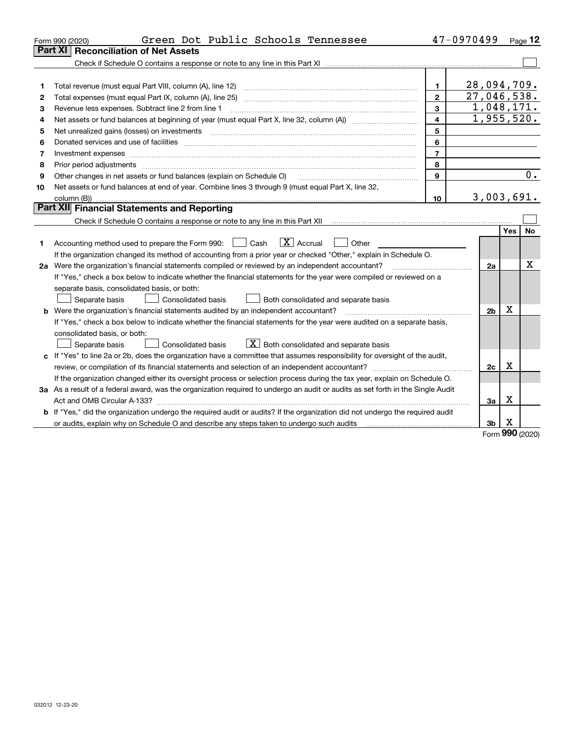|    | Green Dot Public Schools Tennessee<br>Form 990 (2020)                                                                           |                | 47-0970499     |            | Page 12   |
|----|---------------------------------------------------------------------------------------------------------------------------------|----------------|----------------|------------|-----------|
|    | <b>Reconciliation of Net Assets</b><br>Part XI                                                                                  |                |                |            |           |
|    |                                                                                                                                 |                |                |            |           |
|    |                                                                                                                                 |                |                |            |           |
| 1  | Total revenue (must equal Part VIII, column (A), line 12)                                                                       | $\mathbf{1}$   | 28,094,709.    |            |           |
| 2  | Total expenses (must equal Part IX, column (A), line 25)                                                                        | $\overline{2}$ | 27,046,538.    |            |           |
| 3  | Revenue less expenses. Subtract line 2 from line 1                                                                              | 3              | 1,048,171.     |            |           |
| 4  |                                                                                                                                 | 4              | 1,955,520.     |            |           |
| 5  |                                                                                                                                 | 5              |                |            |           |
| 6  |                                                                                                                                 | 6              |                |            |           |
| 7  | Investment expenses www.communication.com/www.communication.com/www.communication.com/www.com                                   | $\overline{7}$ |                |            |           |
| 8  | Prior period adjustments                                                                                                        | 8              |                |            |           |
| 9  | Other changes in net assets or fund balances (explain on Schedule O)                                                            | 9              |                |            | 0.        |
| 10 | Net assets or fund balances at end of year. Combine lines 3 through 9 (must equal Part X, line 32,                              |                |                |            |           |
|    |                                                                                                                                 | 10             | 3,003,691.     |            |           |
|    | Part XII Financial Statements and Reporting                                                                                     |                |                |            |           |
|    |                                                                                                                                 |                |                |            |           |
|    |                                                                                                                                 |                |                | <b>Yes</b> | <b>No</b> |
| 1  | $\boxed{\mathbf{X}}$ Accrual<br>Accounting method used to prepare the Form 990: <u>June</u> Cash<br>Other                       |                |                |            |           |
|    | If the organization changed its method of accounting from a prior year or checked "Other," explain in Schedule O.               |                |                |            |           |
|    | 2a Were the organization's financial statements compiled or reviewed by an independent accountant?                              |                | 2a             |            | х         |
|    | If "Yes," check a box below to indicate whether the financial statements for the year were compiled or reviewed on a            |                |                |            |           |
|    | separate basis, consolidated basis, or both:                                                                                    |                |                |            |           |
|    | Separate basis<br><b>Consolidated basis</b><br>Both consolidated and separate basis                                             |                |                |            |           |
|    | <b>b</b> Were the organization's financial statements audited by an independent accountant?                                     |                | 2 <sub>b</sub> | Х          |           |
|    | If "Yes," check a box below to indicate whether the financial statements for the year were audited on a separate basis,         |                |                |            |           |
|    | consolidated basis, or both:                                                                                                    |                |                |            |           |
|    | $X$ Both consolidated and separate basis<br>Consolidated basis<br>Separate basis                                                |                |                |            |           |
|    | c If "Yes" to line 2a or 2b, does the organization have a committee that assumes responsibility for oversight of the audit,     |                |                |            |           |
|    |                                                                                                                                 |                | 2c             | х          |           |
|    | If the organization changed either its oversight process or selection process during the tax year, explain on Schedule O.       |                |                |            |           |
|    | 3a As a result of a federal award, was the organization required to undergo an audit or audits as set forth in the Single Audit |                |                |            |           |
|    |                                                                                                                                 |                | За             | х          |           |
|    | b If "Yes," did the organization undergo the required audit or audits? If the organization did not undergo the required audit   |                |                |            |           |
|    | or audits, explain why on Schedule O and describe any steps taken to undergo such audits                                        |                | 3b             | х          |           |

Form (2020) **990**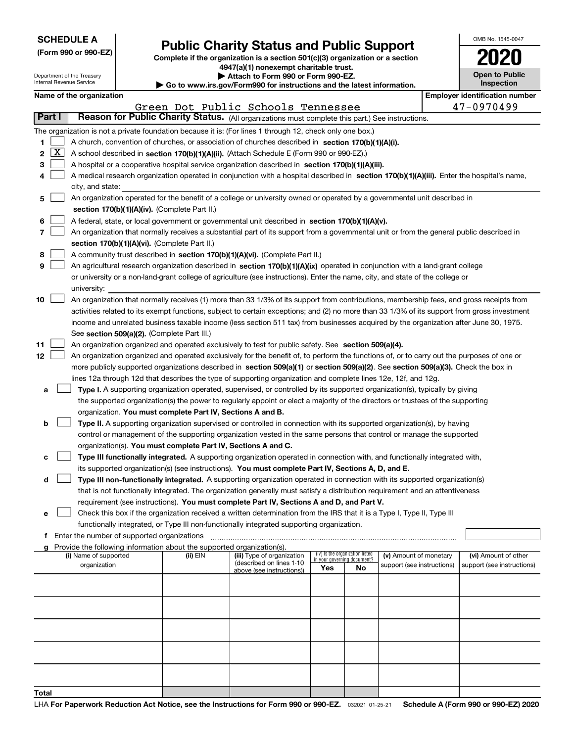| <b>SCHEDULE A</b> |  |
|-------------------|--|
|-------------------|--|

## **Public Charity Status and Public Support**

**Complete if the organization is a section 501(c)(3) organization or a section 4947(a)(1) nonexempt charitable trust. | Attach to Form 990 or Form 990-EZ.** 

| OMB No. 1545-0047                   |
|-------------------------------------|
| 2020                                |
| <b>Open to Public</b><br>Inspection |

| Department of the Treasury<br>Internal Revenue Service |    |                                                                                                                                                                                                 |  | Attach to Form 990 or Form 990-EZ.<br>Go to www.irs.gov/Form990 for instructions and the latest information. | <b>Open to Public</b><br><b>Inspection</b>                                                                                                   |                             |                                 |                            |  |                                       |  |
|--------------------------------------------------------|----|-------------------------------------------------------------------------------------------------------------------------------------------------------------------------------------------------|--|--------------------------------------------------------------------------------------------------------------|----------------------------------------------------------------------------------------------------------------------------------------------|-----------------------------|---------------------------------|----------------------------|--|---------------------------------------|--|
|                                                        |    | Name of the organization                                                                                                                                                                        |  |                                                                                                              |                                                                                                                                              |                             |                                 |                            |  | <b>Employer identification number</b> |  |
|                                                        |    |                                                                                                                                                                                                 |  |                                                                                                              | Green Dot Public Schools Tennessee                                                                                                           |                             |                                 |                            |  | 47-0970499                            |  |
| Part I                                                 |    |                                                                                                                                                                                                 |  |                                                                                                              | Reason for Public Charity Status. (All organizations must complete this part.) See instructions.                                             |                             |                                 |                            |  |                                       |  |
|                                                        |    |                                                                                                                                                                                                 |  | The organization is not a private foundation because it is: (For lines 1 through 12, check only one box.)    |                                                                                                                                              |                             |                                 |                            |  |                                       |  |
| 1                                                      |    |                                                                                                                                                                                                 |  |                                                                                                              |                                                                                                                                              |                             |                                 |                            |  |                                       |  |
| 2                                                      | ΙX | A church, convention of churches, or association of churches described in section 170(b)(1)(A)(i).<br>A school described in section 170(b)(1)(A)(ii). (Attach Schedule E (Form 990 or 990-EZ).) |  |                                                                                                              |                                                                                                                                              |                             |                                 |                            |  |                                       |  |
| 3                                                      |    |                                                                                                                                                                                                 |  |                                                                                                              | A hospital or a cooperative hospital service organization described in section 170(b)(1)(A)(iii).                                            |                             |                                 |                            |  |                                       |  |
| 4                                                      |    |                                                                                                                                                                                                 |  |                                                                                                              | A medical research organization operated in conjunction with a hospital described in section 170(b)(1)(A)(iii). Enter the hospital's name,   |                             |                                 |                            |  |                                       |  |
|                                                        |    | city, and state:                                                                                                                                                                                |  |                                                                                                              |                                                                                                                                              |                             |                                 |                            |  |                                       |  |
| 5                                                      |    |                                                                                                                                                                                                 |  |                                                                                                              | An organization operated for the benefit of a college or university owned or operated by a governmental unit described in                    |                             |                                 |                            |  |                                       |  |
|                                                        |    |                                                                                                                                                                                                 |  | section 170(b)(1)(A)(iv). (Complete Part II.)                                                                |                                                                                                                                              |                             |                                 |                            |  |                                       |  |
| 6                                                      |    |                                                                                                                                                                                                 |  |                                                                                                              | A federal, state, or local government or governmental unit described in section 170(b)(1)(A)(v).                                             |                             |                                 |                            |  |                                       |  |
| 7                                                      |    |                                                                                                                                                                                                 |  |                                                                                                              | An organization that normally receives a substantial part of its support from a governmental unit or from the general public described in    |                             |                                 |                            |  |                                       |  |
|                                                        |    |                                                                                                                                                                                                 |  | section 170(b)(1)(A)(vi). (Complete Part II.)                                                                |                                                                                                                                              |                             |                                 |                            |  |                                       |  |
| 8                                                      |    |                                                                                                                                                                                                 |  |                                                                                                              | A community trust described in section 170(b)(1)(A)(vi). (Complete Part II.)                                                                 |                             |                                 |                            |  |                                       |  |
| 9                                                      |    |                                                                                                                                                                                                 |  |                                                                                                              | An agricultural research organization described in section 170(b)(1)(A)(ix) operated in conjunction with a land-grant college                |                             |                                 |                            |  |                                       |  |
|                                                        |    |                                                                                                                                                                                                 |  |                                                                                                              | or university or a non-land-grant college of agriculture (see instructions). Enter the name, city, and state of the college or               |                             |                                 |                            |  |                                       |  |
|                                                        |    | university:                                                                                                                                                                                     |  |                                                                                                              |                                                                                                                                              |                             |                                 |                            |  |                                       |  |
| 10                                                     |    |                                                                                                                                                                                                 |  |                                                                                                              | An organization that normally receives (1) more than 33 1/3% of its support from contributions, membership fees, and gross receipts from     |                             |                                 |                            |  |                                       |  |
|                                                        |    |                                                                                                                                                                                                 |  |                                                                                                              | activities related to its exempt functions, subject to certain exceptions; and (2) no more than 33 1/3% of its support from gross investment |                             |                                 |                            |  |                                       |  |
|                                                        |    |                                                                                                                                                                                                 |  |                                                                                                              | income and unrelated business taxable income (less section 511 tax) from businesses acquired by the organization after June 30, 1975.        |                             |                                 |                            |  |                                       |  |
|                                                        |    |                                                                                                                                                                                                 |  | See section 509(a)(2). (Complete Part III.)                                                                  |                                                                                                                                              |                             |                                 |                            |  |                                       |  |
| 11                                                     |    |                                                                                                                                                                                                 |  |                                                                                                              | An organization organized and operated exclusively to test for public safety. See section 509(a)(4).                                         |                             |                                 |                            |  |                                       |  |
| 12                                                     |    |                                                                                                                                                                                                 |  |                                                                                                              | An organization organized and operated exclusively for the benefit of, to perform the functions of, or to carry out the purposes of one or   |                             |                                 |                            |  |                                       |  |
|                                                        |    |                                                                                                                                                                                                 |  |                                                                                                              | more publicly supported organizations described in section 509(a)(1) or section 509(a)(2). See section 509(a)(3). Check the box in           |                             |                                 |                            |  |                                       |  |
|                                                        |    |                                                                                                                                                                                                 |  |                                                                                                              | lines 12a through 12d that describes the type of supporting organization and complete lines 12e, 12f, and 12g.                               |                             |                                 |                            |  |                                       |  |
| а                                                      |    |                                                                                                                                                                                                 |  |                                                                                                              | Type I. A supporting organization operated, supervised, or controlled by its supported organization(s), typically by giving                  |                             |                                 |                            |  |                                       |  |
|                                                        |    |                                                                                                                                                                                                 |  |                                                                                                              | the supported organization(s) the power to regularly appoint or elect a majority of the directors or trustees of the supporting              |                             |                                 |                            |  |                                       |  |
|                                                        |    |                                                                                                                                                                                                 |  | organization. You must complete Part IV, Sections A and B.                                                   |                                                                                                                                              |                             |                                 |                            |  |                                       |  |
| b                                                      |    |                                                                                                                                                                                                 |  |                                                                                                              | Type II. A supporting organization supervised or controlled in connection with its supported organization(s), by having                      |                             |                                 |                            |  |                                       |  |
|                                                        |    |                                                                                                                                                                                                 |  |                                                                                                              | control or management of the supporting organization vested in the same persons that control or manage the supported                         |                             |                                 |                            |  |                                       |  |
|                                                        |    |                                                                                                                                                                                                 |  | organization(s). You must complete Part IV, Sections A and C.                                                |                                                                                                                                              |                             |                                 |                            |  |                                       |  |
| с                                                      |    |                                                                                                                                                                                                 |  |                                                                                                              | Type III functionally integrated. A supporting organization operated in connection with, and functionally integrated with,                   |                             |                                 |                            |  |                                       |  |
|                                                        |    |                                                                                                                                                                                                 |  |                                                                                                              | its supported organization(s) (see instructions). You must complete Part IV, Sections A, D, and E.                                           |                             |                                 |                            |  |                                       |  |
| d                                                      |    |                                                                                                                                                                                                 |  |                                                                                                              | Type III non-functionally integrated. A supporting organization operated in connection with its supported organization(s)                    |                             |                                 |                            |  |                                       |  |
|                                                        |    |                                                                                                                                                                                                 |  |                                                                                                              | that is not functionally integrated. The organization generally must satisfy a distribution requirement and an attentiveness                 |                             |                                 |                            |  |                                       |  |
|                                                        |    |                                                                                                                                                                                                 |  |                                                                                                              | requirement (see instructions). You must complete Part IV, Sections A and D, and Part V.                                                     |                             |                                 |                            |  |                                       |  |
| е                                                      |    |                                                                                                                                                                                                 |  |                                                                                                              | Check this box if the organization received a written determination from the IRS that it is a Type I, Type II, Type III                      |                             |                                 |                            |  |                                       |  |
|                                                        |    |                                                                                                                                                                                                 |  |                                                                                                              | functionally integrated, or Type III non-functionally integrated supporting organization.                                                    |                             |                                 |                            |  |                                       |  |
|                                                        |    | f Enter the number of supported organizations                                                                                                                                                   |  |                                                                                                              |                                                                                                                                              |                             |                                 |                            |  |                                       |  |
| a                                                      |    |                                                                                                                                                                                                 |  | Provide the following information about the supported organization(s).                                       |                                                                                                                                              |                             | (iv) Is the organization listed |                            |  |                                       |  |
|                                                        |    | (i) Name of supported                                                                                                                                                                           |  | (ii) EIN                                                                                                     | (iii) Type of organization<br>(described on lines 1-10                                                                                       | in your governing document? |                                 | (v) Amount of monetary     |  | (vi) Amount of other                  |  |
|                                                        |    | organization                                                                                                                                                                                    |  |                                                                                                              | above (see instructions))                                                                                                                    | Yes                         | No                              | support (see instructions) |  | support (see instructions)            |  |
|                                                        |    |                                                                                                                                                                                                 |  |                                                                                                              |                                                                                                                                              |                             |                                 |                            |  |                                       |  |
|                                                        |    |                                                                                                                                                                                                 |  |                                                                                                              |                                                                                                                                              |                             |                                 |                            |  |                                       |  |
|                                                        |    |                                                                                                                                                                                                 |  |                                                                                                              |                                                                                                                                              |                             |                                 |                            |  |                                       |  |
|                                                        |    |                                                                                                                                                                                                 |  |                                                                                                              |                                                                                                                                              |                             |                                 |                            |  |                                       |  |
|                                                        |    |                                                                                                                                                                                                 |  |                                                                                                              |                                                                                                                                              |                             |                                 |                            |  |                                       |  |
|                                                        |    |                                                                                                                                                                                                 |  |                                                                                                              |                                                                                                                                              |                             |                                 |                            |  |                                       |  |
|                                                        |    |                                                                                                                                                                                                 |  |                                                                                                              |                                                                                                                                              |                             |                                 |                            |  |                                       |  |
|                                                        |    |                                                                                                                                                                                                 |  |                                                                                                              |                                                                                                                                              |                             |                                 |                            |  |                                       |  |
|                                                        |    |                                                                                                                                                                                                 |  |                                                                                                              |                                                                                                                                              |                             |                                 |                            |  |                                       |  |
|                                                        |    |                                                                                                                                                                                                 |  |                                                                                                              |                                                                                                                                              |                             |                                 |                            |  |                                       |  |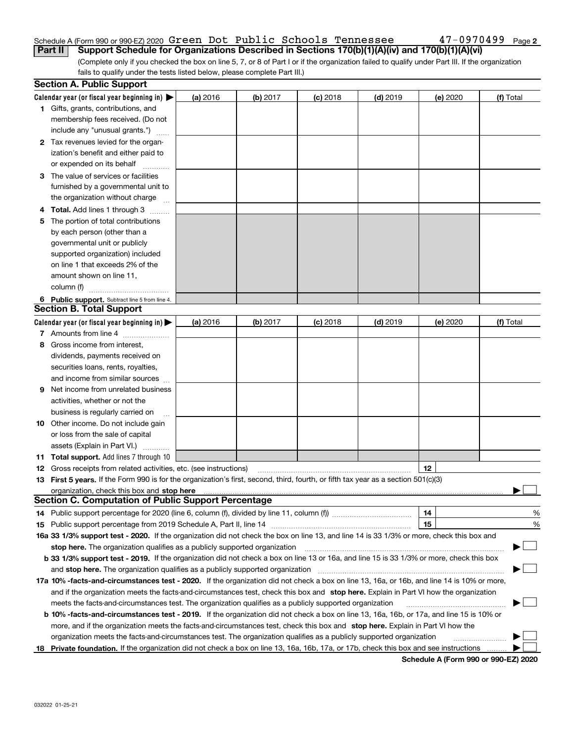### Schedule A (Form 990 or 990-EZ) 2020 Page Green Dot Public Schools Tennessee 47-0970499**Part II Support Schedule for Organizations Described in Sections 170(b)(1)(A)(iv) and 170(b)(1)(A)(vi)**

(Complete only if you checked the box on line 5, 7, or 8 of Part I or if the organization failed to qualify under Part III. If the organization fails to qualify under the tests listed below, please complete Part III.)

|     | <b>Section A. Public Support</b>                                                                                                               |          |          |            |            |          |           |
|-----|------------------------------------------------------------------------------------------------------------------------------------------------|----------|----------|------------|------------|----------|-----------|
|     | Calendar year (or fiscal year beginning in) $\blacktriangleright$                                                                              | (a) 2016 | (b) 2017 | $(c)$ 2018 | $(d)$ 2019 | (e) 2020 | (f) Total |
|     | <b>1</b> Gifts, grants, contributions, and                                                                                                     |          |          |            |            |          |           |
|     | membership fees received. (Do not                                                                                                              |          |          |            |            |          |           |
|     | include any "unusual grants.")                                                                                                                 |          |          |            |            |          |           |
|     | 2 Tax revenues levied for the organ-                                                                                                           |          |          |            |            |          |           |
|     | ization's benefit and either paid to                                                                                                           |          |          |            |            |          |           |
|     | or expended on its behalf                                                                                                                      |          |          |            |            |          |           |
|     | 3 The value of services or facilities                                                                                                          |          |          |            |            |          |           |
|     | furnished by a governmental unit to                                                                                                            |          |          |            |            |          |           |
|     | the organization without charge                                                                                                                |          |          |            |            |          |           |
|     | <b>4 Total.</b> Add lines 1 through 3                                                                                                          |          |          |            |            |          |           |
| 5.  | The portion of total contributions                                                                                                             |          |          |            |            |          |           |
|     | by each person (other than a                                                                                                                   |          |          |            |            |          |           |
|     | governmental unit or publicly                                                                                                                  |          |          |            |            |          |           |
|     | supported organization) included                                                                                                               |          |          |            |            |          |           |
|     | on line 1 that exceeds 2% of the                                                                                                               |          |          |            |            |          |           |
|     | amount shown on line 11,                                                                                                                       |          |          |            |            |          |           |
|     | column (f)                                                                                                                                     |          |          |            |            |          |           |
|     | 6 Public support. Subtract line 5 from line 4.                                                                                                 |          |          |            |            |          |           |
|     | <b>Section B. Total Support</b>                                                                                                                |          |          |            |            |          |           |
|     | Calendar year (or fiscal year beginning in) $\blacktriangleright$                                                                              | (a) 2016 | (b) 2017 | $(c)$ 2018 | $(d)$ 2019 | (e) 2020 | (f) Total |
|     | 7 Amounts from line 4                                                                                                                          |          |          |            |            |          |           |
| 8   | Gross income from interest,                                                                                                                    |          |          |            |            |          |           |
|     | dividends, payments received on                                                                                                                |          |          |            |            |          |           |
|     | securities loans, rents, royalties,                                                                                                            |          |          |            |            |          |           |
|     | and income from similar sources                                                                                                                |          |          |            |            |          |           |
|     | <b>9</b> Net income from unrelated business                                                                                                    |          |          |            |            |          |           |
|     | activities, whether or not the                                                                                                                 |          |          |            |            |          |           |
|     | business is regularly carried on                                                                                                               |          |          |            |            |          |           |
|     | <b>10</b> Other income. Do not include gain                                                                                                    |          |          |            |            |          |           |
|     | or loss from the sale of capital                                                                                                               |          |          |            |            |          |           |
|     | assets (Explain in Part VI.)                                                                                                                   |          |          |            |            |          |           |
|     | 11 Total support. Add lines 7 through 10                                                                                                       |          |          |            |            |          |           |
|     | <b>12</b> Gross receipts from related activities, etc. (see instructions)                                                                      |          |          |            |            | 12       |           |
|     | 13 First 5 years. If the Form 990 is for the organization's first, second, third, fourth, or fifth tax year as a section 501(c)(3)             |          |          |            |            |          |           |
|     | organization, check this box and stop here manufactured and content to the state of the state of the state of                                  |          |          |            |            |          |           |
|     | <b>Section C. Computation of Public Support Percentage</b>                                                                                     |          |          |            |            |          |           |
|     | 14 Public support percentage for 2020 (line 6, column (f), divided by line 11, column (f)) <i>manameronium</i> control                         |          |          |            |            | 14       | %         |
|     |                                                                                                                                                |          |          |            |            | 15       | %         |
|     | 16a 33 1/3% support test - 2020. If the organization did not check the box on line 13, and line 14 is 33 1/3% or more, check this box and      |          |          |            |            |          |           |
|     | stop here. The organization qualifies as a publicly supported organization                                                                     |          |          |            |            |          | $\sim$    |
|     | b 33 1/3% support test - 2019. If the organization did not check a box on line 13 or 16a, and line 15 is 33 1/3% or more, check this box       |          |          |            |            |          |           |
|     | and stop here. The organization qualifies as a publicly supported organization                                                                 |          |          |            |            |          |           |
|     | 17a 10% -facts-and-circumstances test - 2020. If the organization did not check a box on line 13, 16a, or 16b, and line 14 is 10% or more,     |          |          |            |            |          |           |
|     | and if the organization meets the facts-and-circumstances test, check this box and stop here. Explain in Part VI how the organization          |          |          |            |            |          |           |
|     | meets the facts-and-circumstances test. The organization qualifies as a publicly supported organization                                        |          |          |            |            |          |           |
|     | <b>b 10% -facts-and-circumstances test - 2019.</b> If the organization did not check a box on line 13, 16a, 16b, or 17a, and line 15 is 10% or |          |          |            |            |          |           |
|     | more, and if the organization meets the facts-and-circumstances test, check this box and stop here. Explain in Part VI how the                 |          |          |            |            |          |           |
|     | organization meets the facts-and-circumstances test. The organization qualifies as a publicly supported organization                           |          |          |            |            |          |           |
| 18. | Private foundation. If the organization did not check a box on line 13, 16a, 16b, 17a, or 17b, check this box and see instructions             |          |          |            |            |          |           |

**Schedule A (Form 990 or 990-EZ) 2020**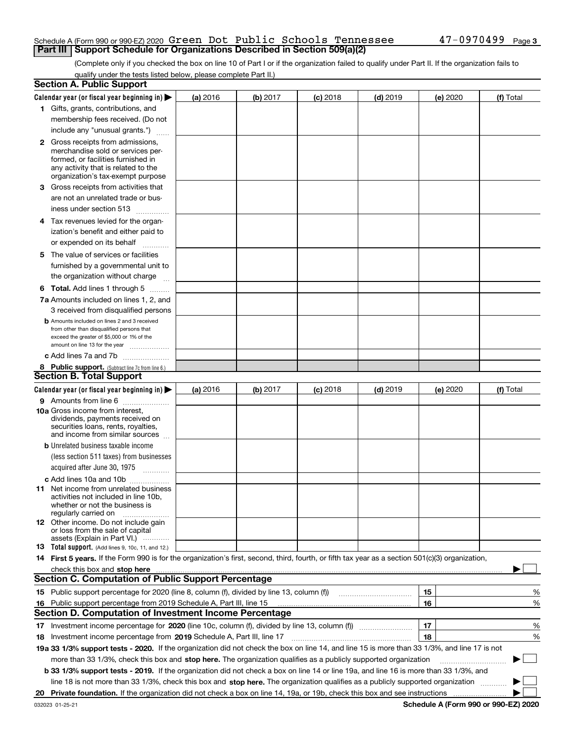### Schedule A (Form 990 or 990-EZ) 2020 Page Green Dot Public Schools Tennessee 47-0970499**Part III | Support Schedule for Organizations Described in Section 509(a)(2)**

(Complete only if you checked the box on line 10 of Part I or if the organization failed to qualify under Part II. If the organization fails to qualify under the tests listed below, please complete Part II.)

|     | <b>Section A. Public Support</b>                                                                                                                                                                                               |          |          |            |            |          |           |
|-----|--------------------------------------------------------------------------------------------------------------------------------------------------------------------------------------------------------------------------------|----------|----------|------------|------------|----------|-----------|
|     | Calendar year (or fiscal year beginning in) $\blacktriangleright$                                                                                                                                                              | (a) 2016 | (b) 2017 | $(c)$ 2018 | $(d)$ 2019 | (e) 2020 | (f) Total |
|     | 1 Gifts, grants, contributions, and                                                                                                                                                                                            |          |          |            |            |          |           |
|     | membership fees received. (Do not                                                                                                                                                                                              |          |          |            |            |          |           |
|     | include any "unusual grants.")                                                                                                                                                                                                 |          |          |            |            |          |           |
|     | <b>2</b> Gross receipts from admissions,                                                                                                                                                                                       |          |          |            |            |          |           |
|     | merchandise sold or services per-                                                                                                                                                                                              |          |          |            |            |          |           |
|     | formed, or facilities furnished in                                                                                                                                                                                             |          |          |            |            |          |           |
|     | any activity that is related to the<br>organization's tax-exempt purpose                                                                                                                                                       |          |          |            |            |          |           |
|     | 3 Gross receipts from activities that                                                                                                                                                                                          |          |          |            |            |          |           |
|     | are not an unrelated trade or bus-                                                                                                                                                                                             |          |          |            |            |          |           |
|     | iness under section 513                                                                                                                                                                                                        |          |          |            |            |          |           |
|     | 4 Tax revenues levied for the organ-                                                                                                                                                                                           |          |          |            |            |          |           |
|     | ization's benefit and either paid to                                                                                                                                                                                           |          |          |            |            |          |           |
|     | or expended on its behalf                                                                                                                                                                                                      |          |          |            |            |          |           |
|     | .                                                                                                                                                                                                                              |          |          |            |            |          |           |
|     | 5 The value of services or facilities<br>furnished by a governmental unit to                                                                                                                                                   |          |          |            |            |          |           |
|     |                                                                                                                                                                                                                                |          |          |            |            |          |           |
|     | the organization without charge                                                                                                                                                                                                |          |          |            |            |          |           |
|     | <b>6 Total.</b> Add lines 1 through 5                                                                                                                                                                                          |          |          |            |            |          |           |
|     | 7a Amounts included on lines 1, 2, and                                                                                                                                                                                         |          |          |            |            |          |           |
|     | 3 received from disqualified persons                                                                                                                                                                                           |          |          |            |            |          |           |
|     | <b>b</b> Amounts included on lines 2 and 3 received<br>from other than disqualified persons that                                                                                                                               |          |          |            |            |          |           |
|     | exceed the greater of \$5,000 or 1% of the                                                                                                                                                                                     |          |          |            |            |          |           |
|     | amount on line 13 for the year                                                                                                                                                                                                 |          |          |            |            |          |           |
|     | c Add lines 7a and 7b                                                                                                                                                                                                          |          |          |            |            |          |           |
|     | 8 Public support. (Subtract line 7c from line 6.)                                                                                                                                                                              |          |          |            |            |          |           |
|     | <b>Section B. Total Support</b>                                                                                                                                                                                                |          |          |            |            |          |           |
|     | Calendar year (or fiscal year beginning in) $\blacktriangleright$                                                                                                                                                              | (a) 2016 | (b) 2017 | $(c)$ 2018 | $(d)$ 2019 | (e) 2020 | (f) Total |
|     | 9 Amounts from line 6                                                                                                                                                                                                          |          |          |            |            |          |           |
|     | <b>10a</b> Gross income from interest,<br>dividends, payments received on                                                                                                                                                      |          |          |            |            |          |           |
|     | securities loans, rents, royalties,                                                                                                                                                                                            |          |          |            |            |          |           |
|     | and income from similar sources                                                                                                                                                                                                |          |          |            |            |          |           |
|     | <b>b</b> Unrelated business taxable income                                                                                                                                                                                     |          |          |            |            |          |           |
|     | (less section 511 taxes) from businesses                                                                                                                                                                                       |          |          |            |            |          |           |
|     | acquired after June 30, 1975                                                                                                                                                                                                   |          |          |            |            |          |           |
|     | c Add lines 10a and 10b                                                                                                                                                                                                        |          |          |            |            |          |           |
|     | 11 Net income from unrelated business                                                                                                                                                                                          |          |          |            |            |          |           |
|     | activities not included in line 10b,<br>whether or not the business is                                                                                                                                                         |          |          |            |            |          |           |
|     | regularly carried on                                                                                                                                                                                                           |          |          |            |            |          |           |
|     | <b>12</b> Other income. Do not include gain                                                                                                                                                                                    |          |          |            |            |          |           |
|     | or loss from the sale of capital                                                                                                                                                                                               |          |          |            |            |          |           |
|     | assets (Explain in Part VI.)<br>13 Total support. (Add lines 9, 10c, 11, and 12.)                                                                                                                                              |          |          |            |            |          |           |
|     | 14 First 5 years. If the Form 990 is for the organization's first, second, third, fourth, or fifth tax year as a section 501(c)(3) organization,                                                                               |          |          |            |            |          |           |
|     | check this box and stop here measurements and contain the state of the state of the state of the state of the state of the state of the state of the state of the state of the state of the state of the state of the state of |          |          |            |            |          |           |
|     | <b>Section C. Computation of Public Support Percentage</b>                                                                                                                                                                     |          |          |            |            |          |           |
|     |                                                                                                                                                                                                                                |          |          |            |            | 15       | %         |
| 16. | Public support percentage from 2019 Schedule A, Part III, line 15                                                                                                                                                              |          |          |            |            | 16       | %         |
|     | <b>Section D. Computation of Investment Income Percentage</b>                                                                                                                                                                  |          |          |            |            |          |           |
|     | 17 Investment income percentage for 2020 (line 10c, column (f), divided by line 13, column (f))                                                                                                                                |          |          |            |            | 17       | %         |
|     | 18 Investment income percentage from 2019 Schedule A, Part III, line 17                                                                                                                                                        |          |          |            |            | 18       | %         |
|     | 19a 33 1/3% support tests - 2020. If the organization did not check the box on line 14, and line 15 is more than 33 1/3%, and line 17 is not                                                                                   |          |          |            |            |          |           |
|     |                                                                                                                                                                                                                                |          |          |            |            |          | $\sim$    |
|     | more than 33 1/3%, check this box and stop here. The organization qualifies as a publicly supported organization                                                                                                               |          |          |            |            |          | ▶         |
|     | b 33 1/3% support tests - 2019. If the organization did not check a box on line 14 or line 19a, and line 16 is more than 33 1/3%, and                                                                                          |          |          |            |            |          |           |
|     | line 18 is not more than 33 1/3%, check this box and stop here. The organization qualifies as a publicly supported organization                                                                                                |          |          |            |            |          |           |
| 20  |                                                                                                                                                                                                                                |          |          |            |            |          |           |

**Schedule A (Form 990 or 990-EZ) 2020**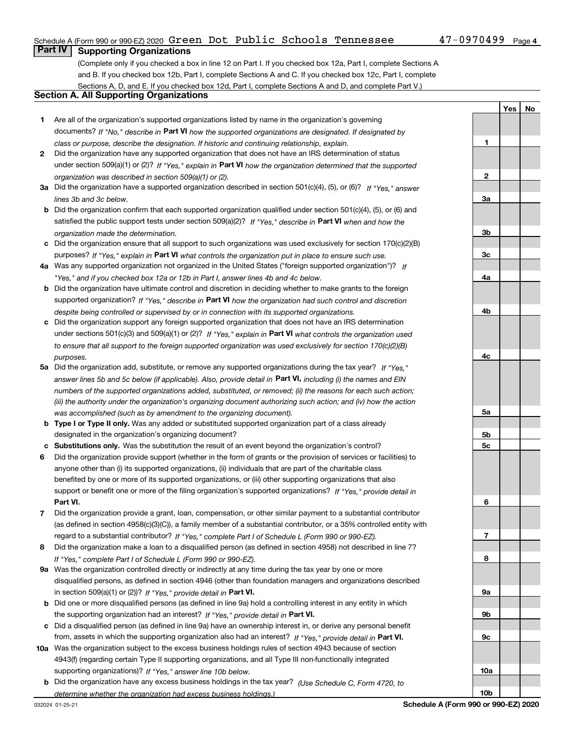### Schedule A (Form 990 or 990-EZ) 2020 Page Green Dot Public Schools Tennessee 47-0970499

**1**

**YesNo**

### **Part IV Supporting Organizations**

(Complete only if you checked a box in line 12 on Part I. If you checked box 12a, Part I, complete Sections A and B. If you checked box 12b, Part I, complete Sections A and C. If you checked box 12c, Part I, complete Sections A, D, and E. If you checked box 12d, Part I, complete Sections A and D, and complete Part V.)

### **Section A. All Supporting Organizations**

- **1** Are all of the organization's supported organizations listed by name in the organization's governing documents? If "No," describe in **Part VI** how the supported organizations are designated. If designated by *class or purpose, describe the designation. If historic and continuing relationship, explain.*
- **2** Did the organization have any supported organization that does not have an IRS determination of status under section 509(a)(1) or (2)? If "Yes," explain in Part VI how the organization determined that the supported *organization was described in section 509(a)(1) or (2).*
- **3a** Did the organization have a supported organization described in section 501(c)(4), (5), or (6)? If "Yes," answer *lines 3b and 3c below.*
- **b** Did the organization confirm that each supported organization qualified under section 501(c)(4), (5), or (6) and satisfied the public support tests under section 509(a)(2)? If "Yes," describe in **Part VI** when and how the *organization made the determination.*
- **c**Did the organization ensure that all support to such organizations was used exclusively for section 170(c)(2)(B) purposes? If "Yes," explain in **Part VI** what controls the organization put in place to ensure such use.
- **4a***If* Was any supported organization not organized in the United States ("foreign supported organization")? *"Yes," and if you checked box 12a or 12b in Part I, answer lines 4b and 4c below.*
- **b** Did the organization have ultimate control and discretion in deciding whether to make grants to the foreign supported organization? If "Yes," describe in **Part VI** how the organization had such control and discretion *despite being controlled or supervised by or in connection with its supported organizations.*
- **c** Did the organization support any foreign supported organization that does not have an IRS determination under sections 501(c)(3) and 509(a)(1) or (2)? If "Yes," explain in **Part VI** what controls the organization used *to ensure that all support to the foreign supported organization was used exclusively for section 170(c)(2)(B) purposes.*
- **5a***If "Yes,"* Did the organization add, substitute, or remove any supported organizations during the tax year? answer lines 5b and 5c below (if applicable). Also, provide detail in **Part VI,** including (i) the names and EIN *numbers of the supported organizations added, substituted, or removed; (ii) the reasons for each such action; (iii) the authority under the organization's organizing document authorizing such action; and (iv) how the action was accomplished (such as by amendment to the organizing document).*
- **b** Type I or Type II only. Was any added or substituted supported organization part of a class already designated in the organization's organizing document?
- **cSubstitutions only.**  Was the substitution the result of an event beyond the organization's control?
- **6** Did the organization provide support (whether in the form of grants or the provision of services or facilities) to **Part VI.** *If "Yes," provide detail in* support or benefit one or more of the filing organization's supported organizations? anyone other than (i) its supported organizations, (ii) individuals that are part of the charitable class benefited by one or more of its supported organizations, or (iii) other supporting organizations that also
- **7**Did the organization provide a grant, loan, compensation, or other similar payment to a substantial contributor *If "Yes," complete Part I of Schedule L (Form 990 or 990-EZ).* regard to a substantial contributor? (as defined in section 4958(c)(3)(C)), a family member of a substantial contributor, or a 35% controlled entity with
- **8** Did the organization make a loan to a disqualified person (as defined in section 4958) not described in line 7? *If "Yes," complete Part I of Schedule L (Form 990 or 990-EZ).*
- **9a** Was the organization controlled directly or indirectly at any time during the tax year by one or more in section 509(a)(1) or (2))? If "Yes," *provide detail in* <code>Part VI.</code> disqualified persons, as defined in section 4946 (other than foundation managers and organizations described
- **b** Did one or more disqualified persons (as defined in line 9a) hold a controlling interest in any entity in which the supporting organization had an interest? If "Yes," provide detail in P**art VI**.
- **c**Did a disqualified person (as defined in line 9a) have an ownership interest in, or derive any personal benefit from, assets in which the supporting organization also had an interest? If "Yes," provide detail in P**art VI.**
- **10a** Was the organization subject to the excess business holdings rules of section 4943 because of section supporting organizations)? If "Yes," answer line 10b below. 4943(f) (regarding certain Type II supporting organizations, and all Type III non-functionally integrated
- **b** Did the organization have any excess business holdings in the tax year? (Use Schedule C, Form 4720, to *determine whether the organization had excess business holdings.)*

**23a3b3c4a4b4c5a5b5c6789a 9b9c10a**

**10b**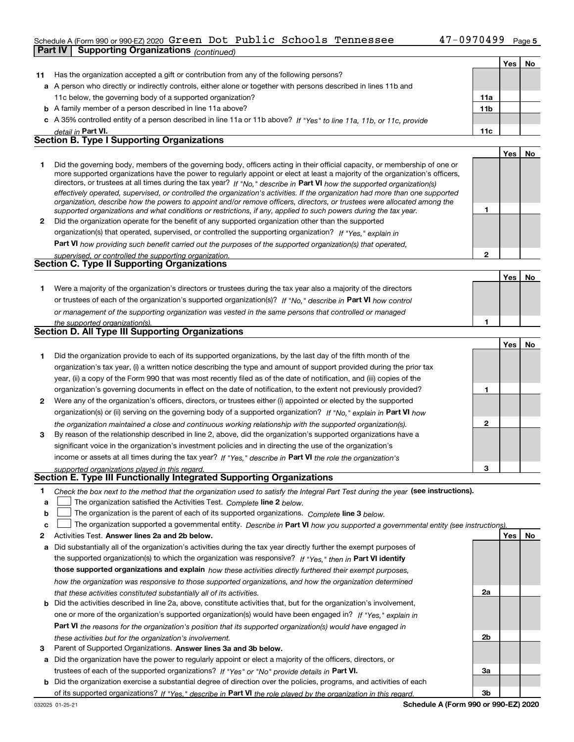# Schedule A (Form 990 or 990-EZ) 2020 Page Green Dot Public Schools Tennessee 47-0970499

|              | <b>Supporting Organizations</b> (continued)<br>Part IV                                                                                                                                                                                                                                                                                                                                                                                                                                                                                                                                                                                               |                |     |     |
|--------------|------------------------------------------------------------------------------------------------------------------------------------------------------------------------------------------------------------------------------------------------------------------------------------------------------------------------------------------------------------------------------------------------------------------------------------------------------------------------------------------------------------------------------------------------------------------------------------------------------------------------------------------------------|----------------|-----|-----|
|              |                                                                                                                                                                                                                                                                                                                                                                                                                                                                                                                                                                                                                                                      |                | Yes | No  |
| 11           | Has the organization accepted a gift or contribution from any of the following persons?                                                                                                                                                                                                                                                                                                                                                                                                                                                                                                                                                              |                |     |     |
|              | a A person who directly or indirectly controls, either alone or together with persons described in lines 11b and                                                                                                                                                                                                                                                                                                                                                                                                                                                                                                                                     |                |     |     |
|              | 11c below, the governing body of a supported organization?                                                                                                                                                                                                                                                                                                                                                                                                                                                                                                                                                                                           | 11a            |     |     |
|              | <b>b</b> A family member of a person described in line 11a above?                                                                                                                                                                                                                                                                                                                                                                                                                                                                                                                                                                                    | 11b            |     |     |
| c            | A 35% controlled entity of a person described in line 11a or 11b above? If "Yes" to line 11a, 11b, or 11c, provide                                                                                                                                                                                                                                                                                                                                                                                                                                                                                                                                   |                |     |     |
|              | detail in Part VI.                                                                                                                                                                                                                                                                                                                                                                                                                                                                                                                                                                                                                                   | 11c            |     |     |
|              | Section B. Type I Supporting Organizations                                                                                                                                                                                                                                                                                                                                                                                                                                                                                                                                                                                                           |                |     |     |
|              |                                                                                                                                                                                                                                                                                                                                                                                                                                                                                                                                                                                                                                                      |                | Yes | No  |
| 1            | Did the governing body, members of the governing body, officers acting in their official capacity, or membership of one or<br>more supported organizations have the power to regularly appoint or elect at least a majority of the organization's officers,<br>directors, or trustees at all times during the tax year? If "No," describe in Part VI how the supported organization(s)<br>effectively operated, supervised, or controlled the organization's activities. If the organization had more than one supported<br>organization, describe how the powers to appoint and/or remove officers, directors, or trustees were allocated among the |                |     |     |
|              | supported organizations and what conditions or restrictions, if any, applied to such powers during the tax year.                                                                                                                                                                                                                                                                                                                                                                                                                                                                                                                                     | 1              |     |     |
| $\mathbf{2}$ | Did the organization operate for the benefit of any supported organization other than the supported                                                                                                                                                                                                                                                                                                                                                                                                                                                                                                                                                  |                |     |     |
|              | organization(s) that operated, supervised, or controlled the supporting organization? If "Yes," explain in                                                                                                                                                                                                                                                                                                                                                                                                                                                                                                                                           |                |     |     |
|              | Part VI how providing such benefit carried out the purposes of the supported organization(s) that operated,                                                                                                                                                                                                                                                                                                                                                                                                                                                                                                                                          |                |     |     |
|              | supervised, or controlled the supporting organization.                                                                                                                                                                                                                                                                                                                                                                                                                                                                                                                                                                                               | $\overline{2}$ |     |     |
|              | <b>Section C. Type II Supporting Organizations</b>                                                                                                                                                                                                                                                                                                                                                                                                                                                                                                                                                                                                   |                |     |     |
|              |                                                                                                                                                                                                                                                                                                                                                                                                                                                                                                                                                                                                                                                      |                | Yes | No  |
| 1            | Were a majority of the organization's directors or trustees during the tax year also a majority of the directors                                                                                                                                                                                                                                                                                                                                                                                                                                                                                                                                     |                |     |     |
|              | or trustees of each of the organization's supported organization(s)? If "No," describe in Part VI how control                                                                                                                                                                                                                                                                                                                                                                                                                                                                                                                                        |                |     |     |
|              | or management of the supporting organization was vested in the same persons that controlled or managed                                                                                                                                                                                                                                                                                                                                                                                                                                                                                                                                               |                |     |     |
|              | the supported organization(s).                                                                                                                                                                                                                                                                                                                                                                                                                                                                                                                                                                                                                       | 1              |     |     |
|              | Section D. All Type III Supporting Organizations                                                                                                                                                                                                                                                                                                                                                                                                                                                                                                                                                                                                     |                |     |     |
|              |                                                                                                                                                                                                                                                                                                                                                                                                                                                                                                                                                                                                                                                      |                | Yes | No. |
| 1            | Did the organization provide to each of its supported organizations, by the last day of the fifth month of the                                                                                                                                                                                                                                                                                                                                                                                                                                                                                                                                       |                |     |     |
|              | organization's tax year, (i) a written notice describing the type and amount of support provided during the prior tax                                                                                                                                                                                                                                                                                                                                                                                                                                                                                                                                |                |     |     |
|              | year, (ii) a copy of the Form 990 that was most recently filed as of the date of notification, and (iii) copies of the                                                                                                                                                                                                                                                                                                                                                                                                                                                                                                                               |                |     |     |
|              | organization's governing documents in effect on the date of notification, to the extent not previously provided?                                                                                                                                                                                                                                                                                                                                                                                                                                                                                                                                     | 1              |     |     |
| 2            | Were any of the organization's officers, directors, or trustees either (i) appointed or elected by the supported                                                                                                                                                                                                                                                                                                                                                                                                                                                                                                                                     |                |     |     |
|              | organization(s) or (ii) serving on the governing body of a supported organization? If "No," explain in Part VI how                                                                                                                                                                                                                                                                                                                                                                                                                                                                                                                                   |                |     |     |
|              | the organization maintained a close and continuous working relationship with the supported organization(s).                                                                                                                                                                                                                                                                                                                                                                                                                                                                                                                                          | $\mathbf{2}$   |     |     |
| 3            | By reason of the relationship described in line 2, above, did the organization's supported organizations have a                                                                                                                                                                                                                                                                                                                                                                                                                                                                                                                                      |                |     |     |
|              | significant voice in the organization's investment policies and in directing the use of the organization's                                                                                                                                                                                                                                                                                                                                                                                                                                                                                                                                           |                |     |     |
|              | income or assets at all times during the tax year? If "Yes," describe in Part VI the role the organization's                                                                                                                                                                                                                                                                                                                                                                                                                                                                                                                                         |                |     |     |
|              | supported organizations played in this regard.                                                                                                                                                                                                                                                                                                                                                                                                                                                                                                                                                                                                       | 3              |     |     |
|              | Section E. Type III Functionally Integrated Supporting Organizations                                                                                                                                                                                                                                                                                                                                                                                                                                                                                                                                                                                 |                |     |     |
| 1<br>a       | Check the box next to the method that the organization used to satisfy the Integral Part Test during the year (see instructions).<br>The organization satisfied the Activities Test. Complete line 2 below.                                                                                                                                                                                                                                                                                                                                                                                                                                          |                |     |     |

**bThe organization is the parent of each of its supported organizations. Complete line 3 below.** 

|  |  | c $\Box$ The organization supported a governmental entity. Describe in Part VI how you supported a governmental entity (see instructions). |  |
|--|--|--------------------------------------------------------------------------------------------------------------------------------------------|--|
|--|--|--------------------------------------------------------------------------------------------------------------------------------------------|--|

- **2Answer lines 2a and 2b below. Yes No** Activities Test.
- **a** Did substantially all of the organization's activities during the tax year directly further the exempt purposes of the supported organization(s) to which the organization was responsive? If "Yes," then in **Part VI identify those supported organizations and explain**  *how these activities directly furthered their exempt purposes, how the organization was responsive to those supported organizations, and how the organization determined that these activities constituted substantially all of its activities.*
- **b** Did the activities described in line 2a, above, constitute activities that, but for the organization's involvement, **Part VI**  *the reasons for the organization's position that its supported organization(s) would have engaged in* one or more of the organization's supported organization(s) would have been engaged in? If "Yes," e*xplain in these activities but for the organization's involvement.*
- **3** Parent of Supported Organizations. Answer lines 3a and 3b below.
- **a** Did the organization have the power to regularly appoint or elect a majority of the officers, directors, or trustees of each of the supported organizations? If "Yes" or "No" provide details in **Part VI.**
- **b** Did the organization exercise a substantial degree of direction over the policies, programs, and activities of each of its supported organizations? If "Yes," describe in Part VI the role played by the organization in this regard.

**2a**

**2b**

**3a**

**3b**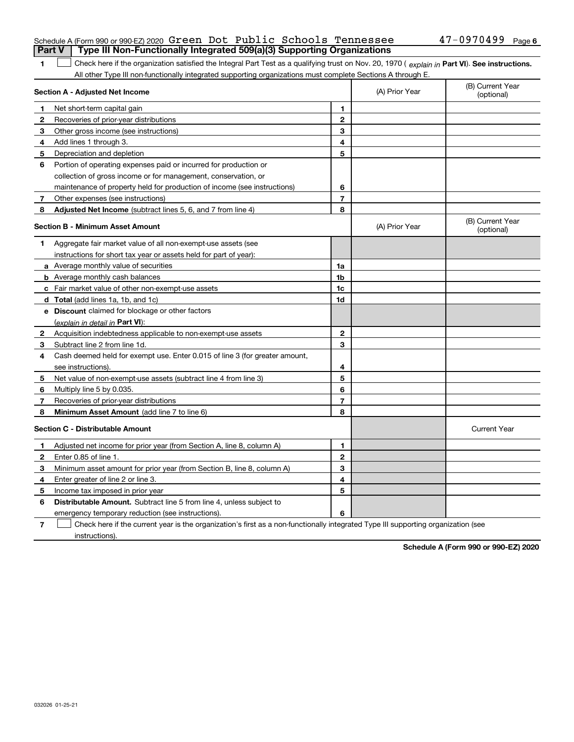|  | Schedule A (Form 990 or 990-EZ) 2020 Green Dot Public Schools Tennessee               |  |  | $47-0970499$ Page 6 |  |
|--|---------------------------------------------------------------------------------------|--|--|---------------------|--|
|  | <b>Part V</b> Type III Non-Functionally Integrated 509(a)(3) Supporting Organizations |  |  |                     |  |

1 Check here if the organization satisfied the Integral Part Test as a qualifying trust on Nov. 20, 1970 (explain in Part VI). See instructions. All other Type III non-functionally integrated supporting organizations must complete Sections A through E.

|              | Section A - Adjusted Net Income                                             | (A) Prior Year | (B) Current Year<br>(optional) |                                |
|--------------|-----------------------------------------------------------------------------|----------------|--------------------------------|--------------------------------|
| 1            | Net short-term capital gain                                                 | 1              |                                |                                |
| $\mathbf{2}$ | Recoveries of prior-year distributions                                      | $\mathbf{2}$   |                                |                                |
| 3            | Other gross income (see instructions)                                       | 3              |                                |                                |
| 4            | Add lines 1 through 3.                                                      | 4              |                                |                                |
| 5            | Depreciation and depletion                                                  | 5              |                                |                                |
| 6            | Portion of operating expenses paid or incurred for production or            |                |                                |                                |
|              | collection of gross income or for management, conservation, or              |                |                                |                                |
|              | maintenance of property held for production of income (see instructions)    | 6              |                                |                                |
| 7            | Other expenses (see instructions)                                           | $\overline{7}$ |                                |                                |
| 8            | Adjusted Net Income (subtract lines 5, 6, and 7 from line 4)                | 8              |                                |                                |
|              | <b>Section B - Minimum Asset Amount</b>                                     |                | (A) Prior Year                 | (B) Current Year<br>(optional) |
| 1            | Aggregate fair market value of all non-exempt-use assets (see               |                |                                |                                |
|              | instructions for short tax year or assets held for part of year):           |                |                                |                                |
|              | a Average monthly value of securities                                       | 1a             |                                |                                |
|              | <b>b</b> Average monthly cash balances                                      | 1b             |                                |                                |
|              | c Fair market value of other non-exempt-use assets                          | 1c             |                                |                                |
|              | d Total (add lines 1a, 1b, and 1c)                                          | 1d             |                                |                                |
|              | <b>e</b> Discount claimed for blockage or other factors                     |                |                                |                                |
|              | (explain in detail in Part VI):                                             |                |                                |                                |
| 2            | Acquisition indebtedness applicable to non-exempt-use assets                | $\mathbf{2}$   |                                |                                |
| З.           | Subtract line 2 from line 1d.                                               | 3              |                                |                                |
| 4            | Cash deemed held for exempt use. Enter 0.015 of line 3 (for greater amount, |                |                                |                                |
|              | see instructions).                                                          | 4              |                                |                                |
| 5            | Net value of non-exempt-use assets (subtract line 4 from line 3)            | 5              |                                |                                |
| 6            | Multiply line 5 by 0.035.                                                   | 6              |                                |                                |
| 7            | Recoveries of prior-year distributions                                      | 7              |                                |                                |
| 8            | Minimum Asset Amount (add line 7 to line 6)                                 | 8              |                                |                                |
|              | <b>Section C - Distributable Amount</b>                                     |                |                                | <b>Current Year</b>            |
| 1            | Adjusted net income for prior year (from Section A, line 8, column A)       | 1              |                                |                                |
| $\mathbf{2}$ | Enter 0.85 of line 1.                                                       | $\mathbf{2}$   |                                |                                |
| 3            | Minimum asset amount for prior year (from Section B, line 8, column A)      | 3              |                                |                                |
| 4            | Enter greater of line 2 or line 3.                                          | 4              |                                |                                |
| 5            | Income tax imposed in prior year                                            | 5              |                                |                                |
| 6            | Distributable Amount. Subtract line 5 from line 4, unless subject to        |                |                                |                                |
|              | emergency temporary reduction (see instructions).                           | 6              |                                |                                |
|              |                                                                             |                |                                |                                |

**7**Check here if the current year is the organization's first as a non-functionally integrated Type III supporting organization (see instructions).

**Schedule A (Form 990 or 990-EZ) 2020**

**1**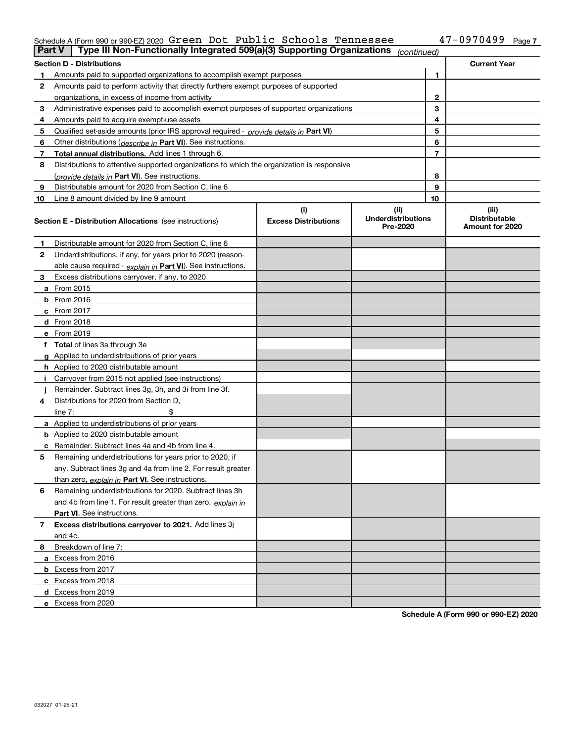### Schedule A (Form 990 or 990-EZ) 2020 Page Green Dot Public Schools Tennessee 47-0970499

| <b>Part V</b> | Type III Non-Functionally Integrated 509(a)(3) Supporting Organizations                    |                             | (continued)                           |    |                                         |
|---------------|--------------------------------------------------------------------------------------------|-----------------------------|---------------------------------------|----|-----------------------------------------|
|               | <b>Section D - Distributions</b>                                                           |                             |                                       |    | <b>Current Year</b>                     |
| 1             | Amounts paid to supported organizations to accomplish exempt purposes                      | 1                           |                                       |    |                                         |
| 2             | Amounts paid to perform activity that directly furthers exempt purposes of supported       |                             |                                       |    |                                         |
|               | organizations, in excess of income from activity                                           | $\mathbf{2}$                |                                       |    |                                         |
| 3             | Administrative expenses paid to accomplish exempt purposes of supported organizations      |                             |                                       | 3  |                                         |
| 4             | Amounts paid to acquire exempt-use assets                                                  |                             |                                       | 4  |                                         |
| 5             | Qualified set-aside amounts (prior IRS approval required - provide details in Part VI)     |                             |                                       | 5  |                                         |
| 6             | Other distributions ( <i>describe in</i> Part VI). See instructions.                       |                             |                                       | 6  |                                         |
| 7             | Total annual distributions. Add lines 1 through 6.                                         |                             |                                       | 7  |                                         |
| 8             | Distributions to attentive supported organizations to which the organization is responsive |                             |                                       |    |                                         |
|               | (provide details in Part VI). See instructions.                                            |                             |                                       | 8  |                                         |
| 9             | Distributable amount for 2020 from Section C, line 6                                       |                             |                                       | 9  |                                         |
| 10            | Line 8 amount divided by line 9 amount                                                     |                             |                                       | 10 |                                         |
|               |                                                                                            | (i)                         | (ii)                                  |    | (iii)                                   |
|               | Section E - Distribution Allocations (see instructions)                                    | <b>Excess Distributions</b> | <b>Underdistributions</b><br>Pre-2020 |    | <b>Distributable</b><br>Amount for 2020 |
| 1             | Distributable amount for 2020 from Section C, line 6                                       |                             |                                       |    |                                         |
| 2             | Underdistributions, if any, for years prior to 2020 (reason-                               |                             |                                       |    |                                         |
|               | able cause required - explain in Part VI). See instructions.                               |                             |                                       |    |                                         |
| 3             | Excess distributions carryover, if any, to 2020                                            |                             |                                       |    |                                         |
|               | <b>a</b> From 2015                                                                         |                             |                                       |    |                                         |
|               | <b>b</b> From 2016                                                                         |                             |                                       |    |                                         |
|               | c From 2017                                                                                |                             |                                       |    |                                         |
|               | <b>d</b> From 2018                                                                         |                             |                                       |    |                                         |
|               | e From 2019                                                                                |                             |                                       |    |                                         |
|               | f Total of lines 3a through 3e                                                             |                             |                                       |    |                                         |
|               | g Applied to underdistributions of prior years                                             |                             |                                       |    |                                         |
|               | <b>h</b> Applied to 2020 distributable amount                                              |                             |                                       |    |                                         |
|               | Carryover from 2015 not applied (see instructions)                                         |                             |                                       |    |                                         |
|               | Remainder. Subtract lines 3g, 3h, and 3i from line 3f.                                     |                             |                                       |    |                                         |
| 4             | Distributions for 2020 from Section D,                                                     |                             |                                       |    |                                         |
|               | line $7:$                                                                                  |                             |                                       |    |                                         |
|               | a Applied to underdistributions of prior years                                             |                             |                                       |    |                                         |
|               | <b>b</b> Applied to 2020 distributable amount                                              |                             |                                       |    |                                         |
|               | c Remainder. Subtract lines 4a and 4b from line 4.                                         |                             |                                       |    |                                         |
| 5             | Remaining underdistributions for years prior to 2020, if                                   |                             |                                       |    |                                         |
|               | any. Subtract lines 3g and 4a from line 2. For result greater                              |                             |                                       |    |                                         |
|               | than zero, explain in Part VI. See instructions.                                           |                             |                                       |    |                                         |
| 6             | Remaining underdistributions for 2020. Subtract lines 3h                                   |                             |                                       |    |                                         |
|               | and 4b from line 1. For result greater than zero, explain in                               |                             |                                       |    |                                         |
|               | Part VI. See instructions.                                                                 |                             |                                       |    |                                         |
| 7             | Excess distributions carryover to 2021. Add lines 3j                                       |                             |                                       |    |                                         |
|               | and 4c.                                                                                    |                             |                                       |    |                                         |
| 8             | Breakdown of line 7:                                                                       |                             |                                       |    |                                         |
|               | a Excess from 2016                                                                         |                             |                                       |    |                                         |
|               | <b>b</b> Excess from 2017                                                                  |                             |                                       |    |                                         |
|               | c Excess from 2018                                                                         |                             |                                       |    |                                         |
|               | d Excess from 2019                                                                         |                             |                                       |    |                                         |
|               | e Excess from 2020                                                                         |                             |                                       |    |                                         |

**Schedule A (Form 990 or 990-EZ) 2020**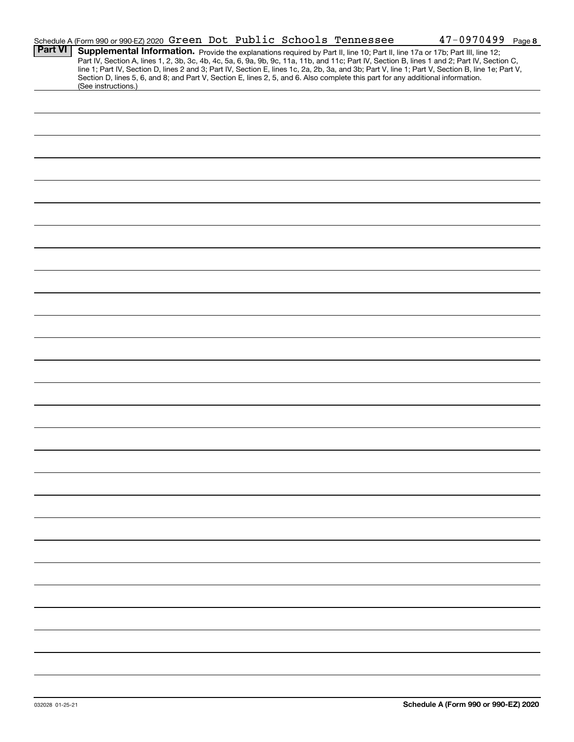|                | Schedule A (Form 990 or 990-EZ) 2020 Green Dot Public Schools Tennessee                                                                                                                                                                                                                                                                                                                                                                                                                                                                                                                     |  |  |  | $47 - 0970499$ Page 8 |  |
|----------------|---------------------------------------------------------------------------------------------------------------------------------------------------------------------------------------------------------------------------------------------------------------------------------------------------------------------------------------------------------------------------------------------------------------------------------------------------------------------------------------------------------------------------------------------------------------------------------------------|--|--|--|-----------------------|--|
| <b>Part VI</b> | Supplemental Information. Provide the explanations required by Part II, line 10; Part II, line 17a or 17b; Part III, line 12;<br>Part IV, Section A, lines 1, 2, 3b, 3c, 4b, 4c, 5a, 6, 9a, 9b, 9c, 11a, 11b, and 11c; Part IV, Section B, lines 1 and 2; Part IV, Section C,<br>line 1; Part IV, Section D, lines 2 and 3; Part IV, Section E, lines 1c, 2a, 2b, 3a, and 3b; Part V, line 1; Part V, Section B, line 1e; Part V,<br>Section D, lines 5, 6, and 8; and Part V, Section E, lines 2, 5, and 6. Also complete this part for any additional information.<br>(See instructions.) |  |  |  |                       |  |
|                |                                                                                                                                                                                                                                                                                                                                                                                                                                                                                                                                                                                             |  |  |  |                       |  |
|                |                                                                                                                                                                                                                                                                                                                                                                                                                                                                                                                                                                                             |  |  |  |                       |  |
|                |                                                                                                                                                                                                                                                                                                                                                                                                                                                                                                                                                                                             |  |  |  |                       |  |
|                |                                                                                                                                                                                                                                                                                                                                                                                                                                                                                                                                                                                             |  |  |  |                       |  |
|                |                                                                                                                                                                                                                                                                                                                                                                                                                                                                                                                                                                                             |  |  |  |                       |  |
|                |                                                                                                                                                                                                                                                                                                                                                                                                                                                                                                                                                                                             |  |  |  |                       |  |
|                |                                                                                                                                                                                                                                                                                                                                                                                                                                                                                                                                                                                             |  |  |  |                       |  |
|                |                                                                                                                                                                                                                                                                                                                                                                                                                                                                                                                                                                                             |  |  |  |                       |  |
|                |                                                                                                                                                                                                                                                                                                                                                                                                                                                                                                                                                                                             |  |  |  |                       |  |
|                |                                                                                                                                                                                                                                                                                                                                                                                                                                                                                                                                                                                             |  |  |  |                       |  |
|                |                                                                                                                                                                                                                                                                                                                                                                                                                                                                                                                                                                                             |  |  |  |                       |  |
|                |                                                                                                                                                                                                                                                                                                                                                                                                                                                                                                                                                                                             |  |  |  |                       |  |
|                |                                                                                                                                                                                                                                                                                                                                                                                                                                                                                                                                                                                             |  |  |  |                       |  |
|                |                                                                                                                                                                                                                                                                                                                                                                                                                                                                                                                                                                                             |  |  |  |                       |  |
|                |                                                                                                                                                                                                                                                                                                                                                                                                                                                                                                                                                                                             |  |  |  |                       |  |
|                |                                                                                                                                                                                                                                                                                                                                                                                                                                                                                                                                                                                             |  |  |  |                       |  |
|                |                                                                                                                                                                                                                                                                                                                                                                                                                                                                                                                                                                                             |  |  |  |                       |  |
|                |                                                                                                                                                                                                                                                                                                                                                                                                                                                                                                                                                                                             |  |  |  |                       |  |
|                |                                                                                                                                                                                                                                                                                                                                                                                                                                                                                                                                                                                             |  |  |  |                       |  |
|                |                                                                                                                                                                                                                                                                                                                                                                                                                                                                                                                                                                                             |  |  |  |                       |  |
|                |                                                                                                                                                                                                                                                                                                                                                                                                                                                                                                                                                                                             |  |  |  |                       |  |
|                |                                                                                                                                                                                                                                                                                                                                                                                                                                                                                                                                                                                             |  |  |  |                       |  |
|                |                                                                                                                                                                                                                                                                                                                                                                                                                                                                                                                                                                                             |  |  |  |                       |  |
|                |                                                                                                                                                                                                                                                                                                                                                                                                                                                                                                                                                                                             |  |  |  |                       |  |
|                |                                                                                                                                                                                                                                                                                                                                                                                                                                                                                                                                                                                             |  |  |  |                       |  |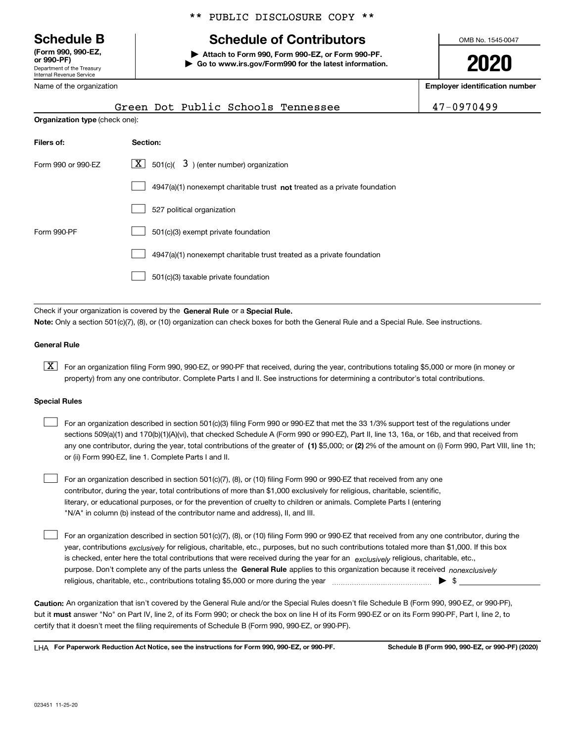Department of the Treasury Internal Revenue Service **(Form 990, 990-EZ, or 990-PF)**

Name of the organization

\*\* PUBLIC DISCLOSURE COPY \*\*

# **Schedule B Schedule of Contributors**

**| Attach to Form 990, Form 990-EZ, or Form 990-PF. | Go to www.irs.gov/Form990 for the latest information.** OMB No. 1545-0047

**2020**

**Employer identification number**

|                                       | Green Dot Public Schools Tennessee                                                 | 47-0970499 |
|---------------------------------------|------------------------------------------------------------------------------------|------------|
| <b>Organization type (check one):</b> |                                                                                    |            |
| Filers of:                            | Section:                                                                           |            |
| Form 990 or 990-EZ                    | $X$ 501(c)(<br>$3$ ) (enter number) organization                                   |            |
|                                       | $4947(a)(1)$ nonexempt charitable trust <b>not</b> treated as a private foundation |            |
|                                       | 527 political organization                                                         |            |
| Form 990-PF                           | 501(c)(3) exempt private foundation                                                |            |
|                                       | 4947(a)(1) nonexempt charitable trust treated as a private foundation              |            |
|                                       | 501(c)(3) taxable private foundation                                               |            |

Check if your organization is covered by the **General Rule** or a **Special Rule. Note:**  Only a section 501(c)(7), (8), or (10) organization can check boxes for both the General Rule and a Special Rule. See instructions.

### **General Rule**

 $\boxed{\textbf{X}}$  For an organization filing Form 990, 990-EZ, or 990-PF that received, during the year, contributions totaling \$5,000 or more (in money or property) from any one contributor. Complete Parts I and II. See instructions for determining a contributor's total contributions.

#### **Special Rules**

| For an organization described in section 501(c)(3) filing Form 990 or 990-EZ that met the 33 1/3% support test of the regulations under               |
|-------------------------------------------------------------------------------------------------------------------------------------------------------|
| sections 509(a)(1) and 170(b)(1)(A)(vi), that checked Schedule A (Form 990 or 990-EZ), Part II, line 13, 16a, or 16b, and that received from          |
| any one contributor, during the year, total contributions of the greater of (1) \$5,000; or (2) 2% of the amount on (i) Form 990, Part VIII, line 1h; |
| or (ii) Form 990-EZ, line 1. Complete Parts I and II.                                                                                                 |

For an organization described in section 501(c)(7), (8), or (10) filing Form 990 or 990-EZ that received from any one contributor, during the year, total contributions of more than \$1,000 exclusively for religious, charitable, scientific, literary, or educational purposes, or for the prevention of cruelty to children or animals. Complete Parts I (entering "N/A" in column (b) instead of the contributor name and address), II, and III.  $\mathcal{L}^{\text{max}}$ 

purpose. Don't complete any of the parts unless the **General Rule** applies to this organization because it received *nonexclusively* year, contributions <sub>exclusively</sub> for religious, charitable, etc., purposes, but no such contributions totaled more than \$1,000. If this box is checked, enter here the total contributions that were received during the year for an  $\;$ exclusively religious, charitable, etc., For an organization described in section 501(c)(7), (8), or (10) filing Form 990 or 990-EZ that received from any one contributor, during the religious, charitable, etc., contributions totaling \$5,000 or more during the year  $\Box$ — $\Box$   $\Box$  $\mathcal{L}^{\text{max}}$ 

**Caution:**  An organization that isn't covered by the General Rule and/or the Special Rules doesn't file Schedule B (Form 990, 990-EZ, or 990-PF),  **must** but it answer "No" on Part IV, line 2, of its Form 990; or check the box on line H of its Form 990-EZ or on its Form 990-PF, Part I, line 2, to certify that it doesn't meet the filing requirements of Schedule B (Form 990, 990-EZ, or 990-PF).

**For Paperwork Reduction Act Notice, see the instructions for Form 990, 990-EZ, or 990-PF. Schedule B (Form 990, 990-EZ, or 990-PF) (2020)** LHA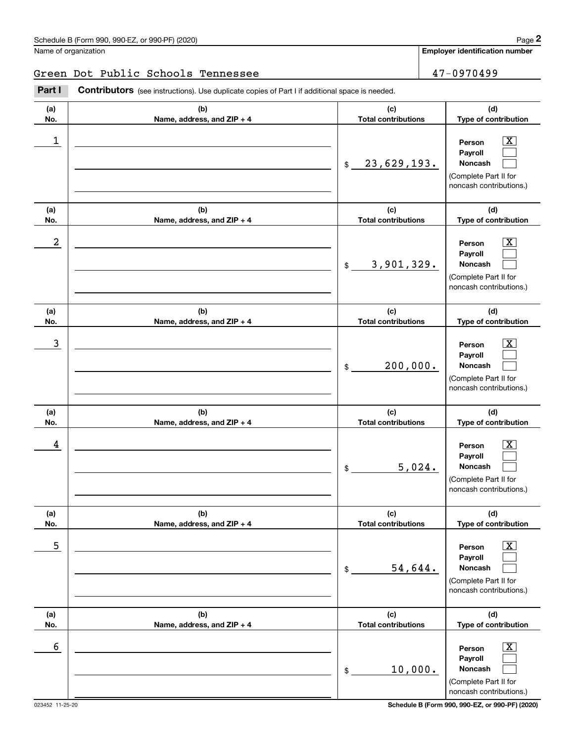**Employer identification number**

### Green Dot Public Schools Tennessee 47-0970499

(schedule B (Form 990, 990-EZ, or 990-PF) (2020)<br>
Jame of organization<br> **2Part I Contributors** (see instructions). Use duplicate copies of Part I if additional space is needed.<br> **2Part I Contributors** (see instructions

| (a)              | (b)                                 | (c)                               | (d)                                                                                                       |
|------------------|-------------------------------------|-----------------------------------|-----------------------------------------------------------------------------------------------------------|
| No.              | Name, address, and ZIP + 4          | <b>Total contributions</b>        | Type of contribution                                                                                      |
| $\mathbf 1$      |                                     | 23,629,193.<br>$\frac{1}{2}$      | x.<br>Person<br>Payroll<br>Noncash<br>(Complete Part II for<br>noncash contributions.)                    |
| (a)<br>No.       | (b)<br>Name, address, and ZIP + 4   | (c)<br><b>Total contributions</b> | (d)<br>Type of contribution                                                                               |
| $\boldsymbol{2}$ |                                     | 3,901,329.<br>\$                  | Person<br>x<br>Payroll<br>Noncash<br>(Complete Part II for<br>noncash contributions.)                     |
| (a)<br>No.       | (b)<br>Name, address, and ZIP + 4   | (c)<br><b>Total contributions</b> | (d)<br>Type of contribution                                                                               |
| 3                |                                     | 200,000.<br>\$                    | Person<br>x.<br>Payroll<br>Noncash<br>(Complete Part II for<br>noncash contributions.)                    |
| (a)<br>No.       | (b)<br>Name, address, and ZIP + 4   | (c)<br><b>Total contributions</b> | (d)<br>Type of contribution                                                                               |
| 4                |                                     | 5,024.<br>\$                      | Person<br>Payroll<br>Noncash<br>(Complete Part II for<br>noncash contributions.)                          |
| (a)<br>No.       | (b)<br>Name, address, and $ZIP + 4$ | (c)<br>Total contributions        | (d)<br>Type of contribution                                                                               |
| 5                |                                     | 54,644.<br>$\frac{1}{2}$          | $\overline{\text{X}}$<br>Person<br>Payroll<br>Noncash<br>(Complete Part II for<br>noncash contributions.) |
| (a)<br>No.       | (b)<br>Name, address, and ZIP + 4   | (c)<br><b>Total contributions</b> | (d)<br>Type of contribution                                                                               |
| 6                |                                     | 10,000.<br>$\frac{1}{2}$          | $\overline{\text{X}}$<br>Person<br>Payroll<br>Noncash<br>(Complete Part II for<br>noncash contributions.) |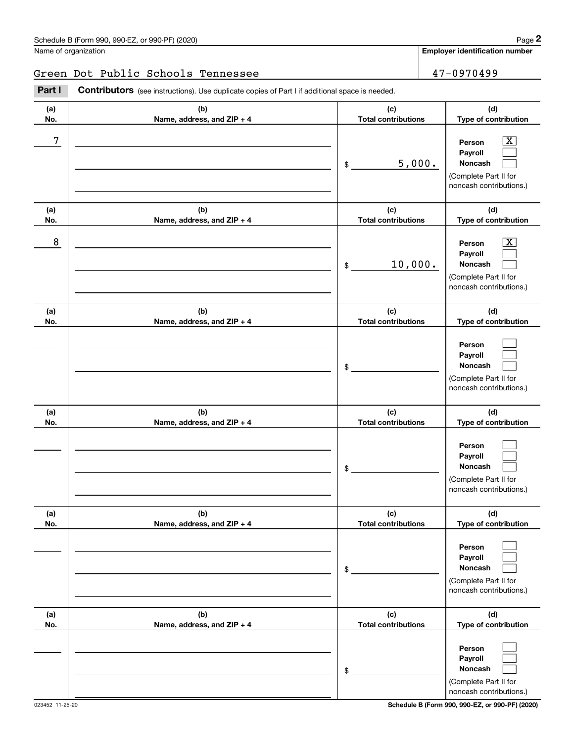**Employer identification number**

### Green Dot Public Schools Tennessee 47-0970499

**(a)No.(b)Name, address, and ZIP + 4 (c)Total contributions (d)Type of contribution PersonPayrollNoncash (a)No.(b)Name, address, and ZIP + 4 (c)Total contributions (d)Type of contribution PersonPayrollNoncash (a)No.(b)Name, address, and ZIP + 4 (c)Total contributions (d)Type of contribution PersonPayrollNoncash (a) No.(b) Name, address, and ZIP + 4 (c) Total contributions (d) Type of contribution PersonPayrollNoncash(a) No.(b) Name, address, and ZIP + 4 (c) Total contributions (d) Type of contribution PersonPayrollNoncash (a) No.(b)Name, address, and ZIP + 4 (c) Total contributions (d) Type of contribution PersonPayrollNoncash** Contributors (see instructions). Use duplicate copies of Part I if additional space is needed. \$(Complete Part II for noncash contributions.) \$(Complete Part II for noncash contributions.) \$(Complete Part II for noncash contributions.) \$(Complete Part II for noncash contributions.) \$(Complete Part II for noncash contributions.) \$(Complete Part II for Employer identification Page 2<br>
Jame of organization<br> **2Part I 2Part I Contributors** (see instructions). Use duplicate copies of Part I if additional space is needed.  $\lceil \text{X} \rceil$  $\mathcal{L}^{\text{max}}$  $\mathcal{L}^{\text{max}}$  $\boxed{\text{X}}$  $\mathcal{L}^{\text{max}}$  $\mathcal{L}^{\text{max}}$  $\mathcal{L}^{\text{max}}$  $\mathcal{L}^{\text{max}}$  $\mathcal{L}^{\text{max}}$  $\mathcal{L}^{\text{max}}$  $\mathcal{L}^{\text{max}}$  $\mathcal{L}^{\text{max}}$  $\mathcal{L}^{\text{max}}$  $\mathcal{L}^{\text{max}}$  $\mathcal{L}^{\text{max}}$  $\mathcal{L}^{\text{max}}$  $\mathcal{L}^{\text{max}}$  $\mathcal{L}^{\text{max}}$ 7 X 5,000. 8 X 10,000.

023452 11-25-20 **Schedule B (Form 990, 990-EZ, or 990-PF) (2020)**

noncash contributions.)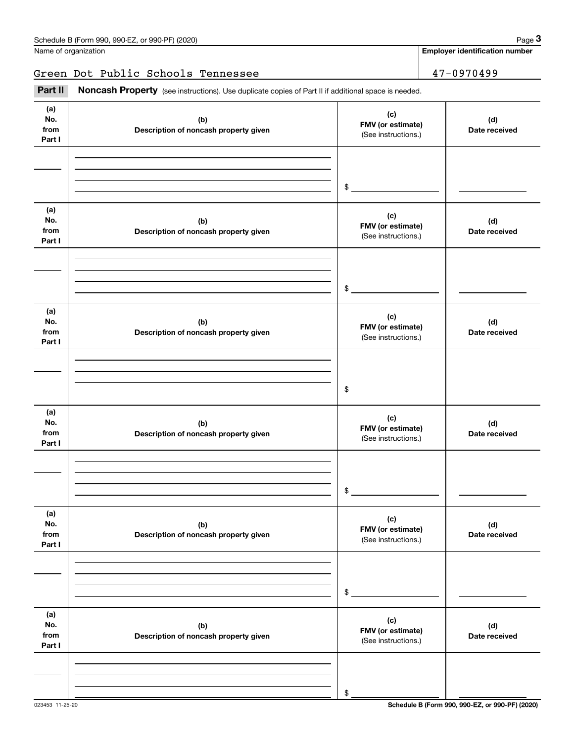**Employer identification number**

### Green Dot Public Schools Tennessee 47-0970499

Fage 3 (schedule B (Form 990, 990-EZ, or 990-PF) (2020)<br>
Jame of organization<br> **3Part II if additional space is needed.**<br> **2Part II if additional space is needed.** 

| (a)<br>No.<br>from<br>Part I | (b)<br>Description of noncash property given | (c)<br>FMV (or estimate)<br>(See instructions.) | (d)<br>Date received |
|------------------------------|----------------------------------------------|-------------------------------------------------|----------------------|
|                              |                                              |                                                 |                      |
|                              |                                              |                                                 |                      |
|                              |                                              | $\qquad \qquad \bullet$                         |                      |
| (a)<br>No.<br>from<br>Part I | (b)<br>Description of noncash property given | (c)<br>FMV (or estimate)<br>(See instructions.) | (d)<br>Date received |
|                              |                                              |                                                 |                      |
|                              |                                              |                                                 |                      |
|                              |                                              | $$\overbrace{\hspace{2.5cm}}$                   |                      |
| (a)<br>No.<br>from<br>Part I | (b)<br>Description of noncash property given | (c)<br>FMV (or estimate)<br>(See instructions.) | (d)<br>Date received |
|                              |                                              |                                                 |                      |
|                              |                                              |                                                 |                      |
|                              |                                              | $$\overbrace{\hspace{2.5cm}}$                   |                      |
| (a)<br>No.<br>from<br>Part I | (b)<br>Description of noncash property given | (c)<br>FMV (or estimate)<br>(See instructions.) | (d)<br>Date received |
|                              |                                              |                                                 |                      |
|                              |                                              |                                                 |                      |
|                              |                                              | $\mathsf{\$}$                                   |                      |
| (a)<br>No.<br>from<br>Part I | (b)<br>Description of noncash property given | (c)<br>FMV (or estimate)<br>(See instructions.) | (d)<br>Date received |
|                              |                                              |                                                 |                      |
|                              |                                              |                                                 |                      |
|                              |                                              | \$                                              |                      |
| (a)<br>No.<br>from<br>Part I | (b)<br>Description of noncash property given | (c)<br>FMV (or estimate)<br>(See instructions.) | (d)<br>Date received |
|                              |                                              |                                                 |                      |
|                              |                                              |                                                 |                      |
|                              |                                              | \$                                              |                      |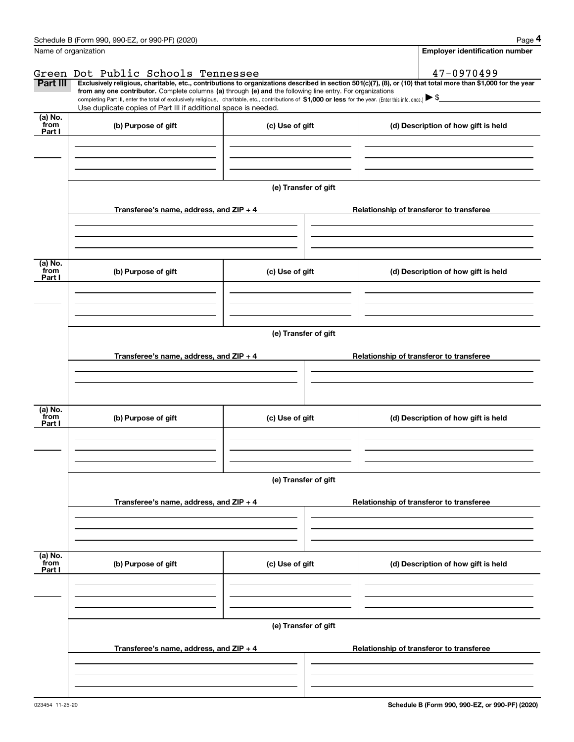| <b>Employer identification number</b><br>47-0970499<br>Part III<br>Exclusively religious, charitable, etc., contributions to organizations described in section 501(c)(7), (8), or (10) that total more than \$1,000 for the year<br>from any one contributor. Complete columns (a) through (e) and the following line entry. For organizations<br>completing Part III, enter the total of exclusively religious, charitable, etc., contributions of \$1,000 or less for the year. (Enter this info. once.) \\$<br>Use duplicate copies of Part III if additional space is needed.<br>(a) No.<br>from<br>(b) Purpose of gift<br>(c) Use of gift<br>(d) Description of how gift is held<br>Part I<br>(e) Transfer of gift<br>Transferee's name, address, and ZIP + 4<br>Relationship of transferor to transferee<br>(a) No.<br>from<br>(b) Purpose of gift<br>(c) Use of gift<br>(d) Description of how gift is held<br>Part I<br>(e) Transfer of gift<br>Transferee's name, address, and ZIP + 4<br>Relationship of transferor to transferee<br>(a) No.<br>from<br>(b) Purpose of gift<br>(c) Use of gift<br>(d) Description of how gift is held<br>Part I<br>(e) Transfer of gift<br>Transferee's name, address, and ZIP + 4<br>Relationship of transferor to transferee<br>(a) No.<br>from<br>(b) Purpose of gift<br>(c) Use of gift<br>(d) Description of how gift is held<br>Part I | Name of organization<br>Green Dot Public Schools Tennessee<br>(e) Transfer of gift |  | Schedule B (Form 990, 990-EZ, or 990-PF) (2020) |  | Page 4 |  |  |  |  |  |
|-----------------------------------------------------------------------------------------------------------------------------------------------------------------------------------------------------------------------------------------------------------------------------------------------------------------------------------------------------------------------------------------------------------------------------------------------------------------------------------------------------------------------------------------------------------------------------------------------------------------------------------------------------------------------------------------------------------------------------------------------------------------------------------------------------------------------------------------------------------------------------------------------------------------------------------------------------------------------------------------------------------------------------------------------------------------------------------------------------------------------------------------------------------------------------------------------------------------------------------------------------------------------------------------------------------------------------------------------------------------------------------------|------------------------------------------------------------------------------------|--|-------------------------------------------------|--|--------|--|--|--|--|--|
|                                                                                                                                                                                                                                                                                                                                                                                                                                                                                                                                                                                                                                                                                                                                                                                                                                                                                                                                                                                                                                                                                                                                                                                                                                                                                                                                                                                         |                                                                                    |  |                                                 |  |        |  |  |  |  |  |
|                                                                                                                                                                                                                                                                                                                                                                                                                                                                                                                                                                                                                                                                                                                                                                                                                                                                                                                                                                                                                                                                                                                                                                                                                                                                                                                                                                                         |                                                                                    |  |                                                 |  |        |  |  |  |  |  |
|                                                                                                                                                                                                                                                                                                                                                                                                                                                                                                                                                                                                                                                                                                                                                                                                                                                                                                                                                                                                                                                                                                                                                                                                                                                                                                                                                                                         |                                                                                    |  |                                                 |  |        |  |  |  |  |  |
|                                                                                                                                                                                                                                                                                                                                                                                                                                                                                                                                                                                                                                                                                                                                                                                                                                                                                                                                                                                                                                                                                                                                                                                                                                                                                                                                                                                         |                                                                                    |  |                                                 |  |        |  |  |  |  |  |
|                                                                                                                                                                                                                                                                                                                                                                                                                                                                                                                                                                                                                                                                                                                                                                                                                                                                                                                                                                                                                                                                                                                                                                                                                                                                                                                                                                                         |                                                                                    |  |                                                 |  |        |  |  |  |  |  |
|                                                                                                                                                                                                                                                                                                                                                                                                                                                                                                                                                                                                                                                                                                                                                                                                                                                                                                                                                                                                                                                                                                                                                                                                                                                                                                                                                                                         |                                                                                    |  |                                                 |  |        |  |  |  |  |  |
|                                                                                                                                                                                                                                                                                                                                                                                                                                                                                                                                                                                                                                                                                                                                                                                                                                                                                                                                                                                                                                                                                                                                                                                                                                                                                                                                                                                         |                                                                                    |  |                                                 |  |        |  |  |  |  |  |
|                                                                                                                                                                                                                                                                                                                                                                                                                                                                                                                                                                                                                                                                                                                                                                                                                                                                                                                                                                                                                                                                                                                                                                                                                                                                                                                                                                                         |                                                                                    |  |                                                 |  |        |  |  |  |  |  |
|                                                                                                                                                                                                                                                                                                                                                                                                                                                                                                                                                                                                                                                                                                                                                                                                                                                                                                                                                                                                                                                                                                                                                                                                                                                                                                                                                                                         |                                                                                    |  |                                                 |  |        |  |  |  |  |  |
|                                                                                                                                                                                                                                                                                                                                                                                                                                                                                                                                                                                                                                                                                                                                                                                                                                                                                                                                                                                                                                                                                                                                                                                                                                                                                                                                                                                         |                                                                                    |  |                                                 |  |        |  |  |  |  |  |
|                                                                                                                                                                                                                                                                                                                                                                                                                                                                                                                                                                                                                                                                                                                                                                                                                                                                                                                                                                                                                                                                                                                                                                                                                                                                                                                                                                                         |                                                                                    |  |                                                 |  |        |  |  |  |  |  |
|                                                                                                                                                                                                                                                                                                                                                                                                                                                                                                                                                                                                                                                                                                                                                                                                                                                                                                                                                                                                                                                                                                                                                                                                                                                                                                                                                                                         |                                                                                    |  |                                                 |  |        |  |  |  |  |  |
|                                                                                                                                                                                                                                                                                                                                                                                                                                                                                                                                                                                                                                                                                                                                                                                                                                                                                                                                                                                                                                                                                                                                                                                                                                                                                                                                                                                         |                                                                                    |  |                                                 |  |        |  |  |  |  |  |
|                                                                                                                                                                                                                                                                                                                                                                                                                                                                                                                                                                                                                                                                                                                                                                                                                                                                                                                                                                                                                                                                                                                                                                                                                                                                                                                                                                                         |                                                                                    |  |                                                 |  |        |  |  |  |  |  |
|                                                                                                                                                                                                                                                                                                                                                                                                                                                                                                                                                                                                                                                                                                                                                                                                                                                                                                                                                                                                                                                                                                                                                                                                                                                                                                                                                                                         |                                                                                    |  |                                                 |  |        |  |  |  |  |  |
|                                                                                                                                                                                                                                                                                                                                                                                                                                                                                                                                                                                                                                                                                                                                                                                                                                                                                                                                                                                                                                                                                                                                                                                                                                                                                                                                                                                         |                                                                                    |  |                                                 |  |        |  |  |  |  |  |
|                                                                                                                                                                                                                                                                                                                                                                                                                                                                                                                                                                                                                                                                                                                                                                                                                                                                                                                                                                                                                                                                                                                                                                                                                                                                                                                                                                                         |                                                                                    |  |                                                 |  |        |  |  |  |  |  |
|                                                                                                                                                                                                                                                                                                                                                                                                                                                                                                                                                                                                                                                                                                                                                                                                                                                                                                                                                                                                                                                                                                                                                                                                                                                                                                                                                                                         |                                                                                    |  |                                                 |  |        |  |  |  |  |  |
|                                                                                                                                                                                                                                                                                                                                                                                                                                                                                                                                                                                                                                                                                                                                                                                                                                                                                                                                                                                                                                                                                                                                                                                                                                                                                                                                                                                         |                                                                                    |  |                                                 |  |        |  |  |  |  |  |
|                                                                                                                                                                                                                                                                                                                                                                                                                                                                                                                                                                                                                                                                                                                                                                                                                                                                                                                                                                                                                                                                                                                                                                                                                                                                                                                                                                                         |                                                                                    |  |                                                 |  |        |  |  |  |  |  |
|                                                                                                                                                                                                                                                                                                                                                                                                                                                                                                                                                                                                                                                                                                                                                                                                                                                                                                                                                                                                                                                                                                                                                                                                                                                                                                                                                                                         |                                                                                    |  |                                                 |  |        |  |  |  |  |  |
|                                                                                                                                                                                                                                                                                                                                                                                                                                                                                                                                                                                                                                                                                                                                                                                                                                                                                                                                                                                                                                                                                                                                                                                                                                                                                                                                                                                         |                                                                                    |  |                                                 |  |        |  |  |  |  |  |
|                                                                                                                                                                                                                                                                                                                                                                                                                                                                                                                                                                                                                                                                                                                                                                                                                                                                                                                                                                                                                                                                                                                                                                                                                                                                                                                                                                                         |                                                                                    |  |                                                 |  |        |  |  |  |  |  |
|                                                                                                                                                                                                                                                                                                                                                                                                                                                                                                                                                                                                                                                                                                                                                                                                                                                                                                                                                                                                                                                                                                                                                                                                                                                                                                                                                                                         |                                                                                    |  |                                                 |  |        |  |  |  |  |  |
|                                                                                                                                                                                                                                                                                                                                                                                                                                                                                                                                                                                                                                                                                                                                                                                                                                                                                                                                                                                                                                                                                                                                                                                                                                                                                                                                                                                         |                                                                                    |  |                                                 |  |        |  |  |  |  |  |
|                                                                                                                                                                                                                                                                                                                                                                                                                                                                                                                                                                                                                                                                                                                                                                                                                                                                                                                                                                                                                                                                                                                                                                                                                                                                                                                                                                                         |                                                                                    |  |                                                 |  |        |  |  |  |  |  |
|                                                                                                                                                                                                                                                                                                                                                                                                                                                                                                                                                                                                                                                                                                                                                                                                                                                                                                                                                                                                                                                                                                                                                                                                                                                                                                                                                                                         |                                                                                    |  |                                                 |  |        |  |  |  |  |  |
|                                                                                                                                                                                                                                                                                                                                                                                                                                                                                                                                                                                                                                                                                                                                                                                                                                                                                                                                                                                                                                                                                                                                                                                                                                                                                                                                                                                         |                                                                                    |  |                                                 |  |        |  |  |  |  |  |
|                                                                                                                                                                                                                                                                                                                                                                                                                                                                                                                                                                                                                                                                                                                                                                                                                                                                                                                                                                                                                                                                                                                                                                                                                                                                                                                                                                                         |                                                                                    |  |                                                 |  |        |  |  |  |  |  |
|                                                                                                                                                                                                                                                                                                                                                                                                                                                                                                                                                                                                                                                                                                                                                                                                                                                                                                                                                                                                                                                                                                                                                                                                                                                                                                                                                                                         |                                                                                    |  |                                                 |  |        |  |  |  |  |  |
|                                                                                                                                                                                                                                                                                                                                                                                                                                                                                                                                                                                                                                                                                                                                                                                                                                                                                                                                                                                                                                                                                                                                                                                                                                                                                                                                                                                         |                                                                                    |  |                                                 |  |        |  |  |  |  |  |
|                                                                                                                                                                                                                                                                                                                                                                                                                                                                                                                                                                                                                                                                                                                                                                                                                                                                                                                                                                                                                                                                                                                                                                                                                                                                                                                                                                                         |                                                                                    |  |                                                 |  |        |  |  |  |  |  |
|                                                                                                                                                                                                                                                                                                                                                                                                                                                                                                                                                                                                                                                                                                                                                                                                                                                                                                                                                                                                                                                                                                                                                                                                                                                                                                                                                                                         |                                                                                    |  |                                                 |  |        |  |  |  |  |  |
|                                                                                                                                                                                                                                                                                                                                                                                                                                                                                                                                                                                                                                                                                                                                                                                                                                                                                                                                                                                                                                                                                                                                                                                                                                                                                                                                                                                         |                                                                                    |  |                                                 |  |        |  |  |  |  |  |
|                                                                                                                                                                                                                                                                                                                                                                                                                                                                                                                                                                                                                                                                                                                                                                                                                                                                                                                                                                                                                                                                                                                                                                                                                                                                                                                                                                                         |                                                                                    |  |                                                 |  |        |  |  |  |  |  |
|                                                                                                                                                                                                                                                                                                                                                                                                                                                                                                                                                                                                                                                                                                                                                                                                                                                                                                                                                                                                                                                                                                                                                                                                                                                                                                                                                                                         |                                                                                    |  |                                                 |  |        |  |  |  |  |  |
|                                                                                                                                                                                                                                                                                                                                                                                                                                                                                                                                                                                                                                                                                                                                                                                                                                                                                                                                                                                                                                                                                                                                                                                                                                                                                                                                                                                         |                                                                                    |  |                                                 |  |        |  |  |  |  |  |
|                                                                                                                                                                                                                                                                                                                                                                                                                                                                                                                                                                                                                                                                                                                                                                                                                                                                                                                                                                                                                                                                                                                                                                                                                                                                                                                                                                                         |                                                                                    |  |                                                 |  |        |  |  |  |  |  |
|                                                                                                                                                                                                                                                                                                                                                                                                                                                                                                                                                                                                                                                                                                                                                                                                                                                                                                                                                                                                                                                                                                                                                                                                                                                                                                                                                                                         |                                                                                    |  |                                                 |  |        |  |  |  |  |  |
|                                                                                                                                                                                                                                                                                                                                                                                                                                                                                                                                                                                                                                                                                                                                                                                                                                                                                                                                                                                                                                                                                                                                                                                                                                                                                                                                                                                         |                                                                                    |  |                                                 |  |        |  |  |  |  |  |
|                                                                                                                                                                                                                                                                                                                                                                                                                                                                                                                                                                                                                                                                                                                                                                                                                                                                                                                                                                                                                                                                                                                                                                                                                                                                                                                                                                                         |                                                                                    |  |                                                 |  |        |  |  |  |  |  |
|                                                                                                                                                                                                                                                                                                                                                                                                                                                                                                                                                                                                                                                                                                                                                                                                                                                                                                                                                                                                                                                                                                                                                                                                                                                                                                                                                                                         |                                                                                    |  |                                                 |  |        |  |  |  |  |  |
|                                                                                                                                                                                                                                                                                                                                                                                                                                                                                                                                                                                                                                                                                                                                                                                                                                                                                                                                                                                                                                                                                                                                                                                                                                                                                                                                                                                         |                                                                                    |  |                                                 |  |        |  |  |  |  |  |
| Transferee's name, address, and ZIP + 4<br>Relationship of transferor to transferee                                                                                                                                                                                                                                                                                                                                                                                                                                                                                                                                                                                                                                                                                                                                                                                                                                                                                                                                                                                                                                                                                                                                                                                                                                                                                                     |                                                                                    |  |                                                 |  |        |  |  |  |  |  |
|                                                                                                                                                                                                                                                                                                                                                                                                                                                                                                                                                                                                                                                                                                                                                                                                                                                                                                                                                                                                                                                                                                                                                                                                                                                                                                                                                                                         |                                                                                    |  |                                                 |  |        |  |  |  |  |  |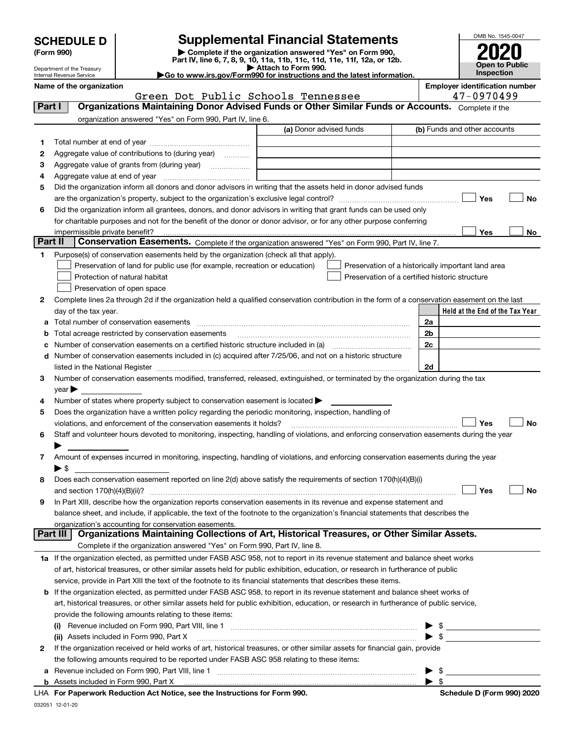| <b>SCHEDULE D</b> |  |
|-------------------|--|
|-------------------|--|

Department of the Treasury Internal Revenue Service

## **SCHEDULE D Supplemental Financial Statements**

(Form 990)<br>
Pepartment of the Treasury<br>
Department of the Treasury<br>
Department of the Treasury<br>
Department of the Treasury<br> **Co to www.irs.gov/Form990 for instructions and the latest information.**<br> **Co to www.irs.gov/Form9** 



|                | Name of the organization<br>Green Dot Public Schools Tennessee                                                                                                  |                         | <b>Employer identification number</b><br>47-0970499 |
|----------------|-----------------------------------------------------------------------------------------------------------------------------------------------------------------|-------------------------|-----------------------------------------------------|
| Part I         | Organizations Maintaining Donor Advised Funds or Other Similar Funds or Accounts. Complete if the                                                               |                         |                                                     |
|                | organization answered "Yes" on Form 990, Part IV, line 6.                                                                                                       |                         |                                                     |
|                |                                                                                                                                                                 | (a) Donor advised funds | (b) Funds and other accounts                        |
|                |                                                                                                                                                                 |                         |                                                     |
| 1.             |                                                                                                                                                                 |                         |                                                     |
| 2              | Aggregate value of contributions to (during year)                                                                                                               |                         |                                                     |
| 3              | Aggregate value of grants from (during year)                                                                                                                    |                         |                                                     |
| 4              |                                                                                                                                                                 |                         |                                                     |
| 5              | Did the organization inform all donors and donor advisors in writing that the assets held in donor advised funds                                                |                         |                                                     |
|                |                                                                                                                                                                 |                         | Yes<br>No                                           |
| 6              | Did the organization inform all grantees, donors, and donor advisors in writing that grant funds can be used only                                               |                         |                                                     |
|                | for charitable purposes and not for the benefit of the donor or donor advisor, or for any other purpose conferring                                              |                         |                                                     |
| <b>Part II</b> | Conservation Easements. Complete if the organization answered "Yes" on Form 990, Part IV, line 7.                                                               |                         | <b>Yes</b><br>No                                    |
|                |                                                                                                                                                                 |                         |                                                     |
| 1              | Purpose(s) of conservation easements held by the organization (check all that apply).                                                                           |                         |                                                     |
|                | Preservation of land for public use (for example, recreation or education)                                                                                      |                         | Preservation of a historically important land area  |
|                | Protection of natural habitat                                                                                                                                   |                         | Preservation of a certified historic structure      |
|                | Preservation of open space                                                                                                                                      |                         |                                                     |
| 2              | Complete lines 2a through 2d if the organization held a qualified conservation contribution in the form of a conservation easement on the last                  |                         |                                                     |
|                | day of the tax year.                                                                                                                                            |                         | Held at the End of the Tax Year                     |
| a              | Total number of conservation easements                                                                                                                          |                         | 2a                                                  |
| b              | Total acreage restricted by conservation easements                                                                                                              |                         | 2b                                                  |
|                |                                                                                                                                                                 |                         | 2c                                                  |
|                | d Number of conservation easements included in (c) acquired after 7/25/06, and not on a historic structure                                                      |                         |                                                     |
|                | listed in the National Register [111] [12] non-matter in the National Property of the National Register [11] [1                                                 |                         | 2d                                                  |
| 3              | Number of conservation easements modified, transferred, released, extinguished, or terminated by the organization during the tax                                |                         |                                                     |
|                | $year \blacktriangleright$                                                                                                                                      |                         |                                                     |
| 4              | Number of states where property subject to conservation easement is located >                                                                                   |                         |                                                     |
| 5              | Does the organization have a written policy regarding the periodic monitoring, inspection, handling of                                                          |                         | Yes<br>No                                           |
|                | violations, and enforcement of the conservation easements it holds?                                                                                             |                         |                                                     |
| 6              | Staff and volunteer hours devoted to monitoring, inspecting, handling of violations, and enforcing conservation easements during the year                       |                         |                                                     |
|                |                                                                                                                                                                 |                         |                                                     |
| 7              | Amount of expenses incurred in monitoring, inspecting, handling of violations, and enforcing conservation easements during the year<br>$\blacktriangleright$ \$ |                         |                                                     |
| 8              | Does each conservation easement reported on line 2(d) above satisfy the requirements of section 170(h)(4)(B)(i)                                                 |                         |                                                     |
|                |                                                                                                                                                                 |                         | Yes<br>No                                           |
|                | In Part XIII, describe how the organization reports conservation easements in its revenue and expense statement and                                             |                         |                                                     |
|                | balance sheet, and include, if applicable, the text of the footnote to the organization's financial statements that describes the                               |                         |                                                     |
|                | organization's accounting for conservation easements.                                                                                                           |                         |                                                     |
|                | Organizations Maintaining Collections of Art, Historical Treasures, or Other Similar Assets.<br>Part III                                                        |                         |                                                     |
|                | Complete if the organization answered "Yes" on Form 990, Part IV, line 8.                                                                                       |                         |                                                     |
|                | 1a If the organization elected, as permitted under FASB ASC 958, not to report in its revenue statement and balance sheet works                                 |                         |                                                     |
|                | of art, historical treasures, or other similar assets held for public exhibition, education, or research in furtherance of public                               |                         |                                                     |
|                | service, provide in Part XIII the text of the footnote to its financial statements that describes these items.                                                  |                         |                                                     |
|                | <b>b</b> If the organization elected, as permitted under FASB ASC 958, to report in its revenue statement and balance sheet works of                            |                         |                                                     |
|                | art, historical treasures, or other similar assets held for public exhibition, education, or research in furtherance of public service,                         |                         |                                                     |
|                | provide the following amounts relating to these items:                                                                                                          |                         |                                                     |
|                | (i) Revenue included on Form 990, Part VIII, line 1 [2000] [2010] Contract the included on Form 990, Part VIII, line 1                                          |                         | $\blacktriangleright$ \$                            |
|                | (ii) Assets included in Form 990, Part X                                                                                                                        |                         | $\blacktriangleright$ \$                            |
| 2              | If the organization received or held works of art, historical treasures, or other similar assets for financial gain, provide                                    |                         |                                                     |
|                | the following amounts required to be reported under FASB ASC 958 relating to these items:                                                                       |                         |                                                     |
| а              |                                                                                                                                                                 |                         | - \$                                                |
|                |                                                                                                                                                                 |                         | $\blacktriangleright$ \$                            |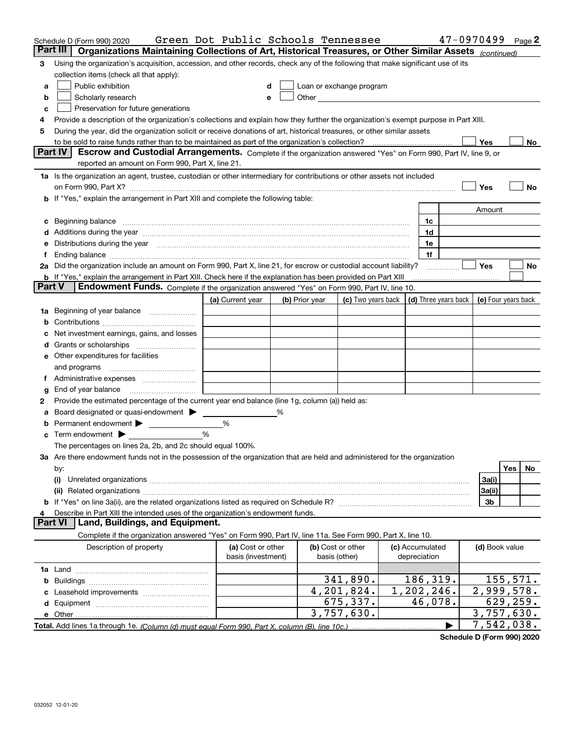|               | Schedule D (Form 990) 2020                                                                                                                                                                                                     | Green Dot Public Schools Tennessee |  |                |                                                                                                                                                                                                                                      |  |                      |  | 47-0970499     | Page 2              |
|---------------|--------------------------------------------------------------------------------------------------------------------------------------------------------------------------------------------------------------------------------|------------------------------------|--|----------------|--------------------------------------------------------------------------------------------------------------------------------------------------------------------------------------------------------------------------------------|--|----------------------|--|----------------|---------------------|
|               | Organizations Maintaining Collections of Art, Historical Treasures, or Other Similar Assets (continued)<br>Part III                                                                                                            |                                    |  |                |                                                                                                                                                                                                                                      |  |                      |  |                |                     |
| З             | Using the organization's acquisition, accession, and other records, check any of the following that make significant use of its                                                                                                |                                    |  |                |                                                                                                                                                                                                                                      |  |                      |  |                |                     |
|               | collection items (check all that apply):                                                                                                                                                                                       |                                    |  |                |                                                                                                                                                                                                                                      |  |                      |  |                |                     |
| a             | Public exhibition                                                                                                                                                                                                              | d                                  |  |                | Loan or exchange program                                                                                                                                                                                                             |  |                      |  |                |                     |
| b             | Scholarly research                                                                                                                                                                                                             | е                                  |  |                | Other <b>Common Common Common Common Common Common Common Common Common Common Common Common Common Common Common Common Common Common Common Common Common Common Common Common Common Common Common Common Common Common Commo</b> |  |                      |  |                |                     |
| c             | Preservation for future generations                                                                                                                                                                                            |                                    |  |                |                                                                                                                                                                                                                                      |  |                      |  |                |                     |
| 4             | Provide a description of the organization's collections and explain how they further the organization's exempt purpose in Part XIII.                                                                                           |                                    |  |                |                                                                                                                                                                                                                                      |  |                      |  |                |                     |
| 5             | During the year, did the organization solicit or receive donations of art, historical treasures, or other similar assets                                                                                                       |                                    |  |                |                                                                                                                                                                                                                                      |  |                      |  |                |                     |
|               | to be sold to raise funds rather than to be maintained as part of the organization's collection?<br>Yes<br>No                                                                                                                  |                                    |  |                |                                                                                                                                                                                                                                      |  |                      |  |                |                     |
|               | Part IV<br>Escrow and Custodial Arrangements. Complete if the organization answered "Yes" on Form 990, Part IV, line 9, or                                                                                                     |                                    |  |                |                                                                                                                                                                                                                                      |  |                      |  |                |                     |
|               | reported an amount on Form 990, Part X, line 21.                                                                                                                                                                               |                                    |  |                |                                                                                                                                                                                                                                      |  |                      |  |                |                     |
|               | 1a Is the organization an agent, trustee, custodian or other intermediary for contributions or other assets not included                                                                                                       |                                    |  |                |                                                                                                                                                                                                                                      |  |                      |  |                |                     |
|               | on Form 990, Part X? [11] matter and the contract of the contract of the contract of the contract of the contract of the contract of the contract of the contract of the contract of the contract of the contract of the contr |                                    |  |                |                                                                                                                                                                                                                                      |  |                      |  | Yes            | No                  |
|               | b If "Yes," explain the arrangement in Part XIII and complete the following table:                                                                                                                                             |                                    |  |                |                                                                                                                                                                                                                                      |  |                      |  |                |                     |
|               |                                                                                                                                                                                                                                |                                    |  |                |                                                                                                                                                                                                                                      |  |                      |  | Amount         |                     |
|               | c Beginning balance measurements and the contract of the contract of the contract of the contract of the contract of the contract of the contract of the contract of the contract of the contract of the contract of the contr |                                    |  |                |                                                                                                                                                                                                                                      |  | 1c                   |  |                |                     |
|               |                                                                                                                                                                                                                                |                                    |  |                |                                                                                                                                                                                                                                      |  | 1d                   |  |                |                     |
|               | Distributions during the year manufactured and continuum control of the year manufactured and control of the year manufactured and control of the state of the state of the state of the state of the state of the state of th |                                    |  |                |                                                                                                                                                                                                                                      |  | 1e                   |  |                |                     |
|               |                                                                                                                                                                                                                                |                                    |  |                |                                                                                                                                                                                                                                      |  | 1f                   |  |                |                     |
|               | 2a Did the organization include an amount on Form 990, Part X, line 21, for escrow or custodial account liability?                                                                                                             |                                    |  |                |                                                                                                                                                                                                                                      |  |                      |  | Yes            | No                  |
| <b>Part V</b> | <b>b</b> If "Yes," explain the arrangement in Part XIII. Check here if the explanation has been provided on Part XIII                                                                                                          |                                    |  |                |                                                                                                                                                                                                                                      |  |                      |  |                |                     |
|               | Endowment Funds. Complete if the organization answered "Yes" on Form 990, Part IV, line 10.                                                                                                                                    |                                    |  |                |                                                                                                                                                                                                                                      |  |                      |  |                |                     |
|               |                                                                                                                                                                                                                                | (a) Current year                   |  | (b) Prior year | (c) Two years back                                                                                                                                                                                                                   |  | (d) Three years back |  |                | (e) Four years back |
| 1a            | Beginning of year balance                                                                                                                                                                                                      |                                    |  |                |                                                                                                                                                                                                                                      |  |                      |  |                |                     |
| b             |                                                                                                                                                                                                                                |                                    |  |                |                                                                                                                                                                                                                                      |  |                      |  |                |                     |
|               | Net investment earnings, gains, and losses                                                                                                                                                                                     |                                    |  |                |                                                                                                                                                                                                                                      |  |                      |  |                |                     |
|               |                                                                                                                                                                                                                                |                                    |  |                |                                                                                                                                                                                                                                      |  |                      |  |                |                     |
|               | e Other expenditures for facilities                                                                                                                                                                                            |                                    |  |                |                                                                                                                                                                                                                                      |  |                      |  |                |                     |
|               | and programs                                                                                                                                                                                                                   |                                    |  |                |                                                                                                                                                                                                                                      |  |                      |  |                |                     |
|               |                                                                                                                                                                                                                                |                                    |  |                |                                                                                                                                                                                                                                      |  |                      |  |                |                     |
| g             | End of year balance                                                                                                                                                                                                            |                                    |  |                |                                                                                                                                                                                                                                      |  |                      |  |                |                     |
| 2             | Provide the estimated percentage of the current year end balance (line 1g, column (a)) held as:                                                                                                                                |                                    |  |                |                                                                                                                                                                                                                                      |  |                      |  |                |                     |
| а             |                                                                                                                                                                                                                                | %                                  |  |                |                                                                                                                                                                                                                                      |  |                      |  |                |                     |
| b             | <b>c</b> Term endowment $\blacktriangleright$                                                                                                                                                                                  | $\%$                               |  |                |                                                                                                                                                                                                                                      |  |                      |  |                |                     |
|               | The percentages on lines 2a, 2b, and 2c should equal 100%.                                                                                                                                                                     |                                    |  |                |                                                                                                                                                                                                                                      |  |                      |  |                |                     |
|               | 3a Are there endowment funds not in the possession of the organization that are held and administered for the organization                                                                                                     |                                    |  |                |                                                                                                                                                                                                                                      |  |                      |  |                |                     |
|               | by:                                                                                                                                                                                                                            |                                    |  |                |                                                                                                                                                                                                                                      |  |                      |  |                | Yes<br>No           |
|               | (i)                                                                                                                                                                                                                            |                                    |  |                |                                                                                                                                                                                                                                      |  |                      |  | 3a(i)          |                     |
|               |                                                                                                                                                                                                                                |                                    |  |                |                                                                                                                                                                                                                                      |  |                      |  | 3a(ii)         |                     |
|               | <b>b</b> If "Yes" on line 3a(ii), are the related organizations listed as required on Schedule R?                                                                                                                              |                                    |  |                |                                                                                                                                                                                                                                      |  |                      |  | 3b             |                     |
| 4             | Describe in Part XIII the intended uses of the organization's endowment funds.                                                                                                                                                 |                                    |  |                |                                                                                                                                                                                                                                      |  |                      |  |                |                     |
|               | Land, Buildings, and Equipment.<br><b>Part VI</b>                                                                                                                                                                              |                                    |  |                |                                                                                                                                                                                                                                      |  |                      |  |                |                     |
|               | Complete if the organization answered "Yes" on Form 990, Part IV, line 11a. See Form 990, Part X, line 10.                                                                                                                     |                                    |  |                |                                                                                                                                                                                                                                      |  |                      |  |                |                     |
|               | Description of property                                                                                                                                                                                                        | (a) Cost or other                  |  |                | (b) Cost or other                                                                                                                                                                                                                    |  | (c) Accumulated      |  | (d) Book value |                     |
|               |                                                                                                                                                                                                                                | basis (investment)                 |  |                | basis (other)                                                                                                                                                                                                                        |  | depreciation         |  |                |                     |
|               |                                                                                                                                                                                                                                |                                    |  |                |                                                                                                                                                                                                                                      |  |                      |  |                |                     |
|               |                                                                                                                                                                                                                                |                                    |  |                | 341,890.                                                                                                                                                                                                                             |  | 186,319.             |  |                | 155, 571.           |
|               |                                                                                                                                                                                                                                |                                    |  |                | 4,201,824.                                                                                                                                                                                                                           |  | 1,202,246.           |  |                | 2,999,578.          |
|               |                                                                                                                                                                                                                                |                                    |  |                | $\overline{675}$ , 337.                                                                                                                                                                                                              |  | 46,078.              |  |                | 629, 259.           |
|               | e Other                                                                                                                                                                                                                        |                                    |  |                | 3,757,630.                                                                                                                                                                                                                           |  |                      |  |                | 3,757,630.          |
|               |                                                                                                                                                                                                                                |                                    |  |                |                                                                                                                                                                                                                                      |  |                      |  |                | 7,542,038.          |

**Schedule D (Form 990) 2020**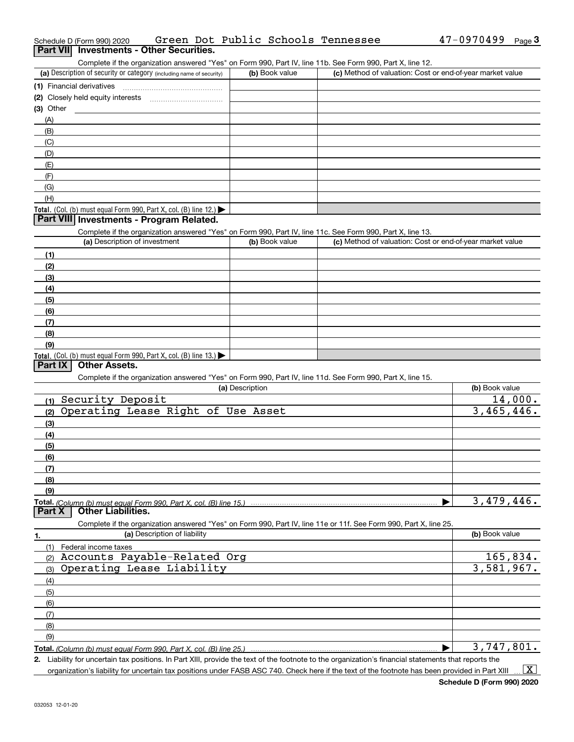| Schedule D (Form 990) 2020                                                                                 | Green Dot Public Schools Tennessee | 47-0970499<br>Page $3$                                    |
|------------------------------------------------------------------------------------------------------------|------------------------------------|-----------------------------------------------------------|
| Part VII Investments - Other Securities.                                                                   |                                    |                                                           |
| Complete if the organization answered "Yes" on Form 990, Part IV, line 11b. See Form 990, Part X, line 12. |                                    |                                                           |
| (a) Description of security or category (including name of security)                                       | (b) Book value                     | (c) Method of valuation: Cost or end-of-year market value |
| (1) Financial derivatives                                                                                  |                                    |                                                           |
| (2) Closely held equity interests                                                                          |                                    |                                                           |
| $(3)$ Other                                                                                                |                                    |                                                           |
| (A)                                                                                                        |                                    |                                                           |
| (B)                                                                                                        |                                    |                                                           |
| (C)                                                                                                        |                                    |                                                           |
| (D)                                                                                                        |                                    |                                                           |
| (E)                                                                                                        |                                    |                                                           |
| (F)                                                                                                        |                                    |                                                           |
| (G)                                                                                                        |                                    |                                                           |
| (H)                                                                                                        |                                    |                                                           |
| <b>Total.</b> (Col. (b) must equal Form 990, Part X, col. (B) line 12.) $\blacktriangleright$              |                                    |                                                           |
| Part VIII Investments - Program Related.                                                                   |                                    |                                                           |
| Complete if the organization answered "Yes" on Form 990, Part IV, line 11c. See Form 990, Part X, line 13. |                                    |                                                           |
| (a) Description of investment                                                                              | (b) Book value                     | (c) Method of valuation: Cost or end-of-year market value |
|                                                                                                            |                                    |                                                           |

| (1)                                                                 |  |
|---------------------------------------------------------------------|--|
| (2)                                                                 |  |
| (3)                                                                 |  |
| (4)                                                                 |  |
| (5)                                                                 |  |
| (6)                                                                 |  |
| (7)                                                                 |  |
| (8)                                                                 |  |
| (9)                                                                 |  |
| Total. (Col. (b) must equal Form 990, Part X, col. (B) line $13.$ ) |  |

### **Part IX Other Assets.**

Complete if the organization answered "Yes" on Form 990, Part IV, line 11d. See Form 990, Part X, line 15.

| (a) Description                                                                                                   | (b) Book value |
|-------------------------------------------------------------------------------------------------------------------|----------------|
| Security Deposit<br>(1)                                                                                           | 14,000.        |
| Operating Lease Right of Use Asset<br>(2)                                                                         | 3,465,446.     |
| (3)                                                                                                               |                |
| (4)                                                                                                               |                |
| (5)                                                                                                               |                |
| (6)                                                                                                               |                |
| (7)                                                                                                               |                |
| (8)                                                                                                               |                |
| (9)                                                                                                               |                |
| Total. (Column (b) must equal Form 990, Part X, col. (B) line 15.)                                                | 3,479,446.     |
| <b>Other Liabilities.</b><br>Part X                                                                               |                |
| Complete if the organization answered "Yes" on Form 990, Part IV, line 11e or 11f. See Form 990, Part X, line 25. |                |
| (a) Description of liability<br>1.                                                                                | (b) Book value |
| Federal income taxes<br>(1)                                                                                       |                |
| Accounts Payable-Related Org<br>(2)                                                                               | 165,834.       |
| Operating Lease Liability<br>(3)                                                                                  | 3,581,967.     |
| (4)                                                                                                               |                |
| (5)                                                                                                               |                |
|                                                                                                                   |                |
| (6)                                                                                                               |                |
| (7)                                                                                                               |                |
| (8)                                                                                                               |                |
| (9)                                                                                                               |                |

**2.** Liability for uncertain tax positions. In Part XIII, provide the text of the footnote to the organization's financial statements that reports the organization's liability for uncertain tax positions under FASB ASC 740. Check here if the text of the footnote has been provided in Part XIII  $\vert$  X  $\vert$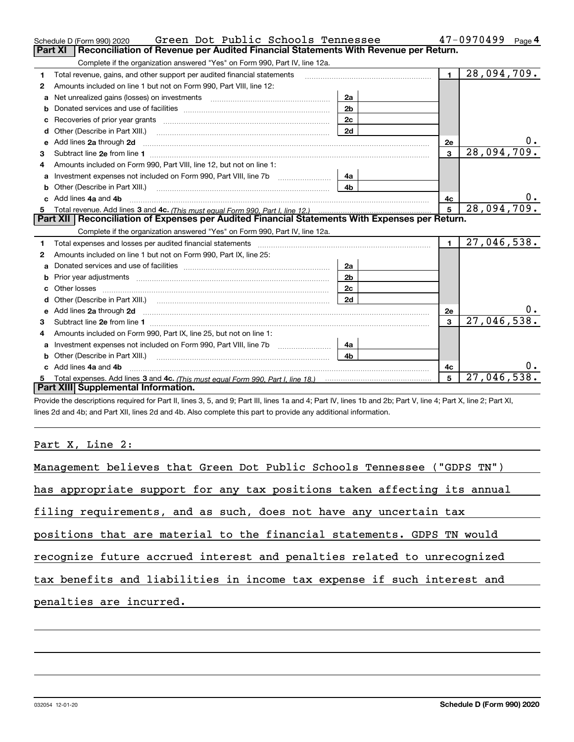|    | Green Dot Public Schools Tennessee<br>Schedule D (Form 990) 2020                                                                                                                                                                     |                |                         | 47-0970499<br>Page 4      |
|----|--------------------------------------------------------------------------------------------------------------------------------------------------------------------------------------------------------------------------------------|----------------|-------------------------|---------------------------|
|    | <b>Part XI</b><br>Reconciliation of Revenue per Audited Financial Statements With Revenue per Return.                                                                                                                                |                |                         |                           |
|    | Complete if the organization answered "Yes" on Form 990, Part IV, line 12a.                                                                                                                                                          |                |                         |                           |
| 1  | Total revenue, gains, and other support per audited financial statements                                                                                                                                                             |                | $\blacksquare$          | $\overline{28,094,709}$ . |
| 2  | Amounts included on line 1 but not on Form 990, Part VIII, line 12:                                                                                                                                                                  |                |                         |                           |
| a  | Net unrealized gains (losses) on investments [11] [12] [12] [13] [13] Net unrealized gains (losses) on investments                                                                                                                   | 2a             |                         |                           |
|    |                                                                                                                                                                                                                                      | 2 <sub>b</sub> |                         |                           |
| C  |                                                                                                                                                                                                                                      | 2c             |                         |                           |
| d  |                                                                                                                                                                                                                                      | 2d             |                         |                           |
| е  | Add lines 2a through 2d                                                                                                                                                                                                              |                | 2e                      |                           |
| З. |                                                                                                                                                                                                                                      |                | $\overline{\mathbf{3}}$ | 28,094,709.               |
| 4  | Amounts included on Form 990, Part VIII, line 12, but not on line 1:                                                                                                                                                                 |                |                         |                           |
|    |                                                                                                                                                                                                                                      | 4a             |                         |                           |
| b  |                                                                                                                                                                                                                                      | 4 <sub>h</sub> |                         |                           |
| c. | Add lines 4a and 4b                                                                                                                                                                                                                  |                | 4c                      |                           |
|    |                                                                                                                                                                                                                                      |                | 5                       | 28,094,709.               |
|    |                                                                                                                                                                                                                                      |                |                         |                           |
|    | Part XII   Reconciliation of Expenses per Audited Financial Statements With Expenses per Return.                                                                                                                                     |                |                         |                           |
|    | Complete if the organization answered "Yes" on Form 990, Part IV, line 12a.                                                                                                                                                          |                |                         |                           |
| 1  | Total expenses and losses per audited financial statements [11, 11] manuscription control expenses and losses per audited financial statements [11] manuscription of the statements and the statements and the statements and        |                | $\blacksquare$          | 27,046,538.               |
| 2  | Amounts included on line 1 but not on Form 990, Part IX, line 25:                                                                                                                                                                    |                |                         |                           |
| a  |                                                                                                                                                                                                                                      | 2a             |                         |                           |
|    | Prior year adjustments entertainments and the contract of the contract of the contract of the contract of the contract of the contract of the contract of the contract of the contract of the contract of the contract of the        | 2 <sub>b</sub> |                         |                           |
|    |                                                                                                                                                                                                                                      | 2c             |                         |                           |
| d  |                                                                                                                                                                                                                                      | 2d             |                         |                           |
| е  | Add lines 2a through 2d <b>contained a contained a contained a contained a contained a contained a contained a contained a contact a contact a contact a contact a contact a contact a contact a contact a contact a contact a c</b> |                | 2e                      |                           |
| 3  |                                                                                                                                                                                                                                      |                | 3                       | 27,046,538.               |
| 4  | Amounts included on Form 990, Part IX, line 25, but not on line 1:                                                                                                                                                                   |                |                         |                           |
| a  | Investment expenses not included on Form 990, Part VIII, line 7b [1000000000000000000000000000000000                                                                                                                                 | 4a             |                         |                           |
| b  |                                                                                                                                                                                                                                      | 4b             |                         |                           |
|    | Add lines 4a and 4b                                                                                                                                                                                                                  |                | 4с                      |                           |
|    | Part XIII Supplemental Information.                                                                                                                                                                                                  |                | 5                       | 27,046,538.               |

Provide the descriptions required for Part II, lines 3, 5, and 9; Part III, lines 1a and 4; Part IV, lines 1b and 2b; Part V, line 4; Part X, line 2; Part XI, lines 2d and 4b; and Part XII, lines 2d and 4b. Also complete this part to provide any additional information.

<u> 1989 - Johann Barbara, martxa amerikan per</u>

### Part X, Line 2:

032054 12-01-20

| Management believes that Green Dot Public Schools Tennessee ("GDPS TN")  |
|--------------------------------------------------------------------------|
| has appropriate support for any tax positions taken affecting its annual |
| filing requirements, and as such, does not have any uncertain tax        |
| positions that are material to the financial statements. GDPS TN would   |
| recognize future accrued interest and penalties related to unrecognized  |
| tax benefits and liabilities in income tax expense if such interest and  |
| penalties are incurred.                                                  |
|                                                                          |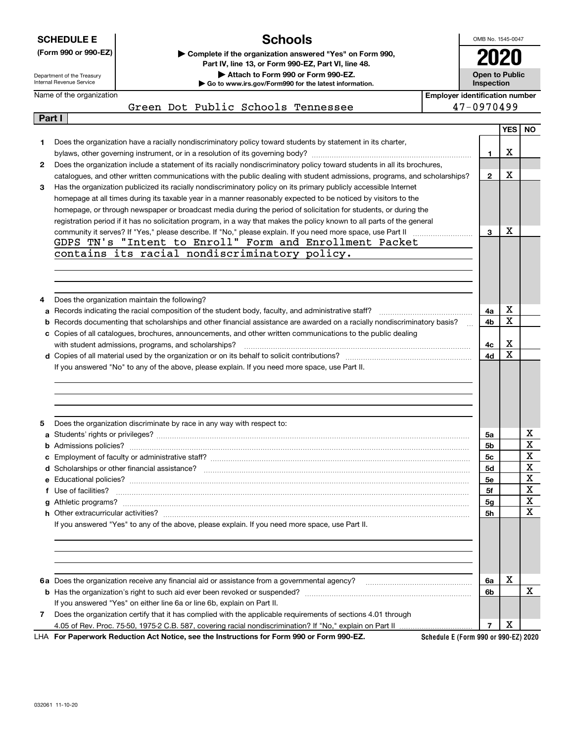|              | <b>Schools</b><br><b>SCHEDULE E</b>                                                                                                                   | OMB No. 1545-0047                   |                                       |                                                                                                                                        |  |
|--------------|-------------------------------------------------------------------------------------------------------------------------------------------------------|-------------------------------------|---------------------------------------|----------------------------------------------------------------------------------------------------------------------------------------|--|
|              | (Form 990 or 990-EZ)<br>Complete if the organization answered "Yes" on Form 990,                                                                      |                                     |                                       |                                                                                                                                        |  |
|              | Part IV, line 13, or Form 990-EZ, Part VI, line 48.                                                                                                   |                                     |                                       |                                                                                                                                        |  |
|              | Attach to Form 990 or Form 990-EZ.<br>Department of the Treasury<br>Internal Revenue Service<br>Go to www.irs.gov/Form990 for the latest information. | <b>Open to Public</b><br>Inspection |                                       |                                                                                                                                        |  |
|              | Name of the organization                                                                                                                              |                                     | <b>Employer identification number</b> |                                                                                                                                        |  |
|              | Green Dot Public Schools Tennessee                                                                                                                    | 47-0970499                          |                                       |                                                                                                                                        |  |
|              | Part I                                                                                                                                                |                                     |                                       |                                                                                                                                        |  |
|              |                                                                                                                                                       |                                     | <b>YES</b>                            | <b>NO</b>                                                                                                                              |  |
| 1.           | Does the organization have a racially nondiscriminatory policy toward students by statement in its charter,                                           |                                     |                                       |                                                                                                                                        |  |
|              |                                                                                                                                                       | 1                                   | х                                     |                                                                                                                                        |  |
| $\mathbf{2}$ | Does the organization include a statement of its racially nondiscriminatory policy toward students in all its brochures,                              |                                     |                                       |                                                                                                                                        |  |
|              | catalogues, and other written communications with the public dealing with student admissions, programs, and scholarships?                             | $\mathbf{2}$                        | X                                     |                                                                                                                                        |  |
| 3            | Has the organization publicized its racially nondiscriminatory policy on its primary publicly accessible Internet                                     |                                     |                                       |                                                                                                                                        |  |
|              | homepage at all times during its taxable year in a manner reasonably expected to be noticed by visitors to the                                        |                                     |                                       |                                                                                                                                        |  |
|              | homepage, or through newspaper or broadcast media during the period of solicitation for students, or during the                                       |                                     |                                       |                                                                                                                                        |  |
|              | registration period if it has no solicitation program, in a way that makes the policy known to all parts of the general                               |                                     | X                                     |                                                                                                                                        |  |
|              | GDPS TN's "Intent to Enroll" Form and Enrollment Packet                                                                                               | 3                                   |                                       |                                                                                                                                        |  |
|              | contains its racial nondiscriminatory policy.                                                                                                         |                                     |                                       |                                                                                                                                        |  |
|              |                                                                                                                                                       |                                     |                                       |                                                                                                                                        |  |
|              |                                                                                                                                                       |                                     |                                       |                                                                                                                                        |  |
|              |                                                                                                                                                       |                                     |                                       |                                                                                                                                        |  |
|              |                                                                                                                                                       |                                     |                                       |                                                                                                                                        |  |
| 4            | Does the organization maintain the following?<br>Records indicating the racial composition of the student body, faculty, and administrative staff?    | 4a                                  | х                                     |                                                                                                                                        |  |
| а<br>b       | Records documenting that scholarships and other financial assistance are awarded on a racially nondiscriminatory basis?                               | 4b                                  | X                                     |                                                                                                                                        |  |
|              | c Copies of all catalogues, brochures, announcements, and other written communications to the public dealing                                          |                                     |                                       |                                                                                                                                        |  |
|              | with student admissions, programs, and scholarships?                                                                                                  | 4с                                  | X                                     |                                                                                                                                        |  |
|              |                                                                                                                                                       | 4d                                  | X                                     |                                                                                                                                        |  |
|              | If you answered "No" to any of the above, please explain. If you need more space, use Part II.                                                        |                                     |                                       |                                                                                                                                        |  |
|              |                                                                                                                                                       |                                     |                                       |                                                                                                                                        |  |
|              |                                                                                                                                                       |                                     |                                       |                                                                                                                                        |  |
|              |                                                                                                                                                       |                                     |                                       |                                                                                                                                        |  |
|              |                                                                                                                                                       |                                     |                                       |                                                                                                                                        |  |
|              |                                                                                                                                                       |                                     |                                       |                                                                                                                                        |  |
|              | Does the organization discriminate by race in any way with respect to:                                                                                |                                     |                                       |                                                                                                                                        |  |
| 5            | Students' rights or privileges?                                                                                                                       |                                     |                                       |                                                                                                                                        |  |
|              |                                                                                                                                                       | 5a<br>5b                            |                                       |                                                                                                                                        |  |
|              |                                                                                                                                                       | 5с                                  |                                       |                                                                                                                                        |  |
|              |                                                                                                                                                       | 5d                                  |                                       |                                                                                                                                        |  |
|              |                                                                                                                                                       | 5е                                  |                                       |                                                                                                                                        |  |
|              | f Use of facilities?                                                                                                                                  | 5f                                  |                                       |                                                                                                                                        |  |
|              |                                                                                                                                                       | 5g                                  |                                       |                                                                                                                                        |  |
|              |                                                                                                                                                       | 5h                                  |                                       |                                                                                                                                        |  |
|              | If you answered "Yes" to any of the above, please explain. If you need more space, use Part II.                                                       |                                     |                                       | х<br>X<br>Χ<br>$\overline{\textbf{X}}$<br>$\overline{\mathbf{x}}$<br>$\overline{\mathbf{x}}$<br>$\overline{\textbf{X}}$<br>$\mathbf X$ |  |
|              |                                                                                                                                                       |                                     |                                       |                                                                                                                                        |  |
|              |                                                                                                                                                       |                                     |                                       |                                                                                                                                        |  |
|              |                                                                                                                                                       |                                     |                                       |                                                                                                                                        |  |
|              |                                                                                                                                                       |                                     |                                       |                                                                                                                                        |  |
|              |                                                                                                                                                       | 6a                                  | X                                     |                                                                                                                                        |  |
|              |                                                                                                                                                       | 6b                                  |                                       |                                                                                                                                        |  |
|              | If you answered "Yes" on either line 6a or line 6b, explain on Part II.                                                                               |                                     |                                       | х                                                                                                                                      |  |
| 7            | Does the organization certify that it has complied with the applicable requirements of sections 4.01 through                                          | $\overline{7}$                      | X                                     |                                                                                                                                        |  |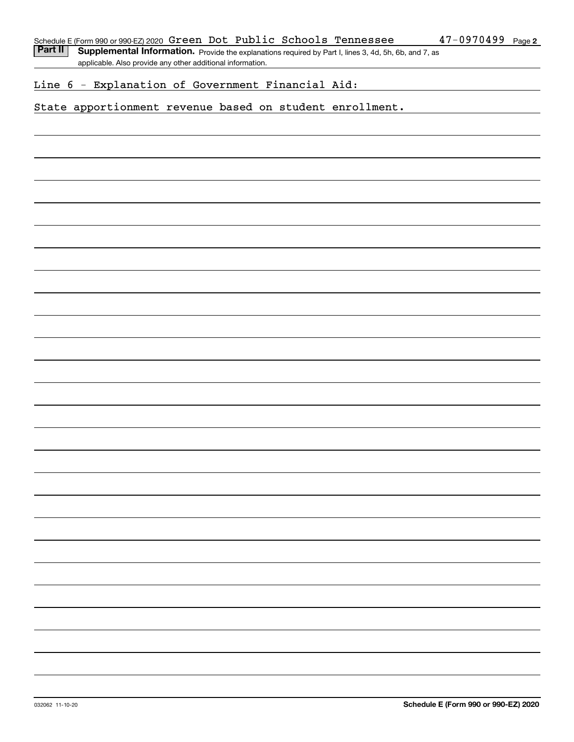Part II | Supplemental Information. Provide the explanations required by Part I, lines 3, 4d, 5h, 6b, and 7, as applicable. Also provide any other additional information.

### Line 6 - Explanation of Government Financial Aid:

### State apportionment revenue based on student enrollment.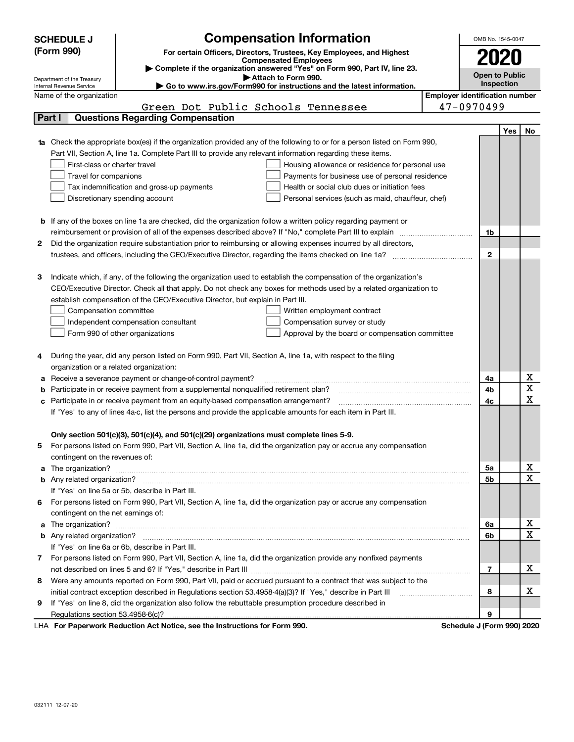|   | <b>Compensation Information</b><br><b>SCHEDULE J</b>                                                                                                                          | OMB No. 1545-0047     |     |             |  |  |
|---|-------------------------------------------------------------------------------------------------------------------------------------------------------------------------------|-----------------------|-----|-------------|--|--|
|   | (Form 990)<br>For certain Officers, Directors, Trustees, Key Employees, and Highest                                                                                           |                       |     |             |  |  |
|   | <b>Compensated Employees</b>                                                                                                                                                  | 2020                  |     |             |  |  |
|   | Complete if the organization answered "Yes" on Form 990, Part IV, line 23.                                                                                                    | <b>Open to Public</b> |     |             |  |  |
|   | Attach to Form 990.<br>Department of the Treasury<br>Internal Revenue Service<br>$\blacktriangleright$ Go to www.irs.gov/Form990 for instructions and the latest information. | Inspection            |     |             |  |  |
|   | <b>Employer identification number</b><br>Name of the organization                                                                                                             |                       |     |             |  |  |
|   | 47-0970499<br>Green Dot Public Schools Tennessee                                                                                                                              |                       |     |             |  |  |
|   | <b>Questions Regarding Compensation</b><br>Part I                                                                                                                             |                       |     |             |  |  |
|   |                                                                                                                                                                               |                       | Yes | No          |  |  |
|   | Check the appropriate box(es) if the organization provided any of the following to or for a person listed on Form 990,                                                        |                       |     |             |  |  |
|   | Part VII, Section A, line 1a. Complete Part III to provide any relevant information regarding these items.                                                                    |                       |     |             |  |  |
|   | First-class or charter travel<br>Housing allowance or residence for personal use                                                                                              |                       |     |             |  |  |
|   | Travel for companions<br>Payments for business use of personal residence                                                                                                      |                       |     |             |  |  |
|   | Health or social club dues or initiation fees<br>Tax indemnification and gross-up payments                                                                                    |                       |     |             |  |  |
|   | Discretionary spending account<br>Personal services (such as maid, chauffeur, chef)                                                                                           |                       |     |             |  |  |
|   |                                                                                                                                                                               |                       |     |             |  |  |
|   | <b>b</b> If any of the boxes on line 1a are checked, did the organization follow a written policy regarding payment or                                                        |                       |     |             |  |  |
|   | reimbursement or provision of all of the expenses described above? If "No," complete Part III to explain                                                                      | 1b                    |     |             |  |  |
| 2 | Did the organization require substantiation prior to reimbursing or allowing expenses incurred by all directors,                                                              |                       |     |             |  |  |
|   |                                                                                                                                                                               | $\mathbf{2}$          |     |             |  |  |
|   |                                                                                                                                                                               |                       |     |             |  |  |
| з | Indicate which, if any, of the following the organization used to establish the compensation of the organization's                                                            |                       |     |             |  |  |
|   | CEO/Executive Director. Check all that apply. Do not check any boxes for methods used by a related organization to                                                            |                       |     |             |  |  |
|   | establish compensation of the CEO/Executive Director, but explain in Part III.                                                                                                |                       |     |             |  |  |
|   | Compensation committee<br>Written employment contract                                                                                                                         |                       |     |             |  |  |
|   | Compensation survey or study<br>Independent compensation consultant                                                                                                           |                       |     |             |  |  |
|   | Form 990 of other organizations<br>Approval by the board or compensation committee                                                                                            |                       |     |             |  |  |
|   |                                                                                                                                                                               |                       |     |             |  |  |
| 4 | During the year, did any person listed on Form 990, Part VII, Section A, line 1a, with respect to the filing                                                                  |                       |     |             |  |  |
|   | organization or a related organization:                                                                                                                                       |                       |     |             |  |  |
| а | Receive a severance payment or change-of-control payment?                                                                                                                     | 4a                    |     | x           |  |  |
| b | Participate in or receive payment from a supplemental nonqualified retirement plan?                                                                                           | 4b                    |     | Χ           |  |  |
|   | Participate in or receive payment from an equity-based compensation arrangement?                                                                                              | 4с                    |     | X           |  |  |
|   | If "Yes" to any of lines 4a-c, list the persons and provide the applicable amounts for each item in Part III.                                                                 |                       |     |             |  |  |
|   |                                                                                                                                                                               |                       |     |             |  |  |
|   | Only section 501(c)(3), 501(c)(4), and 501(c)(29) organizations must complete lines 5-9.                                                                                      |                       |     |             |  |  |
| 5 | For persons listed on Form 990, Part VII, Section A, line 1a, did the organization pay or accrue any compensation                                                             |                       |     |             |  |  |
|   | contingent on the revenues of:                                                                                                                                                |                       |     |             |  |  |
| a |                                                                                                                                                                               | 5a                    |     | х           |  |  |
|   |                                                                                                                                                                               | 5b                    |     | $\mathbf x$ |  |  |
|   | If "Yes" on line 5a or 5b, describe in Part III.                                                                                                                              |                       |     |             |  |  |
| 6 | For persons listed on Form 990, Part VII, Section A, line 1a, did the organization pay or accrue any compensation                                                             |                       |     |             |  |  |
|   | contingent on the net earnings of:                                                                                                                                            |                       |     |             |  |  |
| a |                                                                                                                                                                               | 6a                    |     | х           |  |  |
|   |                                                                                                                                                                               | 6b                    |     | $\mathbf X$ |  |  |
|   | If "Yes" on line 6a or 6b, describe in Part III.                                                                                                                              |                       |     |             |  |  |
| 7 | For persons listed on Form 990, Part VII, Section A, line 1a, did the organization provide any nonfixed payments                                                              |                       |     |             |  |  |
|   |                                                                                                                                                                               | 7                     |     | х           |  |  |
| 8 | Were any amounts reported on Form 990, Part VII, paid or accrued pursuant to a contract that was subject to the                                                               |                       |     |             |  |  |
|   | initial contract exception described in Regulations section 53.4958-4(a)(3)? If "Yes," describe in Part III                                                                   | 8                     |     | х           |  |  |
| 9 | If "Yes" on line 8, did the organization also follow the rebuttable presumption procedure described in                                                                        |                       |     |             |  |  |
|   |                                                                                                                                                                               | 9                     |     |             |  |  |
|   | Ast National and the Instrumetions for Forms 000.<br>Calcadola, 170a.                                                                                                         |                       |     | 0.001000    |  |  |

LHA For Paperwork Reduction Act Notice, see the Instructions for Form 990. Schedule J (Form 990) 2020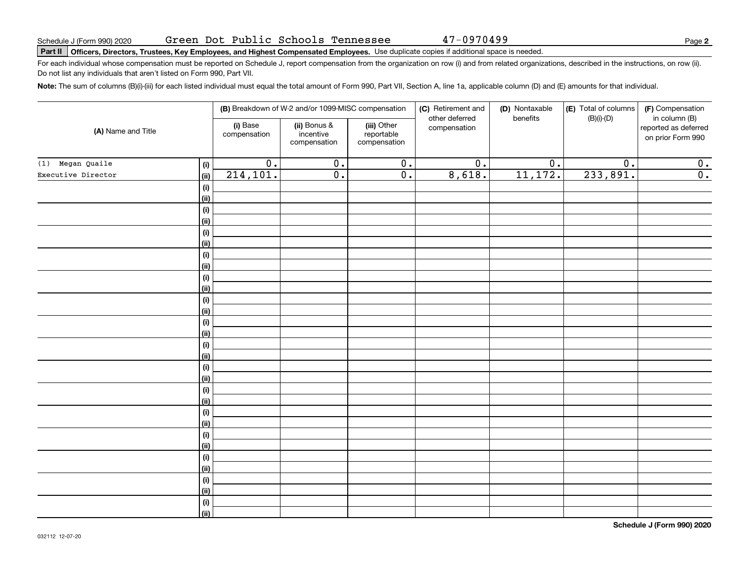47-0970499

# Schedule J (Form 990) 2020 Green Dot Public Schools Tennessee 4 7 – 0 9 7 0 4 9 9<br>Part II | Officers, Directors, Trustees, Key Employees, and Highest Compensated Employees. Use duplicate copies if

For each individual whose compensation must be reported on Schedule J, report compensation from the organization on row (i) and from related organizations, described in the instructions, on row (ii). Do not list any individuals that aren't listed on Form 990, Part VII.

**Note:**  The sum of columns (B)(i)-(iii) for each listed individual must equal the total amount of Form 990, Part VII, Section A, line 1a, applicable column (D) and (E) amounts for that individual.

|                            |                          | (B) Breakdown of W-2 and/or 1099-MISC compensation |                                           | (C) Retirement and<br>other deferred | (D) Nontaxable<br>benefits | (E) Total of columns<br>$(B)(i)-(D)$ | (F) Compensation<br>in column (B)         |
|----------------------------|--------------------------|----------------------------------------------------|-------------------------------------------|--------------------------------------|----------------------------|--------------------------------------|-------------------------------------------|
| (A) Name and Title         | (i) Base<br>compensation | (ii) Bonus &<br>incentive<br>compensation          | (iii) Other<br>reportable<br>compensation | compensation                         |                            |                                      | reported as deferred<br>on prior Form 990 |
| (1) Megan Quaile           | $\overline{0}$ .<br>(i)  | $\overline{0}$ .                                   | $\overline{\mathbf{0}}$ .                 | $\overline{0}$ .                     | $\overline{0}$ .           | $\overline{0}$ .                     | 0.                                        |
| Executive Director<br>(ii) | 214, 101.                | $\overline{0}$ .                                   | $\overline{0}$ .                          | 8,618.                               | 11,172.                    | 233,891.                             | $\overline{0}$ .                          |
|                            | (i)                      |                                                    |                                           |                                      |                            |                                      |                                           |
| <u>(ii)</u>                |                          |                                                    |                                           |                                      |                            |                                      |                                           |
|                            | (i)                      |                                                    |                                           |                                      |                            |                                      |                                           |
| (ii)                       |                          |                                                    |                                           |                                      |                            |                                      |                                           |
|                            | (i)                      |                                                    |                                           |                                      |                            |                                      |                                           |
| (ii)                       |                          |                                                    |                                           |                                      |                            |                                      |                                           |
|                            | (i)                      |                                                    |                                           |                                      |                            |                                      |                                           |
| (ii)                       |                          |                                                    |                                           |                                      |                            |                                      |                                           |
|                            | (i)                      |                                                    |                                           |                                      |                            |                                      |                                           |
| (ii)                       |                          |                                                    |                                           |                                      |                            |                                      |                                           |
|                            | (i)                      |                                                    |                                           |                                      |                            |                                      |                                           |
| <u>(ii)</u>                |                          |                                                    |                                           |                                      |                            |                                      |                                           |
|                            | (i)                      |                                                    |                                           |                                      |                            |                                      |                                           |
| <u>(ii)</u>                |                          |                                                    |                                           |                                      |                            |                                      |                                           |
|                            | (i)                      |                                                    |                                           |                                      |                            |                                      |                                           |
| <u>(ii)</u>                | $(\sf{i})$               |                                                    |                                           |                                      |                            |                                      |                                           |
| <u>(ii)</u>                |                          |                                                    |                                           |                                      |                            |                                      |                                           |
|                            | $(\sf{i})$               |                                                    |                                           |                                      |                            |                                      |                                           |
| <u>(ii)</u>                |                          |                                                    |                                           |                                      |                            |                                      |                                           |
|                            | $(\sf{i})$               |                                                    |                                           |                                      |                            |                                      |                                           |
| <u>(ii)</u>                |                          |                                                    |                                           |                                      |                            |                                      |                                           |
|                            | (i)                      |                                                    |                                           |                                      |                            |                                      |                                           |
| <u>(ii)</u>                |                          |                                                    |                                           |                                      |                            |                                      |                                           |
|                            | (i)                      |                                                    |                                           |                                      |                            |                                      |                                           |
| <u>(ii)</u>                |                          |                                                    |                                           |                                      |                            |                                      |                                           |
|                            | (i)                      |                                                    |                                           |                                      |                            |                                      |                                           |
| <u>(ii)</u>                |                          |                                                    |                                           |                                      |                            |                                      |                                           |
|                            | $(\sf{i})$               |                                                    |                                           |                                      |                            |                                      |                                           |
|                            | (ii)                     |                                                    |                                           |                                      |                            |                                      |                                           |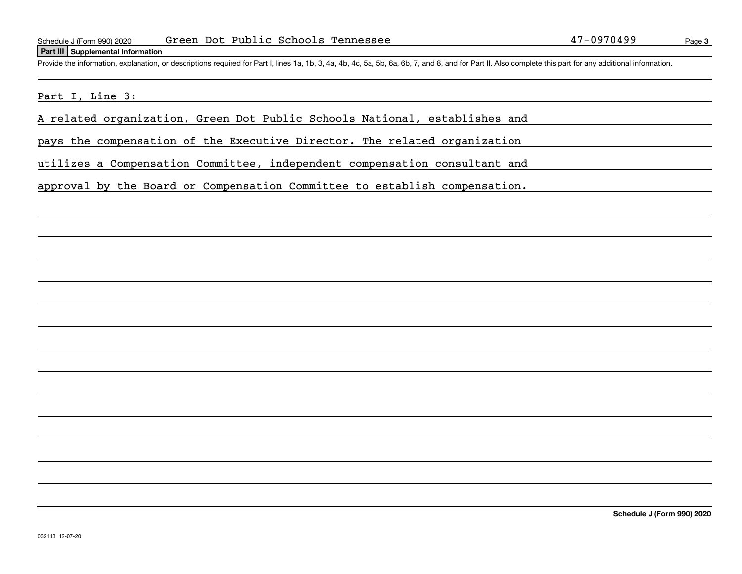#### **Part III Supplemental Information**

Schedule J (Form 990) 2020 Green Dot Public Schools Tennessee 47-0970499<br>Part III Supplemental Information<br>Provide the information, explanation, or descriptions required for Part I, lines 1a, 1b, 3, 4a, 4b, 4c, 5a, 5b, 6a,

### Part I, Line 3:

A related organization, Green Dot Public Schools National, establishes and

pays the compensation of the Executive Director. The related organization

utilizes a Compensation Committee, independent compensation consultant and

approval by the Board or Compensation Committee to establish compensation.

**Schedule J (Form 990) 2020**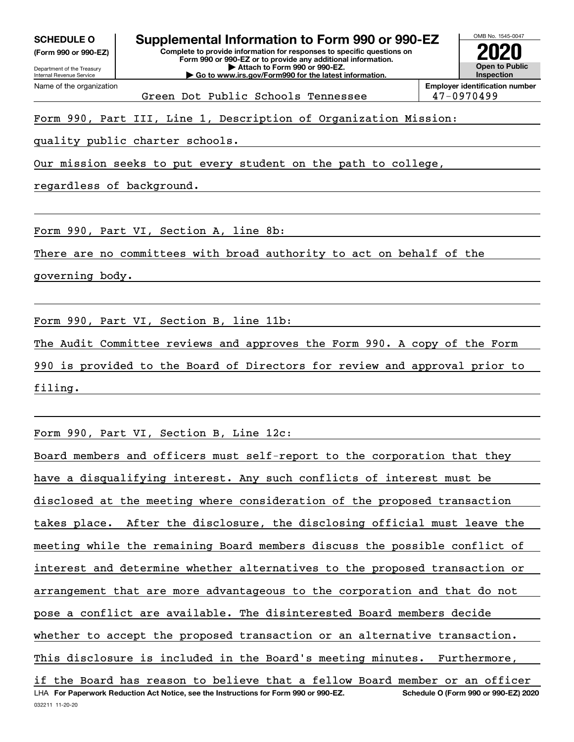**(Form 990 or 990-EZ)**

Department of the Treasury Internal Revenue Service Name of the organization

#### OMB No. 1545-0047 **Complete to provide information for responses to specific questions on Form 990 or 990-EZ or to provide any additional information. | Attach to Form 990 or 990-EZ. | Go to www.irs.gov/Form990 for the latest information. Open to Public SCHEDULE O Supplemental Information to Form 990 or 990-EZ 2020**

**InspectionEmployer identification number** Green Dot Public Schools Tennessee 147-0970499

Form 990, Part III, Line 1, Description of Organization Mission:

quality public charter schools.

Our mission seeks to put every student on the path to college,

regardless of background.

Form 990, Part VI, Section A, line 8b:

There are no committees with broad authority to act on behalf of the

governing body.

Form 990, Part VI, Section B, line 11b:

The Audit Committee reviews and approves the Form 990. A copy of the Form

990 is provided to the Board of Directors for review and approval prior to filing.

Form 990, Part VI, Section B, Line 12c:

032211 11-20-20 LHA For Paperwork Reduction Act Notice, see the Instructions for Form 990 or 990-EZ. Schedule O (Form 990 or 990-EZ) 2020 Board members and officers must self-report to the corporation that they have a disqualifying interest. Any such conflicts of interest must be disclosed at the meeting where consideration of the proposed transaction takes place. After the disclosure, the disclosing official must leave the meeting while the remaining Board members discuss the possible conflict of interest and determine whether alternatives to the proposed transaction or arrangement that are more advantageous to the corporation and that do not pose a conflict are available. The disinterested Board members decide whether to accept the proposed transaction or an alternative transaction. This disclosure is included in the Board's meeting minutes. Furthermore, if the Board has reason to believe that a fellow Board member or an officer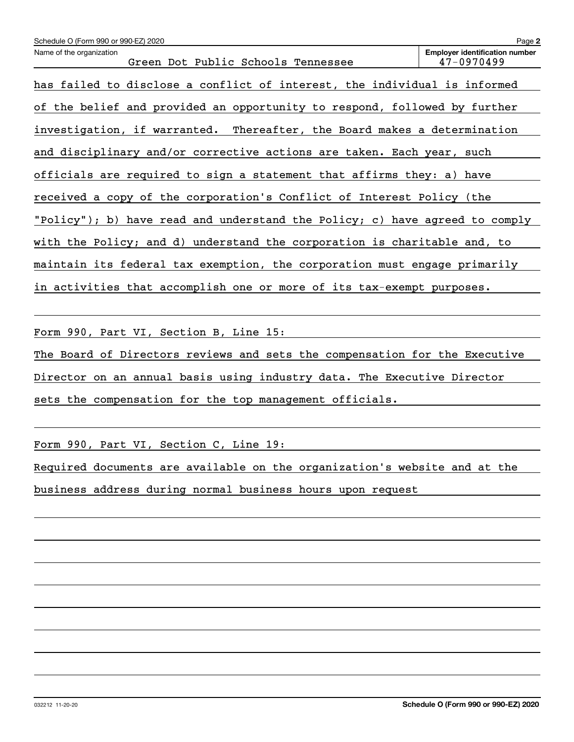| Schedule O (Form 990 or 990-EZ) 2020                                        | Page 2                                              |
|-----------------------------------------------------------------------------|-----------------------------------------------------|
| Name of the organization<br>Green Dot Public Schools Tennessee              | <b>Employer identification number</b><br>47-0970499 |
| has failed to disclose a conflict of interest, the individual is informed   |                                                     |
| of the belief and provided an opportunity to respond, followed by further   |                                                     |
| investigation, if warranted. Thereafter, the Board makes a determination    |                                                     |
| and disciplinary and/or corrective actions are taken. Each year, such       |                                                     |
| officials are required to sign a statement that affirms they: a) have       |                                                     |
| received a copy of the corporation's Conflict of Interest Policy (the       |                                                     |
| "Policy"); b) have read and understand the Policy; c) have agreed to comply |                                                     |
| with the Policy; and d) understand the corporation is charitable and, to    |                                                     |
| maintain its federal tax exemption, the corporation must engage primarily   |                                                     |
| in activities that accomplish one or more of its tax-exempt purposes.       |                                                     |

Form 990, Part VI, Section B, Line 15:

The Board of Directors reviews and sets the compensation for the Executive Director on an annual basis using industry data. The Executive Director sets the compensation for the top management officials.

Form 990, Part VI, Section C, Line 19:

Required documents are available on the organization's website and at the

business address during normal business hours upon request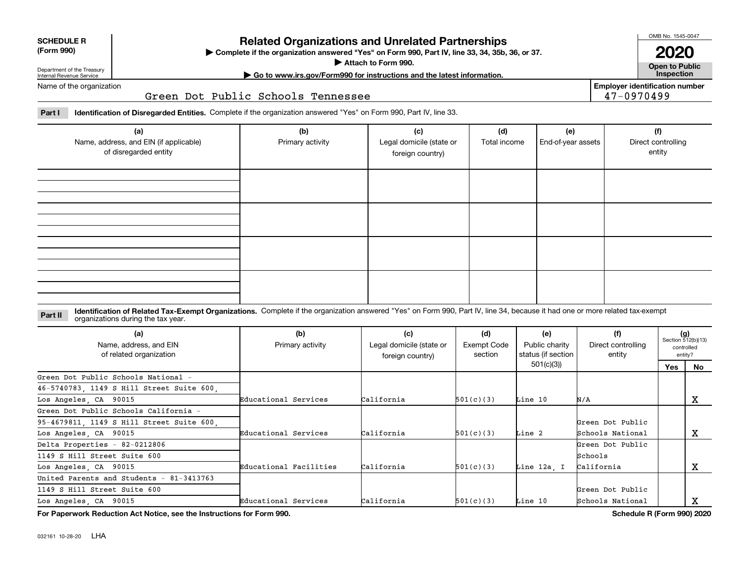| <b>SCHEDULE R</b> |
|-------------------|
|                   |

#### **(Form 990)**

### **Related Organizations and Unrelated Partnerships**

**Complete if the organization answered "Yes" on Form 990, Part IV, line 33, 34, 35b, 36, or 37.** |

**Attach to Form 990.**  |

OMB No. 1545-0047

**Open to Public 2020**

**Employer identification number**

47-0970499

Department of the Treasury Internal Revenue Service Name of the organization **| Go to www.irs.gov/Form990 for instructions and the latest information. Inspection**

Green Dot Public Schools Tennessee

**Part I Identification of Disregarded Entities.**  Complete if the organization answered "Yes" on Form 990, Part IV, line 33.

| (a)<br>Name, address, and EIN (if applicable)<br>of disregarded entity | (b)<br>Primary activity | (c)<br>Legal domicile (state or<br>foreign country) | (d)<br>Total income | (e)<br>End-of-year assets | (f)<br>Direct controlling<br>entity |
|------------------------------------------------------------------------|-------------------------|-----------------------------------------------------|---------------------|---------------------------|-------------------------------------|
|                                                                        |                         |                                                     |                     |                           |                                     |
|                                                                        |                         |                                                     |                     |                           |                                     |
|                                                                        |                         |                                                     |                     |                           |                                     |
|                                                                        |                         |                                                     |                     |                           |                                     |

**Identification of Related Tax-Exempt Organizations.** Complete if the organization answered "Yes" on Form 990, Part IV, line 34, because it had one or more related tax-exempt **Part II** organizations during the tax year.

| (a)<br>Name, address, and EIN<br>of related organization | (b)<br>Primary activity | (c)<br>Legal domicile (state or<br>foreign country) | (d)<br>Exempt Code<br>section | (e)<br>Public charity<br>status (if section | (f)<br>Direct controlling<br>entity |     | $(g)$<br>Section 512(b)(13)<br>controlled<br>entity? |
|----------------------------------------------------------|-------------------------|-----------------------------------------------------|-------------------------------|---------------------------------------------|-------------------------------------|-----|------------------------------------------------------|
|                                                          |                         |                                                     |                               | 501(c)(3)                                   |                                     | Yes | No.                                                  |
| Green Dot Public Schools National -                      |                         |                                                     |                               |                                             |                                     |     |                                                      |
| 46-5740783, 1149 S Hill Street Suite 600,                |                         |                                                     |                               |                                             |                                     |     |                                                      |
| Los Angeles, CA 90015                                    | Educational Services    | California                                          | 501(c)(3)                     | Line 10                                     | N/A                                 |     | х                                                    |
| Green Dot Public Schools California -                    |                         |                                                     |                               |                                             |                                     |     |                                                      |
| 95-4679811, 1149 S Hill Street Suite 600,                |                         |                                                     |                               |                                             | Green Dot Public                    |     |                                                      |
| Los Angeles, CA 90015                                    | Educational Services    | California                                          | 501(c)(3)                     | Line 2                                      | Schools National                    |     | x                                                    |
| Delta Properties - 82-0212806                            |                         |                                                     |                               |                                             | Green Dot Public                    |     |                                                      |
| 1149 S Hill Street Suite 600                             |                         |                                                     |                               |                                             | Schools                             |     |                                                      |
| Los Angeles, CA 90015                                    | Educational Facilities  | California                                          | 501(c)(3)                     | Line 12a. I                                 | California                          |     | x                                                    |
| United Parents and Students - 81-3413763                 |                         |                                                     |                               |                                             |                                     |     |                                                      |
| 1149 S Hill Street Suite 600                             |                         |                                                     |                               |                                             | Green Dot Public                    |     |                                                      |
| Los Angeles, CA 90015                                    | Educational Services    | California                                          | 501(c)(3)                     | Line 10                                     | Schools National                    |     | A                                                    |

**For Paperwork Reduction Act Notice, see the Instructions for Form 990. Schedule R (Form 990) 2020**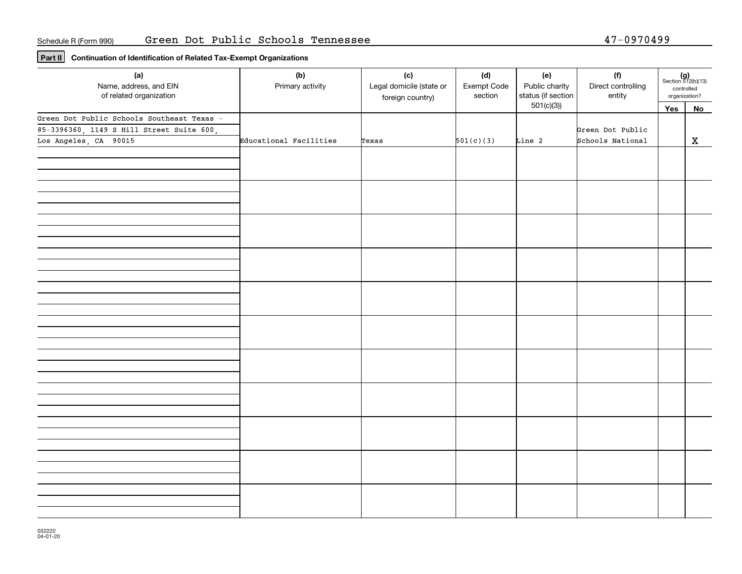**Part II Continuation of Identification of Related Tax-Exempt Organizations**

| (a)<br>Name, address, and EIN<br>of related organization | (b)<br>Primary activity | (c)<br>Legal domicile (state or<br>foreign country) | (d)<br>Exempt Code<br>section | (e)<br>Public charity<br>status (if section | (f)<br>Direct controlling<br>entity | controlled<br>organization? | $(g)$<br>Section 512(b)(13) |
|----------------------------------------------------------|-------------------------|-----------------------------------------------------|-------------------------------|---------------------------------------------|-------------------------------------|-----------------------------|-----------------------------|
|                                                          |                         |                                                     |                               | 501(c)(3)                                   |                                     | Yes                         | No                          |
| Green Dot Public Schools Southeast Texas -               |                         |                                                     |                               |                                             |                                     |                             |                             |
| 85-3396360, 1149 S Hill Street Suite 600,                |                         |                                                     |                               |                                             | Green Dot Public                    |                             |                             |
| Los Angeles, CA 90015                                    | Educational Facilities  | Texas                                               | 501(c)(3)                     | Line 2                                      | Schools National                    |                             | $\mathbf x$                 |
|                                                          |                         |                                                     |                               |                                             |                                     |                             |                             |
|                                                          |                         |                                                     |                               |                                             |                                     |                             |                             |
|                                                          |                         |                                                     |                               |                                             |                                     |                             |                             |
|                                                          |                         |                                                     |                               |                                             |                                     |                             |                             |
|                                                          |                         |                                                     |                               |                                             |                                     |                             |                             |
|                                                          |                         |                                                     |                               |                                             |                                     |                             |                             |
|                                                          |                         |                                                     |                               |                                             |                                     |                             |                             |
|                                                          |                         |                                                     |                               |                                             |                                     |                             |                             |
|                                                          |                         |                                                     |                               |                                             |                                     |                             |                             |
|                                                          |                         |                                                     |                               |                                             |                                     |                             |                             |
|                                                          |                         |                                                     |                               |                                             |                                     |                             |                             |
|                                                          |                         |                                                     |                               |                                             |                                     |                             |                             |
|                                                          |                         |                                                     |                               |                                             |                                     |                             |                             |
|                                                          |                         |                                                     |                               |                                             |                                     |                             |                             |
|                                                          |                         |                                                     |                               |                                             |                                     |                             |                             |
|                                                          |                         |                                                     |                               |                                             |                                     |                             |                             |
|                                                          |                         |                                                     |                               |                                             |                                     |                             |                             |
|                                                          |                         |                                                     |                               |                                             |                                     |                             |                             |
|                                                          |                         |                                                     |                               |                                             |                                     |                             |                             |
|                                                          |                         |                                                     |                               |                                             |                                     |                             |                             |
|                                                          |                         |                                                     |                               |                                             |                                     |                             |                             |
|                                                          |                         |                                                     |                               |                                             |                                     |                             |                             |
|                                                          |                         |                                                     |                               |                                             |                                     |                             |                             |
|                                                          |                         |                                                     |                               |                                             |                                     |                             |                             |
|                                                          |                         |                                                     |                               |                                             |                                     |                             |                             |
|                                                          |                         |                                                     |                               |                                             |                                     |                             |                             |
|                                                          |                         |                                                     |                               |                                             |                                     |                             |                             |
|                                                          |                         |                                                     |                               |                                             |                                     |                             |                             |
|                                                          |                         |                                                     |                               |                                             |                                     |                             |                             |
|                                                          |                         |                                                     |                               |                                             |                                     |                             |                             |
|                                                          |                         |                                                     |                               |                                             |                                     |                             |                             |
|                                                          |                         |                                                     |                               |                                             |                                     |                             |                             |
|                                                          |                         |                                                     |                               |                                             |                                     |                             |                             |
|                                                          |                         |                                                     |                               |                                             |                                     |                             |                             |
|                                                          |                         |                                                     |                               |                                             |                                     |                             |                             |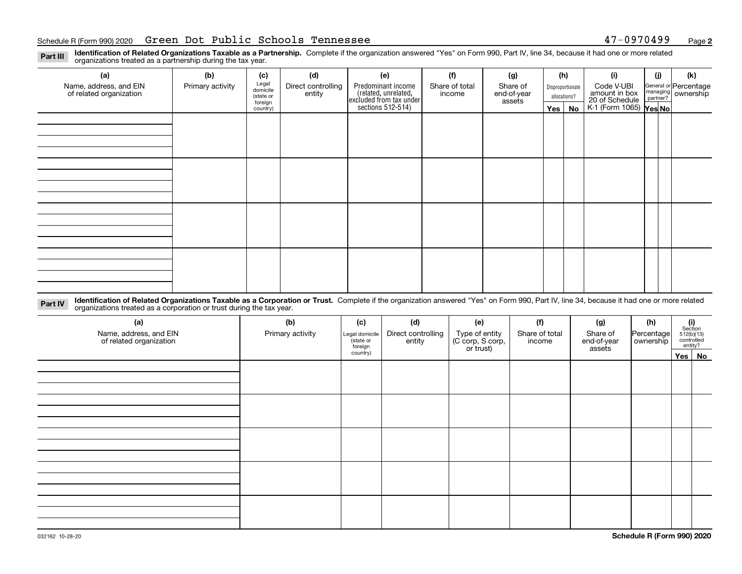#### Schedule R (Form 990) 2020 Page Green Dot Public Schools Tennessee 47-0970499

**2**

**Identification of Related Organizations Taxable as a Partnership.** Complete if the organization answered "Yes" on Form 990, Part IV, line 34, because it had one or more related **Part III** organizations treated as a partnership during the tax year.

| (a)                     | (b)              | (c)                  | (d)                          | (e)                | (f)                                                                 | (g)      | (h)                   | (i)                         | (j)                                      | (k)                                                       |  |
|-------------------------|------------------|----------------------|------------------------------|--------------------|---------------------------------------------------------------------|----------|-----------------------|-----------------------------|------------------------------------------|-----------------------------------------------------------|--|
| Name, address, and EIN  | Primary activity | Legal<br>domicile    | Direct controlling<br>entity | Predominant income | Share of total                                                      | Share of | Disproportionate      | Code V-UBI<br>amount in box |                                          | General or Percentage<br>managing<br>partner?<br>partner? |  |
| of related organization |                  | (state or<br>foreign |                              |                    | related, unrelated,<br>excluded from tax under<br>sections 512-514) | income   | end-of-year<br>assets | allocations?                | 20 of Schedule<br>K-1 (Form 1065) Yes No |                                                           |  |
|                         |                  | country)             |                              |                    |                                                                     |          | Yes   No              |                             |                                          |                                                           |  |
|                         |                  |                      |                              |                    |                                                                     |          |                       |                             |                                          |                                                           |  |
|                         |                  |                      |                              |                    |                                                                     |          |                       |                             |                                          |                                                           |  |
|                         |                  |                      |                              |                    |                                                                     |          |                       |                             |                                          |                                                           |  |
|                         |                  |                      |                              |                    |                                                                     |          |                       |                             |                                          |                                                           |  |
|                         |                  |                      |                              |                    |                                                                     |          |                       |                             |                                          |                                                           |  |
|                         |                  |                      |                              |                    |                                                                     |          |                       |                             |                                          |                                                           |  |
|                         |                  |                      |                              |                    |                                                                     |          |                       |                             |                                          |                                                           |  |
|                         |                  |                      |                              |                    |                                                                     |          |                       |                             |                                          |                                                           |  |
|                         |                  |                      |                              |                    |                                                                     |          |                       |                             |                                          |                                                           |  |
|                         |                  |                      |                              |                    |                                                                     |          |                       |                             |                                          |                                                           |  |
|                         |                  |                      |                              |                    |                                                                     |          |                       |                             |                                          |                                                           |  |
|                         |                  |                      |                              |                    |                                                                     |          |                       |                             |                                          |                                                           |  |
|                         |                  |                      |                              |                    |                                                                     |          |                       |                             |                                          |                                                           |  |
|                         |                  |                      |                              |                    |                                                                     |          |                       |                             |                                          |                                                           |  |
|                         |                  |                      |                              |                    |                                                                     |          |                       |                             |                                          |                                                           |  |
|                         |                  |                      |                              |                    |                                                                     |          |                       |                             |                                          |                                                           |  |
|                         |                  |                      |                              |                    |                                                                     |          |                       |                             |                                          |                                                           |  |

**Identification of Related Organizations Taxable as a Corporation or Trust.** Complete if the organization answered "Yes" on Form 990, Part IV, line 34, because it had one or more related **Part IV** organizations treated as a corporation or trust during the tax year.

| (a)<br>Name, address, and EIN<br>of related organization | (b)<br>Primary activity | (c)<br>Legal domicile<br>(state or<br>foreign | (d)<br>Direct controlling<br>entity | (e)<br>Type of entity<br>(C corp, S corp,<br>or trust) | (f)<br>Share of total<br>income | (g)<br>Share of<br>end-of-year<br>assets | (h)<br>Percentage<br>ownership | $(i)$ Section<br>512(b)(13)<br>controlled<br>entity? |
|----------------------------------------------------------|-------------------------|-----------------------------------------------|-------------------------------------|--------------------------------------------------------|---------------------------------|------------------------------------------|--------------------------------|------------------------------------------------------|
|                                                          |                         | country)                                      |                                     |                                                        |                                 |                                          |                                | Yes No                                               |
|                                                          |                         |                                               |                                     |                                                        |                                 |                                          |                                |                                                      |
|                                                          |                         |                                               |                                     |                                                        |                                 |                                          |                                |                                                      |
|                                                          |                         |                                               |                                     |                                                        |                                 |                                          |                                |                                                      |
|                                                          |                         |                                               |                                     |                                                        |                                 |                                          |                                |                                                      |
|                                                          |                         |                                               |                                     |                                                        |                                 |                                          |                                |                                                      |
|                                                          |                         |                                               |                                     |                                                        |                                 |                                          |                                |                                                      |
|                                                          |                         |                                               |                                     |                                                        |                                 |                                          |                                |                                                      |
|                                                          |                         |                                               |                                     |                                                        |                                 |                                          |                                |                                                      |
|                                                          |                         |                                               |                                     |                                                        |                                 |                                          |                                |                                                      |
|                                                          |                         |                                               |                                     |                                                        |                                 |                                          |                                |                                                      |
|                                                          |                         |                                               |                                     |                                                        |                                 |                                          |                                |                                                      |
|                                                          |                         |                                               |                                     |                                                        |                                 |                                          |                                |                                                      |
|                                                          |                         |                                               |                                     |                                                        |                                 |                                          |                                |                                                      |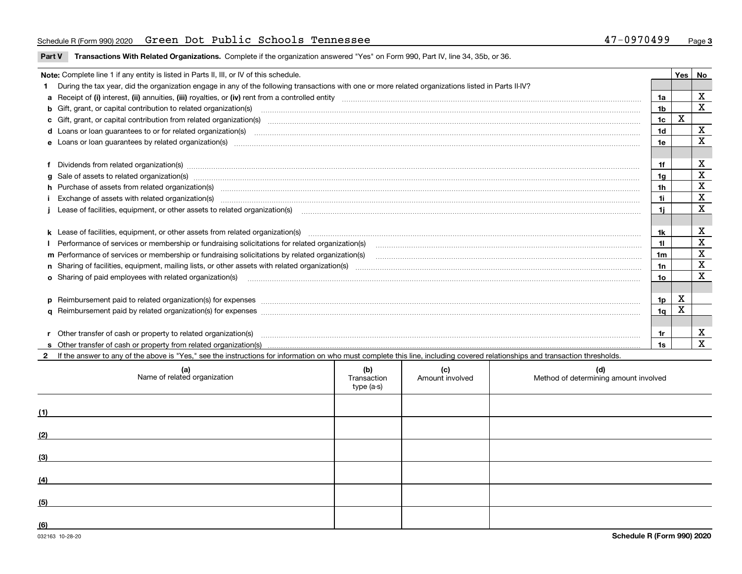### Schedule R (Form 990) 2020 Page Green Dot Public Schools Tennessee 47-0970499

**Part V** T**ransactions With Related Organizations.** Complete if the organization answered "Yes" on Form 990, Part IV, line 34, 35b, or 36.

| Note: Complete line 1 if any entity is listed in Parts II, III, or IV of this schedule.                                                                                                                                           |                | Yes | No          |
|-----------------------------------------------------------------------------------------------------------------------------------------------------------------------------------------------------------------------------------|----------------|-----|-------------|
| 1 During the tax year, did the organization engage in any of the following transactions with one or more related organizations listed in Parts II-IV?                                                                             |                |     |             |
|                                                                                                                                                                                                                                   | 1a             |     | х           |
| b Gift, grant, or capital contribution to related organization(s) mature and contained and contribution to related organization(s)                                                                                                | 1b             |     | $\mathbf x$ |
| c Gift, grant, or capital contribution from related organization(s) manufaction contribution from related organization(s) manufaction contribution from related organization(s) manufaction contribution from related organiza    | 1c             | x   |             |
| d Loans or loan guarantees to or for related organization(s) committion contracts are constructed as a control or contract or contract or contract or contract or contract or contract or contract or contract or contract or     | 1 <sub>d</sub> |     | $\mathbf x$ |
|                                                                                                                                                                                                                                   | 1e             |     | X           |
|                                                                                                                                                                                                                                   |                |     |             |
| f Dividends from related organization(s) material contents and content and content of the content of the content of the content of the content of the content of the content of the content of the content of the content of t    | 1f             |     | х           |
| g Sale of assets to related organization(s) www.communicallycommunicallycommunicallycommunicallycommunicallycommunicallycommunicallycommunicallycommunicallycommunicallycommunicallycommunicallycommunicallycommunicallycommun    | 1a             |     | X           |
| h Purchase of assets from related organization(s) manufactured and content to content the content of assets from related organization(s)                                                                                          | 1h             |     | х           |
| Exchange of assets with related organization(s) www.communically.communically contract the contract of assets with related organization(s) www.communically.communically contract the contract of assets with related organiza    | 1i.            |     | X           |
| Lease of facilities, equipment, or other assets to related organization(s) Chromomeron content in the set of facilities, equipment, or other assets to related organization(s) Chromomeron content in the set of the set of th    | 1i.            |     | $\mathbf X$ |
|                                                                                                                                                                                                                                   |                |     |             |
|                                                                                                                                                                                                                                   | 1k             |     | X           |
|                                                                                                                                                                                                                                   |                |     | X           |
| m Performance of services or membership or fundraising solicitations by related organization(s)                                                                                                                                   | 1m             |     | $\mathbf X$ |
|                                                                                                                                                                                                                                   | 1n             |     | $\mathbf X$ |
| <b>o</b> Sharing of paid employees with related organization(s)                                                                                                                                                                   | 1о             |     | X           |
|                                                                                                                                                                                                                                   |                |     |             |
| p Reimbursement paid to related organization(s) for expenses [1111] and the content of the content of the content of the content of the content of the content of the content of the content of the content of the content of     | 1p.            | X   |             |
|                                                                                                                                                                                                                                   | 1q             | x   |             |
|                                                                                                                                                                                                                                   |                |     |             |
| r Other transfer of cash or property to related organization(s)                                                                                                                                                                   | 1r             |     | х           |
| r Other transfer of cash or property to related organization(s) www.community.com/www.community.com/www.communi<br>S Other transfer of cash or property from related organization(s) www.community.community.community.community. | 1s             |     | X           |
| 2 If the answer to any of the above is "Yes." see the instructions for information on who must complete this line, including covered relationships and transaction thresholds.                                                    |                |     |             |

| (a)<br>Name of related organization | (b)<br>Transaction<br>type (a-s) | (c)<br>Amount involved | (d)<br>Method of determining amount involved |
|-------------------------------------|----------------------------------|------------------------|----------------------------------------------|
| (1)                                 |                                  |                        |                                              |
| (2)                                 |                                  |                        |                                              |
| (3)                                 |                                  |                        |                                              |
| (4)                                 |                                  |                        |                                              |
| (5)                                 |                                  |                        |                                              |
| (6)                                 |                                  |                        |                                              |

 $\overline{\phantom{a}}$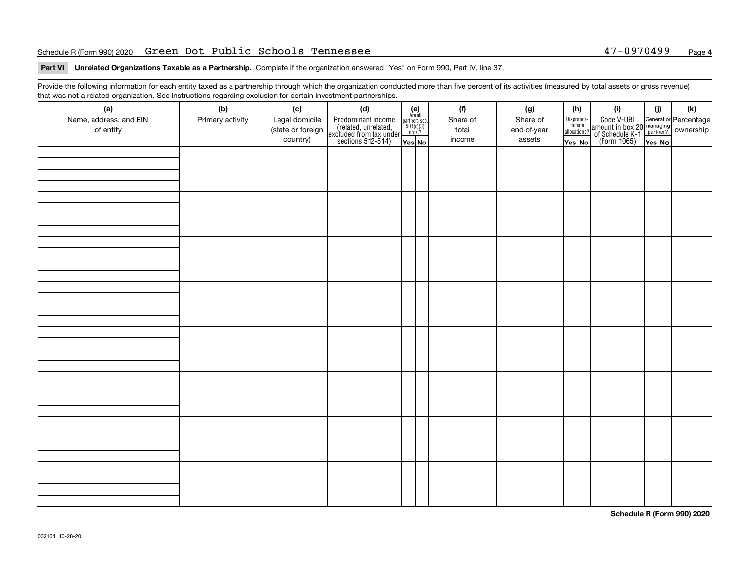#### Schedule R (Form 990) 2020 Page Green Dot Public Schools Tennessee 47-0970499

### **4**

#### **Part VI Unrelated Organizations Taxable as a Partnership. Complete if the organization answered "Yes" on Form 990, Part IV, line 37.**

Provide the following information for each entity taxed as a partnership through which the organization conducted more than five percent of its activities (measured by total assets or gross revenue) that was not a related organization. See instructions regarding exclusion for certain investment partnerships.

| (a)<br>Name, address, and EIN<br>of entity | (b)<br>Primary activity | (c)<br>Legal domicile<br>(state or foreign<br>country) | (d)<br>Predominant income<br>(related, unrelated,<br>excluded from tax under<br>sections 512-514) | (e)<br>Are all<br>partners sec.<br>$501(c)(3)$<br>$\frac{orgs.?}{}$ | (f)<br>Share of<br>total<br>income | (g)<br>Share of<br>end-of-year<br>assets | (h)<br>Dispropor-<br>tionate<br>allocations? | (i)<br>Code V-UBI<br>amount in box 20 managing<br>of Schedule K-1 partner?<br>(Form 1065)<br>ves No | (i) | (k) |
|--------------------------------------------|-------------------------|--------------------------------------------------------|---------------------------------------------------------------------------------------------------|---------------------------------------------------------------------|------------------------------------|------------------------------------------|----------------------------------------------|-----------------------------------------------------------------------------------------------------|-----|-----|
|                                            |                         |                                                        |                                                                                                   | Yes No                                                              |                                    |                                          | $\overline{{\sf Yes}}$ No                    |                                                                                                     |     |     |
|                                            |                         |                                                        |                                                                                                   |                                                                     |                                    |                                          |                                              |                                                                                                     |     |     |
|                                            |                         |                                                        |                                                                                                   |                                                                     |                                    |                                          |                                              |                                                                                                     |     |     |
|                                            |                         |                                                        |                                                                                                   |                                                                     |                                    |                                          |                                              |                                                                                                     |     |     |
|                                            |                         |                                                        |                                                                                                   |                                                                     |                                    |                                          |                                              |                                                                                                     |     |     |
|                                            |                         |                                                        |                                                                                                   |                                                                     |                                    |                                          |                                              |                                                                                                     |     |     |
|                                            |                         |                                                        |                                                                                                   |                                                                     |                                    |                                          |                                              |                                                                                                     |     |     |
|                                            |                         |                                                        |                                                                                                   |                                                                     |                                    |                                          |                                              |                                                                                                     |     |     |
|                                            |                         |                                                        |                                                                                                   |                                                                     |                                    |                                          |                                              |                                                                                                     |     |     |

**Schedule R (Form 990) 2020**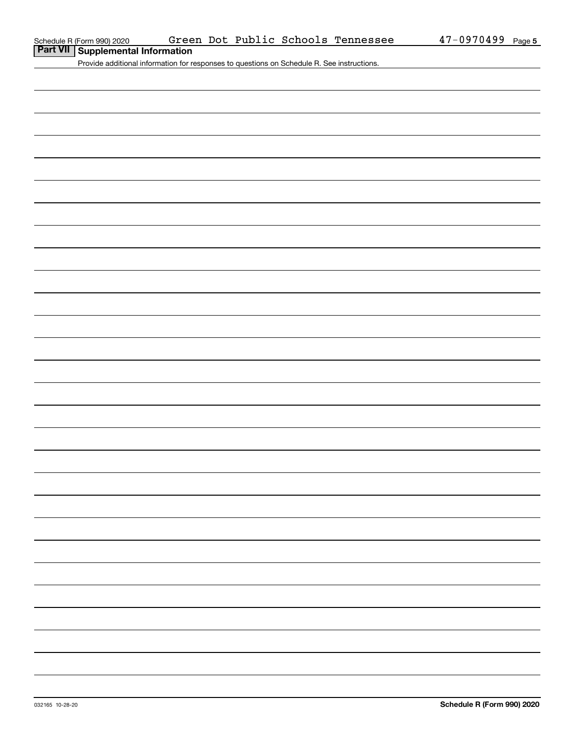**Part VII Supplemental Information**

Provide additional information for responses to questions on Schedule R. See instructions.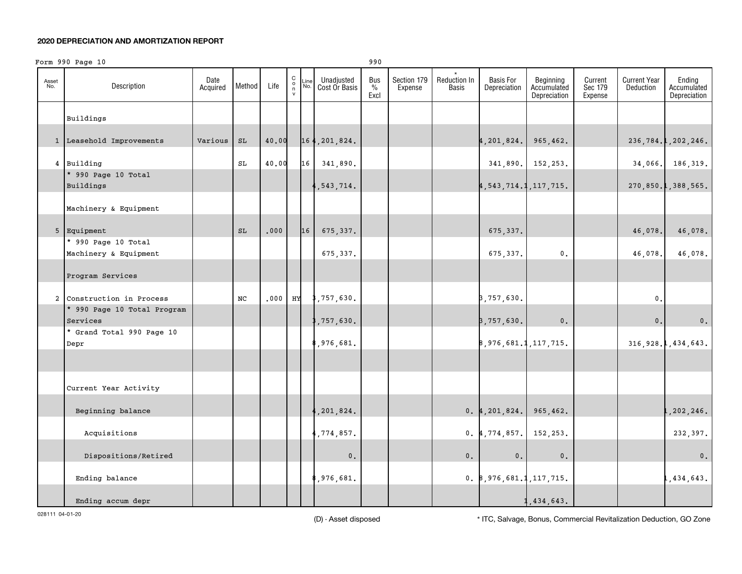#### **2020 DEPRECIATION AND AMORTIZATION REPORT**

|              | Form 990 Page 10                        |                  |               |       |                                                           |             |                             | 990                 |                        |                       |                                  |                                          |                               |                                  |                                       |
|--------------|-----------------------------------------|------------------|---------------|-------|-----------------------------------------------------------|-------------|-----------------------------|---------------------|------------------------|-----------------------|----------------------------------|------------------------------------------|-------------------------------|----------------------------------|---------------------------------------|
| Asset<br>No. | Description                             | Date<br>Acquired | Method        | Life  | $\begin{matrix} C \\ 0 \\ n \end{matrix}$<br>$\mathsf{v}$ | Line<br>No. | Unadjusted<br>Cost Or Basis | Bus<br>$\%$<br>Excl | Section 179<br>Expense | Reduction In<br>Basis | <b>Basis For</b><br>Depreciation | Beginning<br>Accumulated<br>Depreciation | Current<br>Sec 179<br>Expense | <b>Current Year</b><br>Deduction | Ending<br>Accumulated<br>Depreciation |
|              | Buildings                               |                  |               |       |                                                           |             |                             |                     |                        |                       |                                  |                                          |                               |                                  |                                       |
|              |                                         |                  |               |       |                                                           |             |                             |                     |                        |                       |                                  |                                          |                               |                                  |                                       |
|              | 1 Leasehold Improvements                | Various          | $\mathtt{SL}$ | 40.00 |                                                           |             | 164, 201, 824.              |                     |                        |                       | $4,201,824.$ 965,462.            |                                          |                               |                                  | 236, 784.1, 202, 246.                 |
|              | 4 Building                              |                  | SL            | 40.00 |                                                           |             | 16 341,890.                 |                     |                        |                       |                                  | 341,890. 152,253.                        |                               |                                  | 34,066. 186,319.                      |
|              | * 990 Page 10 Total<br>Buildings        |                  |               |       |                                                           |             | 1,543,714.                  |                     |                        |                       | 4, 543, 714.1, 117, 715.         |                                          |                               |                                  | 270,850.1,388,565.                    |
|              | Machinery & Equipment                   |                  |               |       |                                                           |             |                             |                     |                        |                       |                                  |                                          |                               |                                  |                                       |
|              |                                         |                  |               |       |                                                           |             |                             |                     |                        |                       |                                  |                                          |                               |                                  |                                       |
|              | 5 Equipment                             |                  | SL            | .000  |                                                           | 16          | 675, 337.                   |                     |                        |                       | 675, 337.                        |                                          |                               | 46,078.                          | 46,078.                               |
|              | * 990 Page 10 Total                     |                  |               |       |                                                           |             |                             |                     |                        |                       |                                  |                                          |                               |                                  |                                       |
|              | Machinery & Equipment                   |                  |               |       |                                                           |             | 675,337.                    |                     |                        |                       | 675, 337.                        | $\mathbf 0$ .                            |                               | 46,078.                          | 46,078.                               |
|              | Program Services                        |                  |               |       |                                                           |             |                             |                     |                        |                       |                                  |                                          |                               |                                  |                                       |
|              | 2 Construction in Process               |                  | NC            | .000  | HY                                                        |             | 8,757,630.                  |                     |                        |                       | 3,757,630.                       |                                          |                               | $\mathfrak o$ .                  |                                       |
|              | * 990 Page 10 Total Program<br>Services |                  |               |       |                                                           |             | ,757,630.                   |                     |                        |                       | 3,757,630.                       | $\mathbf 0$ .                            |                               | 0.                               | $\mathbf 0$ .                         |
|              | * Grand Total 990 Page 10<br>Depr       |                  |               |       |                                                           |             | 8,976,681.                  |                     |                        |                       | 8,976,681.1,117,715.             |                                          |                               |                                  | 316, 928.1, 434, 643.                 |
|              |                                         |                  |               |       |                                                           |             |                             |                     |                        |                       |                                  |                                          |                               |                                  |                                       |
|              |                                         |                  |               |       |                                                           |             |                             |                     |                        |                       |                                  |                                          |                               |                                  |                                       |
|              | Current Year Activity                   |                  |               |       |                                                           |             |                             |                     |                        |                       |                                  |                                          |                               |                                  |                                       |
|              | Beginning balance                       |                  |               |       |                                                           |             | , 201, 824.                 |                     |                        |                       | $0.4, 201, 824.$ 965, 462.       |                                          |                               |                                  | , 202, 246.                           |
|              | Acquisitions                            |                  |               |       |                                                           |             | ,774,857.                   |                     |                        |                       | $0.4, 774, 857.$ 152, 253.       |                                          |                               |                                  | 232,397.                              |
|              | Dispositions/Retired                    |                  |               |       |                                                           |             | $\mathbf 0$ .               |                     |                        | 0.                    | $\mathbf 0$ .                    | $\mathbf 0$ .                            |                               |                                  | 0.                                    |
|              | Ending balance                          |                  |               |       |                                                           |             | ,976,681.                   |                     |                        |                       | 0.8,976,681.1,117,715.           |                                          |                               |                                  | ,434,643.                             |
|              | Ending accum depr                       |                  |               |       |                                                           |             |                             |                     |                        |                       |                                  | 1,434,643.                               |                               |                                  |                                       |

028111 04-01-20

(D) - Asset disposed \* ITC, Salvage, Bonus, Commercial Revitalization Deduction, GO Zone